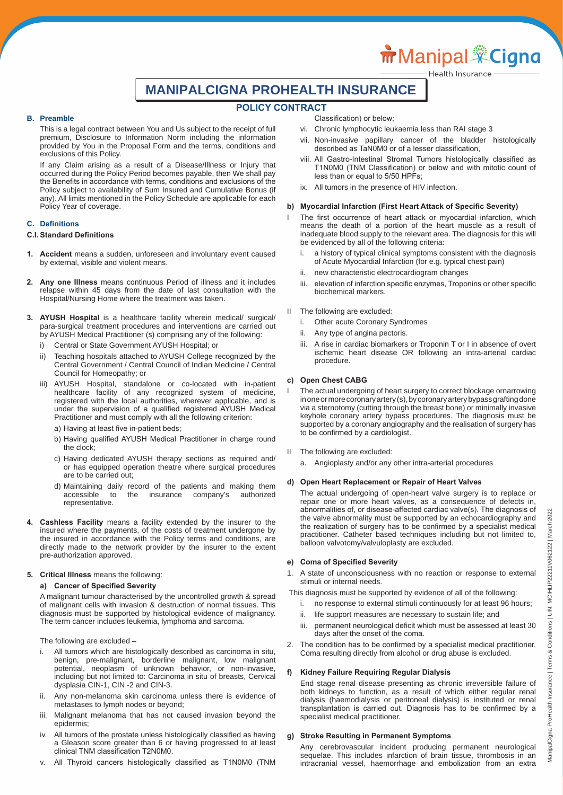# **MANIPALCIGNA PROHEALTH INSURANCE**

# **POLICY CONTRACT**

#### **B. Preamble**

 This is a legal contract between You and Us subject to the receipt of full premium, Disclosure to Information Norm including the information provided by You in the Proposal Form and the terms, conditions and exclusions of this Policy.

 If any Claim arising as a result of a Disease/Illness or Injury that occurred during the Policy Period becomes payable, then We shall pay the Benefits in accordance with terms, conditions and exclusions of the Policy subject to availability of Sum Insured and Cumulative Bonus (if any). All limits mentioned in the Policy Schedule are applicable for each Policy Year of coverage.

#### **C. Definitions**

#### **C.I. Standard Definitions**

- **1. Accident** means a sudden, unforeseen and involuntary event caused by external, visible and violent means.
- **2. Any one Illness** means continuous Period of illness and it includes relapse within 45 days from the date of last consultation with the Hospital/Nursing Home where the treatment was taken.
- **3. AYUSH Hospital** is a healthcare facility wherein medical/ surgical/ para-surgical treatment procedures and interventions are carried out by AYUSH Medical Practitioner (s) comprising any of the following:
	- i) Central or State Government AYUSH Hospital; or
	- ii) Teaching hospitals attached to AYUSH College recognized by the Central Government / Central Council of Indian Medicine / Central Council for Homeopathy; or
- iii) AYUSH Hospital, standalone or co-located with in-patient healthcare facility of any recognized system of medicine, registered with the local authorities, wherever applicable, and is under the supervision of a qualified registered AYUSH Medical Practitioner and must comply with all the following criterion:
	- a) Having at least five in-patient beds;
	- b) Having qualified AYUSH Medical Practitioner in charge round the clock;
	- c) Having dedicated AYUSH therapy sections as required and/ or has equipped operation theatre where surgical procedures are to be carried out;
	- d) Maintaining daily record of the patients and making them accessible to the insurance company's authorized representative.
- **4. Cashless Facility** means a facility extended by the insurer to the insured where the payments, of the costs of treatment undergone by the insured in accordance with the Policy terms and conditions, are directly made to the network provider by the insurer to the extent pre-authorization approved.

#### **5. Critical Illness** means the following:

#### **a) Cancer of Specified Severity**

 A malignant tumour characterised by the uncontrolled growth & spread of malignant cells with invasion & destruction of normal tissues. This diagnosis must be supported by histological evidence of malignancy. The term cancer includes leukemia, lymphoma and sarcoma.

The following are excluded –

- i. All tumors which are histologically described as carcinoma in situ, benign, pre-malignant, borderline malignant, low malignant potential, neoplasm of unknown behavior, or non-invasive, including but not limited to: Carcinoma in situ of breasts, Cervical dysplasia CIN-1, CIN -2 and CIN-3.
- ii. Any non-melanoma skin carcinoma unless there is evidence of metastases to lymph nodes or beyond;
- iii. Malignant melanoma that has not caused invasion beyond the epidermis;
- iv. All tumors of the prostate unless histologically classified as having a Gleason score greater than 6 or having progressed to at least clinical TNM classification T2N0M0.
- v. All Thyroid cancers histologically classified as T1N0M0 (TNM

 Classification) or below;

- vi. Chronic lymphocytic leukaemia less than RAI stage 3
- vii. Non-invasive papillary cancer of the bladder histologically described as TaN0M0 or of a lesser classification,
- viii. All Gastro-Intestinal Stromal Tumors histologically classified as T1N0M0 (TNM Classification) or below and with mitotic count of less than or equal to 5/50 HPFs;
- ix. All tumors in the presence of HIV infection.

#### **b) Myocardial Infarction (First Heart Attack of Specific Severity)**

- I The first occurrence of heart attack or myocardial infarction, which means the death of a portion of the heart muscle as a result of inadequate blood supply to the relevant area. The diagnosis for this will be evidenced by all of the following criteria:
	- a history of typical clinical symptoms consistent with the diagnosis of Acute Myocardial Infarction (for e.g. typical chest pain)
	- ii. new characteristic electrocardiogram changes
	- iii. elevation of infarction specific enzymes, Troponins or other specific biochemical markers.
- II The following are excluded:
	- i. Other acute Coronary Syndromes
	- ii. Any type of angina pectoris.
	- iii. A rise in cardiac biomarkers or Troponin T or I in absence of overt ischemic heart disease OR following an intra-arterial cardiac procedure.

#### **c) Open Chest CABG**

- The actual undergoing of heart surgery to correct blockage ornarrowing in one or more coronary artery (s), by coronary artery bypass grafting done via a sternotomy (cutting through the breast bone) or minimally invasive keyhole coronary artery bypass procedures. The diagnosis must be supported by a coronary angiography and the realisation of surgery has to be confirmed by a cardiologist.
- II The following are excluded:
	- a. Angioplasty and/or any other intra-arterial procedures

#### **d) Open Heart Replacement or Repair of Heart Valves**

 The actual undergoing of open-heart valve surgery is to replace or repair one or more heart valves, as a consequence of defects in, abnormalities of, or disease-affected cardiac valve(s). The diagnosis of the valve abnormality must be supported by an echocardiography and the realization of surgery has to be confirmed by a specialist medical practitioner. Catheter based techniques including but not limited to, balloon valvotomy/valvuloplasty are excluded.

### **e) Coma of Specified Severity**

- 1. A state of unconsciousness with no reaction or response to external stimuli or internal needs.
- This diagnosis must be supported by evidence of all of the following:
	- i. no response to external stimuli continuously for at least 96 hours;
	- ii. life support measures are necessary to sustain life; and
	- iii. permanent neurological deficit which must be assessed at least 30 days after the onset of the coma.
- 2. The condition has to be confirmed by a specialist medical practitioner. Coma resulting directly from alcohol or drug abuse is excluded.

#### **f) Kidney Failure Requiring Regular Dialysis**

 End stage renal disease presenting as chronic irreversible failure of both kidneys to function, as a result of which either regular renal dialysis (haemodialysis or peritoneal dialysis) is instituted or renal transplantation is carried out. Diagnosis has to be confirmed by a specialist medical practitioner.

#### **g) Stroke Resulting in Permanent Symptoms**

 Any cerebrovascular incident producing permanent neurological sequelae. This includes infarction of brain tissue, thrombosis in an intracranial vessel, haemorrhage and embolization from an extra

#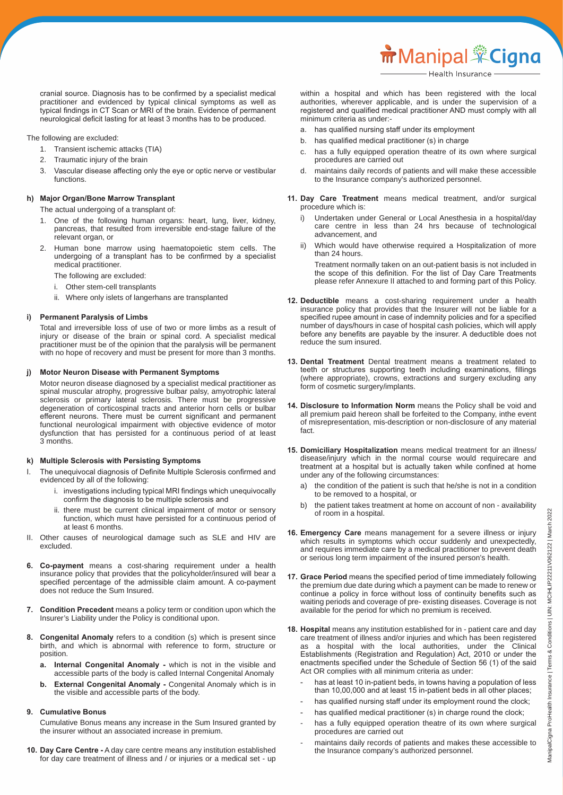cranial source. Diagnosis has to be confirmed by a specialist medical practitioner and evidenced by typical clinical symptoms as well as typical findings in CT Scan or MRI of the brain. Evidence of permanent neurological deficit lasting for at least 3 months has to be produced.

The following are excluded:

- 1. Transient ischemic attacks (TIA)
- 2. Traumatic injury of the brain
- 3. Vascular disease affecting only the eye or optic nerve or vestibular functions.

# **h) Major Organ/Bone Marrow Transplant**

The actual undergoing of a transplant of:

- 1. One of the following human organs: heart, lung, liver, kidney, pancreas, that resulted from irreversible end-stage failure of the relevant organ, or
- 2. Human bone marrow using haematopoietic stem cells. The undergoing of a transplant has to be confirmed by a specialist medical practitioner.

The following are excluded:

- i. Other stem-cell transplants
- ii. Where only islets of langerhans are transplanted

#### **i) Permanent Paralysis of Limbs**

 Total and irreversible loss of use of two or more limbs as a result of injury or disease of the brain or spinal cord. A specialist medical practitioner must be of the opinion that the paralysis will be permanent with no hope of recovery and must be present for more than 3 months.

#### **j) Motor Neuron Disease with Permanent Symptoms**

 Motor neuron disease diagnosed by a specialist medical practitioner as spinal muscular atrophy, progressive bulbar palsy, amyotrophic lateral sclerosis or primary lateral sclerosis. There must be progressive degeneration of corticospinal tracts and anterior horn cells or bulbar efferent neurons. There must be current significant and permanent functional neurological impairment with objective evidence of motor dysfunction that has persisted for a continuous period of at least 3 months.

# **k) Multiple Sclerosis with Persisting Symptoms**

- I. The unequivocal diagnosis of Definite Multiple Sclerosis confirmed and evidenced by all of the following:
	- i. investigations including typical MRI findings which unequivocally confirm the diagnosis to be multiple sclerosis and
	- ii. there must be current clinical impairment of motor or sensory function, which must have persisted for a continuous period of at least 6 months.
- II. Other causes of neurological damage such as SLE and HIV are excluded.
- **6. Co-payment** means a cost-sharing requirement under a health insurance policy that provides that the policyholder/insured will bear a specified percentage of the admissible claim amount. A co-payment does not reduce the Sum Insured.
- **7. Condition Precedent** means a policy term or condition upon which the Insurer's Liability under the Policy is conditional upon.
- **8. Congenital Anomaly** refers to a condition (s) which is present since birth, and which is abnormal with reference to form, structure or position.
	- **a. Internal Congenital Anomaly -** which is not in the visible and accessible parts of the body is called Internal Congenital Anomaly
	- **b. External Congenital Anomaly -** Congenital Anomaly which is in the visible and accessible parts of the body.

#### **9. Cumulative Bonus**

 Cumulative Bonus means any increase in the Sum Insured granted by the insurer without an associated increase in premium.

**10. Day Care Centre -** A day care centre means any institution established for day care treatment of illness and / or injuries or a medical set - up  within a hospital and which has been registered with the local authorities, wherever applicable, and is under the supervision of a registered and qualified medical practitioner AND must comply with all minimum criteria as under:-

- a. has qualified nursing staff under its employment
- b. has qualified medical practitioner (s) in charge
- c. has a fully equipped operation theatre of its own where surgical procedures are carried out
- d. maintains daily records of patients and will make these accessible to the Insurance company's authorized personnel.
- **11. Day Care Treatment** means medical treatment, and/or surgical procedure which is:
	- Undertaken under General or Local Anesthesia in a hospital/day care centre in less than 24 hrs because of technological advancement, and
	- ii) Which would have otherwise required a Hospitalization of more than 24 hours.

 Treatment normally taken on an out-patient basis is not included in the scope of this definition. For the list of Day Care Treatments please refer Annexure II attached to and forming part of this Policy.

- 12. Deductible means a cost-sharing requirement under a health insurance policy that provides that the Insurer will not be liable for a specified rupee amount in case of indemnity policies and for a specified number of days/hours in case of hospital cash policies, which will apply before any benefits are payable by the insurer. A deductible does not reduce the sum insured.
- **13. Dental Treatment** Dental treatment means a treatment related to teeth or structures supporting teeth including examinations, fillings (where appropriate), crowns, extractions and surgery excluding any form of cosmetic surgery/implants.
- **14. Disclosure to Information Norm** means the Policy shall be void and all premium paid hereon shall be forfeited to the Company, inthe event of misrepresentation, mis-description or non-disclosure of any material fact.
- **15. Domiciliary Hospitalization** means medical treatment for an illness/ disease/injury which in the normal course would requirecare and treatment at a hospital but is actually taken while confined at home under any of the following circumstances:
	- a) the condition of the patient is such that he/she is not in a condition to be removed to a hospital, or
	- b) the patient takes treatment at home on account of non availability of room in a hospital.
- **16. Emergency Care** means management for a severe illness or injury which results in symptoms which occur suddenly and unexpectedly, and requires immediate care by a medical practitioner to prevent death or serious long term impairment of the insured person's health.
- **17. Grace Period** means the specified period of time immediately following the premium due date during which a payment can be made to renew or continue a policy in force without loss of continuity benefits such as waiting periods and coverage of pre- existing diseases. Coverage is not available for the period for which no premium is received.
- **18. Hospital** means any institution established for in patient care and day care treatment of illness and/or injuries and which has been registered as a hospital with the local authorities, under the Clinical Establishments (Registration and Regulation) Act, 2010 or under the enactments specified under the Schedule of Section 56 (1) of the said Act OR complies with all minimum criteria as under:
	- has at least 10 in-patient beds, in towns having a population of less than 10,00,000 and at least 15 in-patient beds in all other places;
	- has qualified nursing staff under its employment round the clock;
	- has qualified medical practitioner (s) in charge round the clock;
	- has a fully equipped operation theatre of its own where surgical procedures are carried out
	- maintains daily records of patients and makes these accessible to the Insurance company's authorized personnel.

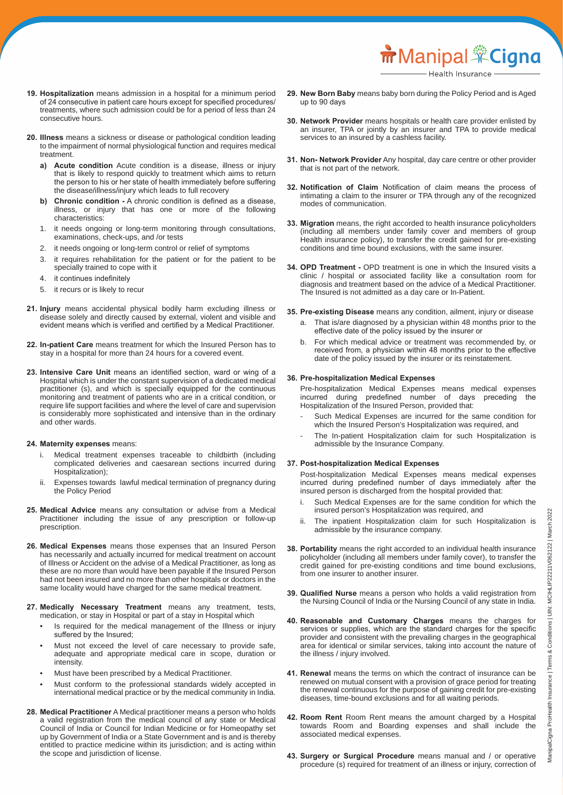- **19. Hospitalization** means admission in a hospital for a minimum period of 24 consecutive in patient care hours except for specified procedures/ treatments, where such admission could be for a period of less than 24 consecutive hours.
- **20. Illness** means a sickness or disease or pathological condition leading to the impairment of normal physiological function and requires medical treatment.
	- **a) Acute condition** Acute condition is a disease, illness or injury that is likely to respond quickly to treatment which aims to return the person to his or her state of health immediately before suffering the disease/illness/injury which leads to full recovery
	- **b) Chronic condition -** A chronic condition is defined as a disease, illness, or injury that has one or more of the following characteristics:
	- 1. it needs ongoing or long-term monitoring through consultations, examinations, check-ups, and /or tests
	- 2. it needs ongoing or long-term control or relief of symptoms
	- 3. it requires rehabilitation for the patient or for the patient to be specially trained to cope with it
	- 4. it continues indefinitely
	- 5. it recurs or is likely to recur
- 21. Injury means accidental physical bodily harm excluding illness or disease solely and directly caused by external, violent and visible and evident means which is verified and certified by a Medical Practitioner.
- **22. In-patient Care** means treatment for which the Insured Person has to stay in a hospital for more than 24 hours for a covered event.
- **23. Intensive Care Unit** means an identified section, ward or wing of a Hospital which is under the constant supervision of a dedicated medical practitioner (s), and which is specially equipped for the continuous monitoring and treatment of patients who are in a critical condition, or require life support facilities and where the level of care and supervision is considerably more sophisticated and intensive than in the ordinary and other wards.

#### **24. Maternity expenses** means:

- Medical treatment expenses traceable to childbirth (including complicated deliveries and caesarean sections incurred during Hospitalization);
- ii. Expenses towards lawful medical termination of pregnancy during the Policy Period
- **25. Medical Advice** means any consultation or advise from a Medical Practitioner including the issue of any prescription or follow-up prescription.
- **26. Medical Expenses** means those expenses that an Insured Person has necessarily and actually incurred for medical treatment on account of Illness or Accident on the advise of a Medical Practitioner, as long as these are no more than would have been payable if the Insured Person had not been insured and no more than other hospitals or doctors in the same locality would have charged for the same medical treatment.
- **27. Medically Necessary Treatment** means any treatment, tests, medication, or stay in Hospital or part of a stay in Hospital which
	- Is required for the medical management of the Illness or injury suffered by the Insured;
	- Must not exceed the level of care necessary to provide safe, adequate and appropriate medical care in scope, duration or intensity.
	- Must have been prescribed by a Medical Practitioner.
	- Must conform to the professional standards widely accepted in international medical practice or by the medical community in India.
- **28. Medical Practitioner** A Medical practitioner means a person who holds a valid registration from the medical council of any state or Medical Council of India or Council for Indian Medicine or for Homeopathy set up by Government of India or a State Government and is and is thereby entitled to practice medicine within its jurisdiction; and is acting within the scope and jurisdiction of license.
- **29. New Born Baby** means baby born during the Policy Period and is Aged up to 90 days
- **30. Network Provider** means hospitals or health care provider enlisted by an insurer, TPA or jointly by an insurer and TPA to provide medical services to an insured by a cashless facility.
- **31. Non- Network Provider** Any hospital, day care centre or other provider that is not part of the network.
- **32. Notification of Claim** Notification of claim means the process of intimating a claim to the insurer or TPA through any of the recognized modes of communication.
- **33. Migration** means, the right accorded to health insurance policyholders (including all members under family cover and members of group Health insurance policy), to transfer the credit gained for pre-existing conditions and time bound exclusions, with the same insurer.
- **34. OPD Treatment -** OPD treatment is one in which the Insured visits a clinic / hospital or associated facility like a consultation room for diagnosis and treatment based on the advice of a Medical Practitioner. The Insured is not admitted as a day care or In-Patient.
- **35. Pre-existing Disease** means any condition, ailment, injury or disease
	- a. That is/are diagnosed by a physician within 48 months prior to the effective date of the policy issued by the insurer or
	- b. For which medical advice or treatment was recommended by, or received from, a physician within 48 months prior to the effective date of the policy issued by the insurer or its reinstatement.

#### **36. Pre-hospitalization Medical Expenses**

 Pre-hospitalization Medical Expenses means medical expenses incurred during predefined number of days preceding the Hospitalization of the Insured Person, provided that:

- Such Medical Expenses are incurred for the same condition for which the Insured Person's Hospitalization was required, and
- The In-patient Hospitalization claim for such Hospitalization is admissible by the Insurance Company.

#### **37. Post-hospitalization Medical Expenses**

 Post-hospitalization Medical Expenses means medical expenses incurred during predefined number of days immediately after the insured person is discharged from the hospital provided that:

- Such Medical Expenses are for the same condition for which the insured person's Hospitalization was required, and
- ii. The inpatient Hospitalization claim for such Hospitalization is admissible by the insurance company.
- **38. Portability** means the right accorded to an individual health insurance policyholder (including all members under family cover), to transfer the credit gained for pre-existing conditions and time bound exclusions, from one insurer to another insurer.
- **39. Qualified Nurse** means a person who holds a valid registration from the Nursing Council of India or the Nursing Council of any state in India.
- **40. Reasonable and Customary Charges** means the charges for services or supplies, which are the standard charges for the specific provider and consistent with the prevailing charges in the geographical area for identical or similar services, taking into account the nature of the illness / injury involved.
- **41. Renewal** means the terms on which the contract of insurance can be renewed on mutual consent with a provision of grace period for treating the renewal continuous for the purpose of gaining credit for pre-existing diseases, time-bound exclusions and for all waiting periods.
- **42. Room Rent** Room Rent means the amount charged by a Hospital towards Room and Boarding expenses and shall include the associated medical expenses.
- **43. Surgery or Surgical Procedure** means manual and / or operative procedure (s) required for treatment of an illness or injury, correction of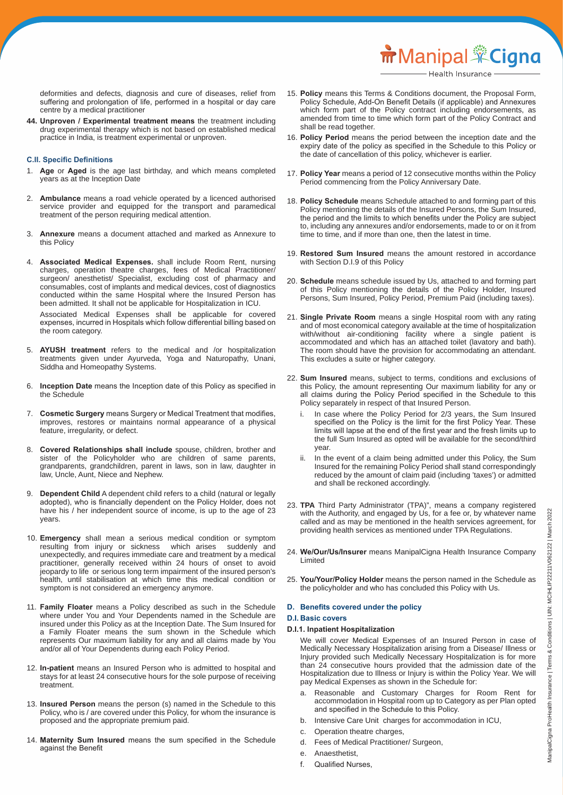deformities and defects, diagnosis and cure of diseases, relief from suffering and prolongation of life, performed in a hospital or day care centre by a medical practitioner

**44. Unproven / Experimental treatment means** the treatment including drug experimental therapy which is not based on established medical practice in India, is treatment experimental or unproven.

#### **C.II. Specific Definitions**

- 1. **Age** or **Aged** is the age last birthday, and which means completed years as at the Inception Date
- 2. **Ambulance** means a road vehicle operated by a licenced authorised service provider and equipped for the transport and paramedical treatment of the person requiring medical attention.
- 3. **Annexure** means a document attached and marked as Annexure to this Policy
- 4. **Associated Medical Expenses.** shall include Room Rent, nursing charges, operation theatre charges, fees of Medical Practitioner/ surgeon/ anesthetist/ Specialist, excluding cost of pharmacy and consumables, cost of implants and medical devices, cost of diagnostics conducted within the same Hospital where the Insured Person has been admitted. It shall not be applicable for Hospitalization in ICU.

 Associated Medical Expenses shall be applicable for covered expenses, incurred in Hospitals which follow differential billing based on the room category.

- 5.  **AYUSH treatment** refers to the medical and /or hospitalization treatments given under Ayurveda, Yoga and Naturopathy, Unani, Siddha and Homeopathy Systems.
- 6. **Inception Date** means the Inception date of this Policy as specified in the Schedule
- 7. **Cosmetic Surgery** means Surgery or Medical Treatment that modifies, improves, restores or maintains normal appearance of a physical feature, irregularity, or defect.
- 8. **Covered Relationships shall include** spouse, children, brother and sister of the Policyholder who are children of same parents, grandparents, grandchildren, parent in laws, son in law, daughter in law, Uncle, Aunt, Niece and Nephew.
- 9. **Dependent Child** A dependent child refers to a child (natural or legally adopted), who is financially dependent on the Policy Holder, does not have his / her independent source of income, is up to the age of 23 years.
- 10. **Emergency** shall mean a serious medical condition or symptom resulting from injury or sickness which arises suddenly and unexpectedly, and requires immediate care and treatment by a medical practitioner, generally received within 24 hours of onset to avoid jeopardy to life or serious long term impairment of the insured person's health, until stabilisation at which time this medical condition or symptom is not considered an emergency anymore.
- 11. **Family Floater** means a Policy described as such in the Schedule where under You and Your Dependents named in the Schedule are insured under this Policy as at the Inception Date. The Sum Insured for a Family Floater means the sum shown in the Schedule which represents Our maximum liability for any and all claims made by You and/or all of Your Dependents during each Policy Period.
- 12. **In-patient** means an Insured Person who is admitted to hospital and stays for at least 24 consecutive hours for the sole purpose of receiving treatment.
- 13. **Insured Person** means the person (s) named in the Schedule to this Policy, who is / are covered under this Policy, for whom the insurance is proposed and the appropriate premium paid.
- 14. **Maternity Sum Insured** means the sum specified in the Schedule against the Benefit
- 15. **Policy** means this Terms & Conditions document, the Proposal Form, Policy Schedule, Add-On Benefit Details (if applicable) and Annexures which form part of the Policy contract including endorsements, as amended from time to time which form part of the Policy Contract and shall be read together.
- 16. **Policy Period** means the period between the inception date and the expiry date of the policy as specified in the Schedule to this Policy or the date of cancellation of this policy, whichever is earlier.
- 17. **Policy Year** means a period of 12 consecutive months within the Policy Period commencing from the Policy Anniversary Date.
- 18. **Policy Schedule** means Schedule attached to and forming part of this Policy mentioning the details of the Insured Persons, the Sum Insured, the period and the limits to which benefits under the Policy are subject to, including any annexures and/or endorsements, made to or on it from time to time, and if more than one, then the latest in time.
- 19. **Restored Sum Insured** means the amount restored in accordance with Section D.I.9 of this Policy
- 20. **Schedule** means schedule issued by Us, attached to and forming part of this Policy mentioning the details of the Policy Holder, Insured Persons, Sum Insured, Policy Period, Premium Paid (including taxes).
- 21. **Single Private Room** means a single Hospital room with any rating and of most economical category available at the time of hospitalization with/without air-conditioning facility where a single patient is accommodated and which has an attached toilet (lavatory and bath). The room should have the provision for accommodating an attendant. This excludes a suite or higher category.
- 22. **Sum Insured** means, subject to terms, conditions and exclusions of this Policy, the amount representing Our maximum liability for any or all claims during the Policy Period specified in the Schedule to this Policy separately in respect of that Insured Person.
- i. In case where the Policy Period for 2/3 years, the Sum Insured specified on the Policy is the limit for the first Policy Year. These limits will lapse at the end of the first year and the fresh limits up to the full Sum Insured as opted will be available for the second/third year.
	- In the event of a claim being admitted under this Policy, the Sum Insured for the remaining Policy Period shall stand correspondingly reduced by the amount of claim paid (including 'taxes') or admitted and shall be reckoned accordingly.
- 23. **TPA** Third Party Administrator (TPA)", means a company registered with the Authority, and engaged by Us, for a fee or, by whatever name called and as may be mentioned in the health services agreement, for providing health services as mentioned under TPA Regulations.
- 24. **We/Our/Us/Insurer** means ManipalCigna Health Insurance Company Limited
- 25. **You/Your/Policy Holder** means the person named in the Schedule as the policyholder and who has concluded this Policy with Us.

#### **D. Benefits covered under the policy**

#### **D.I. Basic covers**

#### **D.I.1. Inpatient Hospitalization**

 We will cover Medical Expenses of an Insured Person in case of Medically Necessary Hospitalization arising from a Disease/ Illness or Injury provided such Medically Necessary Hospitalization is for more than 24 consecutive hours provided that the admission date of the Hospitalization due to Illness or Injury is within the Policy Year. We will pay Medical Expenses as shown in the Schedule for:

- a. Reasonable and Customary Charges for Room Rent for accommodation in Hospital room up to Category as per Plan opted and specified in the Schedule to this Policy.
- b. Intensive Care Unit charges for accommodation in ICU,
- c. Operation theatre charges,
- d. Fees of Medical Practitioner/ Surgeon,
- e. Anaesthetist,
- f. Qualified Nurses,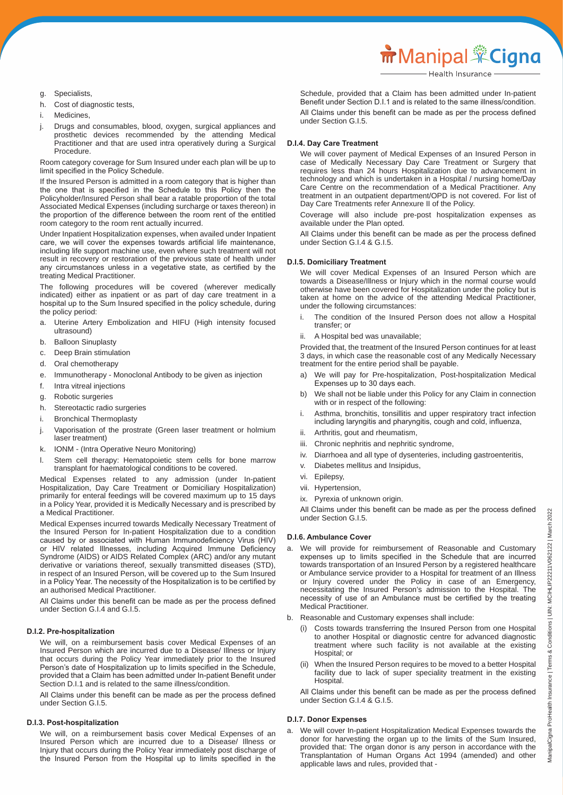**m** Manipal <sup>\*</sup>Cigna

- g. Specialists,
- h. Cost of diagnostic tests,
- i. Medicines,
- j. Drugs and consumables, blood, oxygen, surgical appliances and prosthetic devices recommended by the attending Medical Practitioner and that are used intra operatively during a Surgical Procedure.

 Room category coverage for Sum Insured under each plan will be up to limit specified in the Policy Schedule.

 If the Insured Person is admitted in a room category that is higher than the one that is specified in the Schedule to this Policy then the Policyholder/Insured Person shall bear a ratable proportion of the total Associated Medical Expenses (including surcharge or taxes thereon) in the proportion of the difference between the room rent of the entitled room category to the room rent actually incurred.

 Under Inpatient Hospitalization expenses, when availed under Inpatient care, we will cover the expenses towards artificial life maintenance, including life support machine use, even where such treatment will not result in recovery or restoration of the previous state of health under any circumstances unless in a vegetative state, as certified by the treating Medical Practitioner.

 The following procedures will be covered (wherever medically indicated) either as inpatient or as part of day care treatment in a hospital up to the Sum Insured specified in the policy schedule, during the policy period:

- a. Uterine Artery Embolization and HIFU (High intensity focused ultrasound)
- b. Balloon Sinuplasty
- c. Deep Brain stimulation
- d. Oral chemotherapy
- e. Immunotherapy Monoclonal Antibody to be given as injection
- f. Intra vitreal injections
- g. Robotic surgeries
- h. Stereotactic radio surgeries
- i. Bronchical Thermoplasty
- j. Vaporisation of the prostrate (Green laser treatment or holmium laser treatment)
- k. IONM (Intra Operative Neuro Monitoring)
- l. Stem cell therapy: Hematopoietic stem cells for bone marrow transplant for haematological conditions to be covered.

 Medical Expenses related to any admission (under In-patient Hospitalization, Day Care Treatment or Domiciliary Hospitalization) primarily for enteral feedings will be covered maximum up to 15 days in a Policy Year, provided it is Medically Necessary and is prescribed by a Medical Practitioner.

 Medical Expenses incurred towards Medically Necessary Treatment of the Insured Person for In-patient Hospitalization due to a condition caused by or associated with Human Immunodeficiency Virus (HIV) or HIV related Illnesses, including Acquired Immune Deficiency Syndrome (AIDS) or AIDS Related Complex (ARC) and/or any mutant derivative or variations thereof, sexually transmitted diseases (STD), in respect of an Insured Person, will be covered up to the Sum Insured in a Policy Year. The necessity of the Hospitalization is to be certified by an authorised Medical Practitioner.

 All Claims under this benefit can be made as per the process defined under Section G.I.4 and G.I.5.

#### **D.I.2. Pre-hospitalization**

 We will, on a reimbursement basis cover Medical Expenses of an Insured Person which are incurred due to a Disease/ Illness or Injury that occurs during the Policy Year immediately prior to the Insured Person's date of Hospitalization up to limits specified in the Schedule, provided that a Claim has been admitted under In-patient Benefit under Section D.I.1 and is related to the same illness/condition.

 All Claims under this benefit can be made as per the process defined under Section G.I.5.

#### **D.I.3. Post-hospitalization**

 We will, on a reimbursement basis cover Medical Expenses of an Insured Person which are incurred due to a Disease/ Illness or Injury that occurs during the Policy Year immediately post discharge of the Insured Person from the Hospital up to limits specified in the

 Schedule, provided that a Claim has been admitted under In-patient Benefit under Section D.I.1 and is related to the same illness/condition. All Claims under this benefit can be made as per the process defined under Section G.I.5.

#### **D.I.4. Day Care Treatment**

 We will cover payment of Medical Expenses of an Insured Person in case of Medically Necessary Day Care Treatment or Surgery that requires less than 24 hours Hospitalization due to advancement in technology and which is undertaken in a Hospital / nursing home/Day Care Centre on the recommendation of a Medical Practitioner. Any treatment in an outpatient department/OPD is not covered. For list of Day Care Treatments refer Annexure II of the Policy.

 Coverage will also include pre-post hospitalization expenses as available under the Plan opted.

 All Claims under this benefit can be made as per the process defined under Section G.I.4 & G.I.5.

#### **D.I.5. Domiciliary Treatment**

 We will cover Medical Expenses of an Insured Person which are towards a Disease/Illness or Injury which in the normal course would otherwise have been covered for Hospitalization under the policy but is taken at home on the advice of the attending Medical Practitioner, under the following circumstances:

- The condition of the Insured Person does not allow a Hospital transfer; or
- ii. A Hospital bed was unavailable;

 Provided that, the treatment of the Insured Person continues for at least 3 days, in which case the reasonable cost of any Medically Necessary treatment for the entire period shall be payable.

- a) We will pay for Pre-hospitalization, Post-hospitalization Medical Expenses up to 30 days each.
- b) We shall not be liable under this Policy for any Claim in connection with or in respect of the following:
- i. Asthma, bronchitis, tonsillitis and upper respiratory tract infection including laryngitis and pharyngitis, cough and cold, influenza,
- ii. Arthritis, gout and rheumatism,
- iii. Chronic nephritis and nephritic syndrome,
- iv. Diarrhoea and all type of dysenteries, including gastroenteritis,
- Diabetes mellitus and Insipidus,
- vi. Epilepsy,
- vii. Hypertension,
- ix. Pyrexia of unknown origin.

 All Claims under this benefit can be made as per the process defined under Section G.I.5.

#### **D.I.6. Ambulance Cover**

- a. We will provide for reimbursement of Reasonable and Customary expenses up to limits specified in the Schedule that are incurred towards transportation of an Insured Person by a registered healthcare or Ambulance service provider to a Hospital for treatment of an Illness or Injury covered under the Policy in case of an Emergency, necessitating the Insured Person's admission to the Hospital. The necessity of use of an Ambulance must be certified by the treating Medical Practitioner.
- b. Reasonable and Customary expenses shall include:
	- (i) Costs towards transferring the Insured Person from one Hospital to another Hospital or diagnostic centre for advanced diagnostic treatment where such facility is not available at the existing Hospital; or
	- (ii) When the Insured Person requires to be moved to a better Hospital facility due to lack of super speciality treatment in the existing Hospital.

 All Claims under this benefit can be made as per the process defined under Section G.I.4 & G.I.5.

#### **D.I.7. Donor Expenses**

a. We will cover In-patient Hospitalization Medical Expenses towards the donor for harvesting the organ up to the limits of the Sum Insured, provided that: The organ donor is any person in accordance with the Transplantation of Human Organs Act 1994 (amended) and other applicable laws and rules, provided that -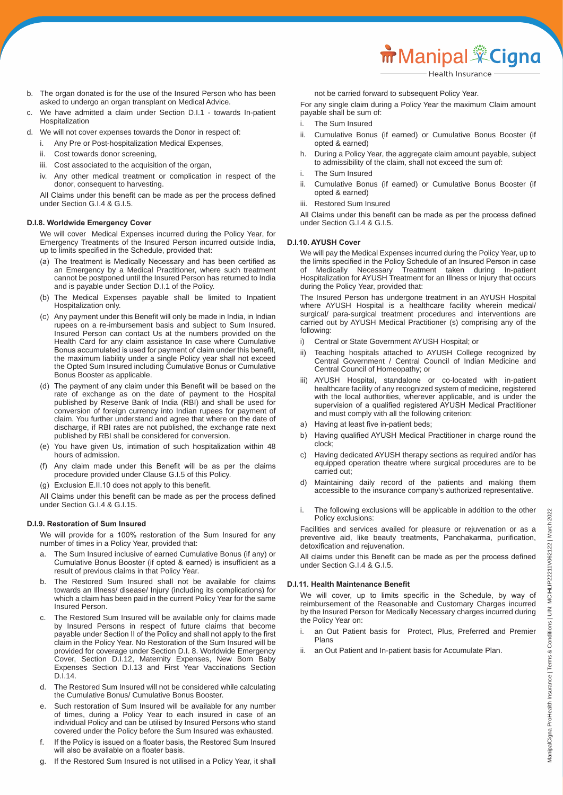- b. The organ donated is for the use of the Insured Person who has been asked to undergo an organ transplant on Medical Advice.
- c. We have admitted a claim under Section D.I.1 towards In-patient Hospitalization
- d. We will not cover expenses towards the Donor in respect of:
	- i. Any Pre or Post-hospitalization Medical Expenses,
	- ii. Cost towards donor screening,
	- iii. Cost associated to the acquisition of the organ,
	- iv. Any other medical treatment or complication in respect of the donor, consequent to harvesting.

 All Claims under this benefit can be made as per the process defined under Section G.I.4 & G.I.5.

#### **D.I.8. Worldwide Emergency Cover**

 We will cover Medical Expenses incurred during the Policy Year, for Emergency Treatments of the Insured Person incurred outside India, up to limits specified in the Schedule, provided that:

- (a) The treatment is Medically Necessary and has been certified as an Emergency by a Medical Practitioner, where such treatment cannot be postponed until the Insured Person has returned to India and is payable under Section D.I.1 of the Policy.
- (b) The Medical Expenses payable shall be limited to Inpatient Hospitalization only.
- (c) Any payment under this Benefit will only be made in India, in Indian rupees on a re-imbursement basis and subject to Sum Insured. Insured Person can contact Us at the numbers provided on the Health Card for any claim assistance In case where Cumulative Bonus accumulated is used for payment of claim under this benefit, the maximum liability under a single Policy year shall not exceed the Opted Sum Insured including Cumulative Bonus or Cumulative Bonus Booster as applicable.
- (d) The payment of any claim under this Benefit will be based on the rate of exchange as on the date of payment to the Hospital published by Reserve Bank of India (RBI) and shall be used for conversion of foreign currency into Indian rupees for payment of claim. You further understand and agree that where on the date of discharge, if RBI rates are not published, the exchange rate next published by RBI shall be considered for conversion.
- (e) You have given Us, intimation of such hospitalization within 48 hours of admission.
- (f) Any claim made under this Benefit will be as per the claims procedure provided under Clause G.I.5 of this Policy.
- (g) Exclusion E.II.10 does not apply to this benefit.

 All Claims under this benefit can be made as per the process defined under Section G.I.4 & G.I.15.

#### **D.I.9. Restoration of Sum Insured**

 We will provide for a 100% restoration of the Sum Insured for any number of times in a Policy Year, provided that:

- a. The Sum Insured inclusive of earned Cumulative Bonus (if any) or Cumulative Bonus Booster (if opted & earned) is insufficient as a result of previous claims in that Policy Year.
- b. The Restored Sum Insured shall not be available for claims towards an Illness/ disease/ Injury (including its complications) for which a claim has been paid in the current Policy Year for the same Insured Person.
- c. The Restored Sum Insured will be available only for claims made by Insured Persons in respect of future claims that become payable under Section II of the Policy and shall not apply to the first claim in the Policy Year. No Restoration of the Sum Insured will be provided for coverage under Section D.I. 8. Worldwide Emergency Cover, Section D.I.12, Maternity Expenses, New Born Baby Expenses Section D.I.13 and First Year Vaccinations Section D.I.14.
- d. The Restored Sum Insured will not be considered while calculating the Cumulative Bonus/ Cumulative Bonus Booster.
- e. Such restoration of Sum Insured will be available for any number of times, during a Policy Year to each insured in case of an individual Policy and can be utilised by Insured Persons who stand covered under the Policy before the Sum Insured was exhausted.
- f. If the Policy is issued on a floater basis, the Restored Sum Insured will also be available on a floater basis.
- g. If the Restored Sum Insured is not utilised in a Policy Year, it shall

not be carried forward to subsequent Policy Year.

 For any single claim during a Policy Year the maximum Claim amount payable shall be sum of:

- i. The Sum Insured
- ii. Cumulative Bonus (if earned) or Cumulative Bonus Booster (if opted & earned)
- h. During a Policy Year, the aggregate claim amount payable, subject to admissibility of the claim, shall not exceed the sum of:
- i. The Sum Insured
- ii. Cumulative Bonus (if earned) or Cumulative Bonus Booster (if opted & earned)
- iii. Restored Sum Insured

 All Claims under this benefit can be made as per the process defined under Section G.I.4 & G.I.5.

#### **D.I.10. AYUSH Cover**

 We will pay the Medical Expenses incurred during the Policy Year, up to the limits specified in the Policy Schedule of an Insured Person in case of Medically Necessary Treatment taken during In-patient Hospitalization for AYUSH Treatment for an Illness or Injury that occurs during the Policy Year, provided that:

 The Insured Person has undergone treatment in an AYUSH Hospital where AYUSH Hospital is a healthcare facility wherein medical/ surgical/ para-surgical treatment procedures and interventions are carried out by AYUSH Medical Practitioner (s) comprising any of the following:

- i) Central or State Government AYUSH Hospital; or
- ii) Teaching hospitals attached to AYUSH College recognized by Central Government / Central Council of Indian Medicine and Central Council of Homeopathy; or
- iii) AYUSH Hospital, standalone or co-located with in-patient healthcare facility of any recognized system of medicine, registered with the local authorities, wherever applicable, and is under the supervision of a qualified registered AYUSH Medical Practitioner and must comply with all the following criterion:
- a) Having at least five in-patient beds:
- b) Having qualified AYUSH Medical Practitioner in charge round the clock;
- c) Having dedicated AYUSH therapy sections as required and/or has equipped operation theatre where surgical procedures are to be carried out;
- d) Maintaining daily record of the patients and making them accessible to the insurance company's authorized representative.
- i. The following exclusions will be applicable in addition to the other Policy exclusions:

 Facilities and services availed for pleasure or rejuvenation or as a preventive aid, like beauty treatments, Panchakarma, purification, detoxification and rejuvenation.

 All claims under this Benefit can be made as per the process defined under Section G.I.4 & G.I.5.

#### **D.I.11. Health Maintenance Benefit**

 We will cover, up to limits specific in the Schedule, by way of reimbursement of the Reasonable and Customary Charges incurred by the Insured Person for Medically Necessary charges incurred during the Policy Year on:

- i. an Out Patient basis for Protect, Plus, Preferred and Premier **Plans**
- ii. an Out Patient and In-patient basis for Accumulate Plan.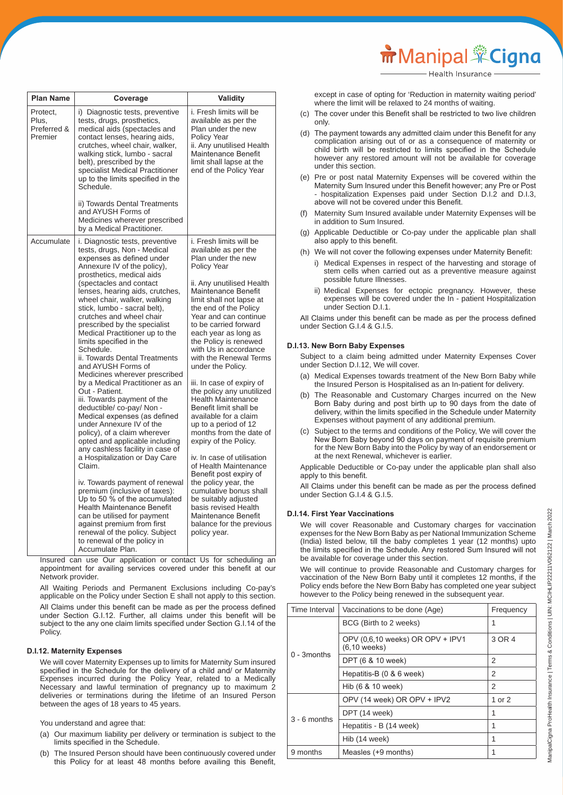except in case of opting for 'Reduction in maternity waiting period' where the limit will be relaxed to 24 months of waiting.

**m** Manipal <sup>\*</sup>Cigna

- (c) The cover under this Benefit shall be restricted to two live children only.
- (d) The payment towards any admitted claim under this Benefit for any complication arising out of or as a consequence of maternity or child birth will be restricted to limits specified in the Schedule however any restored amount will not be available for coverage under this section.
- (e) Pre or post natal Maternity Expenses will be covered within the Maternity Sum Insured under this Benefit however; any Pre or Post - hospitalization Expenses paid under Section D.I.2 and D.I.3, above will not be covered under this Benefit.
- (f) Maternity Sum Insured available under Maternity Expenses will be in addition to Sum Insured.
- (g) Applicable Deductible or Co-pay under the applicable plan shall also apply to this benefit.
- (h) We will not cover the following expenses under Maternity Benefit:
	- i) Medical Expenses in respect of the harvesting and storage of stem cells when carried out as a preventive measure against possible future Illnesses.
	- ii) Medical Expenses for ectopic pregnancy. However, these expenses will be covered under the In - patient Hospitalization under Section D.I.1.

 All Claims under this benefit can be made as per the process defined under Section G.I.4 & G.I.5.

#### **D.I.13. New Born Baby Expenses**

 Subject to a claim being admitted under Maternity Expenses Cover under Section D.I.12, We will cover.

- (a) Medical Expenses towards treatment of the New Born Baby while the Insured Person is Hospitalised as an In-patient for delivery.
- (b) The Reasonable and Customary Charges incurred on the New Born Baby during and post birth up to 90 days from the date of delivery, within the limits specified in the Schedule under Maternity Expenses without payment of any additional premium.
- (c) Subject to the terms and conditions of the Policy, We will cover the New Born Baby beyond 90 days on payment of requisite premium for the New Born Baby into the Policy by way of an endorsement or at the next Renewal, whichever is earlier.

 Applicable Deductible or Co-pay under the applicable plan shall also apply to this benefit.

 All Claims under this benefit can be made as per the process defined under Section G.I.4 & G.I.5.

#### **D.I.14. First Year Vaccinations**

We will cover Reasonable and Customary charges for vaccination expenses for the New Born Baby as per National Immunization Scheme (India) listed below, till the baby completes 1 year (12 months) upto the limits specified in the Schedule. Any restored Sum Insured will not be available for coverage under this section.

 We will continue to provide Reasonable and Customary charges for vaccination of the New Born Baby until it completes 12 months, if the Policy ends before the New Born Baby has completed one year subject however to the Policy being renewed in the subsequent year.

| Time Interval  | Vaccinations to be done (Age)                      | Frequency |
|----------------|----------------------------------------------------|-----------|
|                | BCG (Birth to 2 weeks)                             | 1         |
|                | OPV (0,6,10 weeks) OR OPV + IPV1<br>$(6.10$ weeks) | 3 OR 4    |
| $0 - 3$ months | DPT (6 & 10 week)                                  | 2         |
|                | Hepatitis-B (0 & 6 week)                           | 2         |
|                | Hib (6 & 10 week)                                  | 2         |
|                | OPV (14 week) OR OPV + IPV2                        | 1 or 2    |
| $3 - 6$ months | DPT (14 week)                                      | 1         |
|                | Hepatitis - B (14 week)                            | 1         |
|                | Hib (14 week)                                      | 1         |
| 9 months       | Measles (+9 months)                                |           |

**Plan Name Coverage Validity** Protect, Plus, Preferred & Premier i) Diagnostic tests, preventive tests, drugs, prosthetics, medical aids (spectacles and contact lenses, hearing aids, crutches, wheel chair, walker, walking stick, lumbo - sacral belt), prescribed by the specialist Medical Practitioner up to the limits specified in the Schedule. ii) Towards Dental Treatments and AYUSH Forms of Medicines wherever prescribed by a Medical Practitioner. i. Fresh limits will be available as per the Plan under the new Policy Year ii. Any unutilised Health Maintenance Benefit limit shall lapse at the end of the Policy Year Accumulate i. Diagnostic tests, preventive tests, drugs, Non - Medical expenses as defined under Annexure IV of the policy), prosthetics, medical aids (spectacles and contact lenses, hearing aids, crutches, wheel chair, walker, walking stick, lumbo - sacral belt), crutches and wheel chair prescribed by the specialist Medical Practitioner up to the limits specified in the Schedule. ii. Towards Dental Treatments and AYUSH Forms of Medicines wherever prescribed by a Medical Practitioner as an Out - Patient. iii. Towards payment of the deductible/ co-pay/ Non - Medical expenses (as defined under Annexure IV of the policy), of a claim wherever opted and applicable including any cashless facility in case of a Hospitalization or Day Care Claim. iv. Towards payment of renewal premium (inclusive of taxes): Up to 50 % of the accumulated Health Maintenance Benefit can be utilised for payment against premium from first renewal of the policy. Subject to renewal of the policy in Accumulate Plan. i. Fresh limits will be available as per the Plan under the new Policy Year ii. Any unutilised Health Maintenance Benefit limit shall not lapse at the end of the Policy Year and can continue to be carried forward each year as long as the Policy is renewed with Us in accordance with the Renewal Terms under the Policy. iii. In case of expiry of the policy any unutilized Health Maintenance Benefit limit shall be available for a claim up to a period of 12 months from the date of expiry of the Policy. iv. In case of utilisation of Health Maintenance Benefit post expiry of the policy year, the cumulative bonus shall be suitably adjusted basis revised Health Maintenance Benefit balance for the previous policy year.

 Insured can use Our application or contact Us for scheduling an appointment for availing services covered under this benefit at our Network provider.

 All Waiting Periods and Permanent Exclusions including Co-pay's applicable on the Policy under Section E shall not apply to this section. All Claims under this benefit can be made as per the process defined under Section G.I.12. Further, all claims under this benefit will be subject to the any one claim limits specified under Section G.I.14 of the Policy.

## **D.I.12. Maternity Expenses**

 We will cover Maternity Expenses up to limits for Maternity Sum insured specified in the Schedule for the delivery of a child and/ or Maternity Expenses incurred during the Policy Year, related to a Medically Necessary and lawful termination of pregnancy up to maximum 2 deliveries or terminations during the lifetime of an Insured Person between the ages of 18 years to 45 years.

You understand and agree that:

- (a) Our maximum liability per delivery or termination is subject to the limits specified in the Schedule.
- (b) The Insured Person should have been continuously covered under this Policy for at least 48 months before availing this Benefit,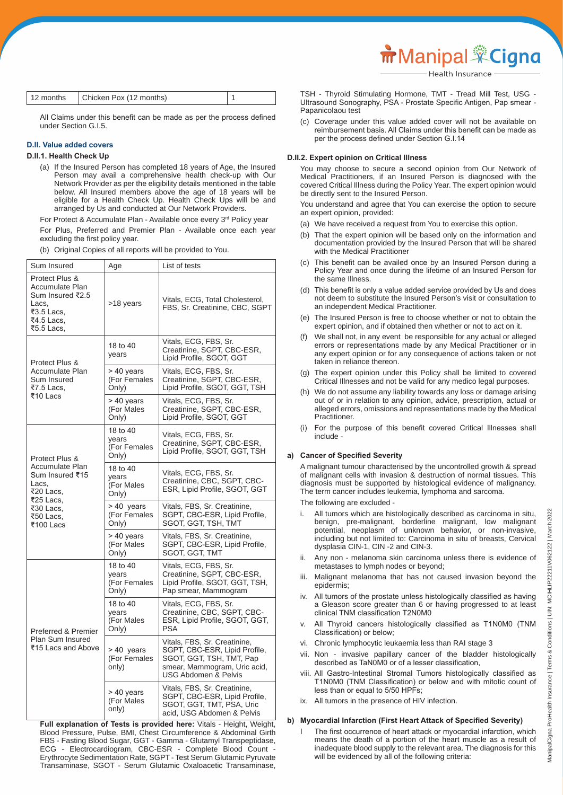| 12 months | Chicken Pox (12 months) |  |
|-----------|-------------------------|--|
|-----------|-------------------------|--|

 All Claims under this benefit can be made as per the process defined under Section G.I.5.

#### **D.II. Value added covers**

#### **D.II.1. Health Check Up**

 (a) If the Insured Person has completed 18 years of Age, the Insured Person may avail a comprehensive health check-up with Our Network Provider as per the eligibility details mentioned in the table below. All Insured members above the age of 18 years will be eligible for a Health Check Up. Health Check Ups will be and arranged by Us and conducted at Our Network Providers.

For Protect & Accumulate Plan - Available once every 3rd Policy year For Plus, Preferred and Premier Plan - Available once each year excluding the first policy year.

(b) Original Copies of all reports will be provided to You.

| Sum Insured                                                                                              | Age                                        | List of tests                                                                                                                                                |
|----------------------------------------------------------------------------------------------------------|--------------------------------------------|--------------------------------------------------------------------------------------------------------------------------------------------------------------|
| Protect Plus &<br>Accumulate Plan<br>Sum Insured ₹2.5<br>Lacs,<br>₹3.5 Lacs,<br>₹4.5 Lacs,<br>₹5.5 Lacs, | >18 years                                  | Vitals, ECG, Total Cholesterol,<br>FBS, Sr. Creatinine, CBC, SGPT                                                                                            |
| Protect Plus &                                                                                           | 18 to 40<br>years                          | Vitals, ECG, FBS, Sr.<br>Creatinine, SGPT, CBC-ESR,<br>Lipid Profile, SGOT, GGT                                                                              |
| Accumulate Plan<br>Sum Insured<br>₹7.5 Lacs,                                                             | > 40 years<br>(For Females<br>Only)        | Vitals, ECG, FBS, Sr.<br>Creatinine, SGPT, CBC-ESR,<br>Lipid Profile, SGOT, GGT, TSH                                                                         |
| ₹10 Lacs                                                                                                 | > 40 years<br>(For Males<br>Only)          | Vitals, ECG, FBS, Sr.<br>Creatinine, SGPT, CBC-ESR,<br>Lipid Profile, SGOT, GGT                                                                              |
| Protect Plus &                                                                                           | 18 to 40<br>years<br>(For Females<br>Only) | Vitals, ECG, FBS, Sr.<br>Creatinine, SGPT, CBC-ESR,<br>Lipid Profile, SGOT, GGT, TSH                                                                         |
| Accumulate Plan<br>Sum Insured ₹15<br>Lacs,<br>₹20 Lacs,                                                 | 18 to 40<br>vears<br>(For Males<br>Only)   | Vitals, ECG, FBS, Sr.<br>Creatinine, CBC, SGPT, CBC-<br>ESR, Lipid Profile, SGOT, GGT                                                                        |
| ₹25 Lacs,<br>₹30 Lacs,<br>₹50 Lacs,<br>₹100 Lacs                                                         | > 40 years<br>(For Females<br>Only)        | Vitals, FBS, Sr. Creatinine,<br>SGPT, CBC-ESR, Lipid Profile,<br>SGOT, GGT, TSH, TMT                                                                         |
|                                                                                                          | > 40 years<br>(For Males<br>Only)          | Vitals, FBS, Sr. Creatinine,<br>SGPT, CBC-ESR, Lipid Profile,<br>SGOT, GGT, TMT                                                                              |
|                                                                                                          | 18 to 40<br>vears<br>(For Females<br>Only) | Vitals, ECG, FBS, Sr.<br>Creatinine, SGPT, CBC-ESR,<br>Lipid Profile, SGOT, GGT, TSH,<br>Pap smear, Mammogram                                                |
| Preferred & Premier<br>Plan Sum Insured<br>₹15 Lacs and Above                                            | 18 to 40<br>vears<br>(For Males<br>Only)   | Vitals, ECG, FBS, Sr.<br>Creatinine, CBC, SGPT, CBC-<br>ESR, Lipid Profile, SGOT, GGT,<br><b>PSA</b>                                                         |
|                                                                                                          | > 40 years<br>(For Females<br>only)        | Vitals, FBS, Sr. Creatinine,<br>SGPT, CBC-ESR, Lipid Profile,<br>SGOT, GGT, TSH, TMT, Pap<br>smear, Mammogram, Uric acid,<br><b>USG Abdomen &amp; Pelvis</b> |
|                                                                                                          | > 40 years<br>(For Males<br>only)          | Vitals, FBS, Sr. Creatinine,<br>SGPT, CBC-ESR, Lipid Profile,<br>SGOT, GGT, TMT, PSA, Uric<br>acid, USG Abdomen & Pelvis                                     |

 **Full explanation of Tests is provided here:** Vitals - Height, Weight, Blood Pressure, Pulse, BMI, Chest Circumference & Abdominal Girth FBS - Fasting Blood Sugar, GGT - Gamma - Glutamyl Transpeptidase, ECG - Electrocardiogram, CBC-ESR - Complete Blood Count - Erythrocyte Sedimentation Rate, SGPT - Test Serum Glutamic Pyruvate Transaminase, SGOT - Serum Glutamic Oxaloacetic Transaminase,

 TSH - Thyroid Stimulating Hormone, TMT - Tread Mill Test, USG - Ultrasound Sonography, PSA - Prostate Specific Antigen, Pap smear - Papanicolaou test

 (c) Coverage under this value added cover will not be available on reimbursement basis. All Claims under this benefit can be made as per the process defined under Section G.I.14

#### **D.II.2. Expert opinion on Critical Illness**

 You may choose to secure a second opinion from Our Network of Medical Practitioners, if an Insured Person is diagnosed with the covered Critical Illness during the Policy Year. The expert opinion would be directly sent to the Insured Person.

 You understand and agree that You can exercise the option to secure an expert opinion, provided:

- (a) We have received a request from You to exercise this option.
- (b) That the expert opinion will be based only on the information and documentation provided by the Insured Person that will be shared with the Medical Practitioner
- This benefit can be availed once by an Insured Person during a Policy Year and once during the lifetime of an Insured Person for the same Illness.
- (d) This benefit is only a value added service provided by Us and does not deem to substitute the Insured Person's visit or consultation to an independent Medical Practitioner.
- (e) The Insured Person is free to choose whether or not to obtain the expert opinion, and if obtained then whether or not to act on it.
- (f) We shall not, in any event be responsible for any actual or alleged errors or representations made by any Medical Practitioner or in any expert opinion or for any consequence of actions taken or not taken in reliance thereon.
- (g) The expert opinion under this Policy shall be limited to covered Critical Illnesses and not be valid for any medico legal purposes.
- (h) We do not assume any liability towards any loss or damage arising out of or in relation to any opinion, advice, prescription, actual or alleged errors, omissions and representations made by the Medical Practitioner.
- (i) For the purpose of this benefit covered Critical Illnesses shall include -

#### **a) Cancer of Specified Severity**

 A malignant tumour characterised by the uncontrolled growth & spread of malignant cells with invasion & destruction of normal tissues. This diagnosis must be supported by histological evidence of malignancy. The term cancer includes leukemia, lymphoma and sarcoma.

The following are excluded -

- All tumors which are histologically described as carcinoma in situ, benign, pre-malignant, borderline malignant, low malignant potential, neoplasm of unknown behavior, or non-invasive, including but not limited to: Carcinoma in situ of breasts, Cervical dysplasia CIN-1, CIN -2 and CIN-3.
- ii. Any non melanoma skin carcinoma unless there is evidence of metastases to lymph nodes or beyond;
- Malignant melanoma that has not caused invasion beyond the epidermis;
- iv. All tumors of the prostate unless histologically classified as having a Gleason score greater than 6 or having progressed to at least clinical TNM classification T2N0M0
- All Thyroid cancers histologically classified as T1N0M0 (TNM Classification) or below;
- vi. Chronic lymphocytic leukaemia less than RAI stage 3
- vii. Non invasive papillary cancer of the bladder histologically described as TaN0M0 or of a lesser classification,
- viii. All Gastro-Intestinal Stromal Tumors histologically classified as T1N0M0 (TNM Classification) or below and with mitotic count of less than or equal to 5/50 HPFs;
- ix. All tumors in the presence of HIV infection.

#### **b) Myocardial Infarction (First Heart Attack of Specified Severity)**

The first occurrence of heart attack or myocardial infarction, which means the death of a portion of the heart muscle as a result of inadequate blood supply to the relevant area. The diagnosis for this will be evidenced by all of the following criteria: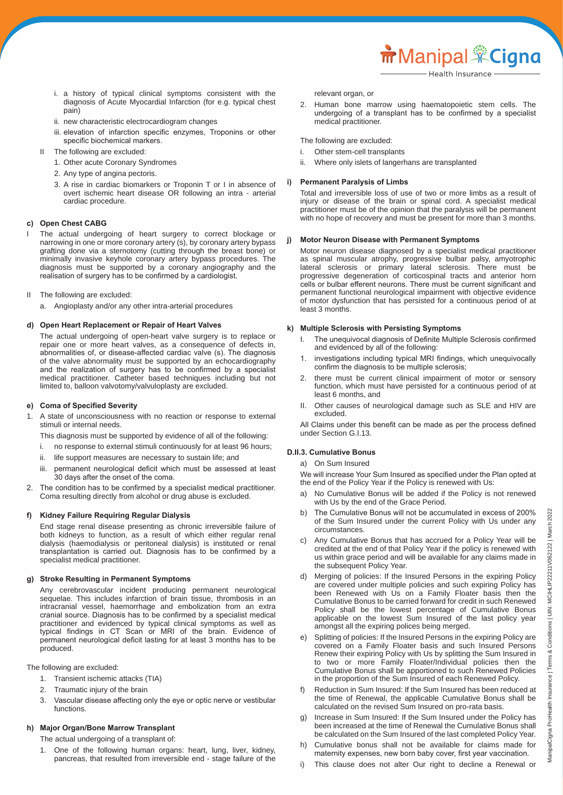i. a history of typical clinical symptoms consistent with the diagnosis of Acute Myocardial Infarction (for e.g. typical chest pain)

- ii. new characteristic electrocardiogram changes
- iii. elevation of infarction specific enzymes, Troponins or other specific biochemical markers.
- II The following are excluded:
	- 1. Other acute Coronary Syndromes
	- 2. Any type of angina pectoris.
	- 3. A rise in cardiac biomarkers or Troponin T or I in absence of overt ischemic heart disease OR following an intra - arterial cardiac procedure.

## **c) Open Chest CABG**

- I The actual undergoing of heart surgery to correct blockage or narrowing in one or more coronary artery (s), by coronary artery bypass grafting done via a sternotomy (cutting through the breast bone) or minimally invasive keyhole coronary artery bypass procedures. The diagnosis must be supported by a coronary angiography and the realisation of surgery has to be confirmed by a cardiologist.
- II The following are excluded:
	- a. Angioplasty and/or any other intra-arterial procedures

#### **d) Open Heart Replacement or Repair of Heart Valves**

 The actual undergoing of open-heart valve surgery is to replace or repair one or more heart valves, as a consequence of defects in, abnormalities of, or disease-affected cardiac valve (s). The diagnosis of the valve abnormality must be supported by an echocardiography and the realization of surgery has to be confirmed by a specialist medical practitioner. Catheter based techniques including but not limited to, balloon valvotomy/valvuloplasty are excluded.

#### **e) Coma of Specified Severity**

1. A state of unconsciousness with no reaction or response to external stimuli or internal needs.

This diagnosis must be supported by evidence of all of the following:

- i. no response to external stimuli continuously for at least 96 hours;
- ii. life support measures are necessary to sustain life; and
- iii. permanent neurological deficit which must be assessed at least 30 days after the onset of the coma.
- 2. The condition has to be confirmed by a specialist medical practitioner. Coma resulting directly from alcohol or drug abuse is excluded.

#### **f) Kidney Failure Requiring Regular Dialysis**

 End stage renal disease presenting as chronic irreversible failure of both kidneys to function, as a result of which either regular renal dialysis (haemodialysis or peritoneal dialysis) is instituted or renal transplantation is carried out. Diagnosis has to be confirmed by a specialist medical practitioner.

#### **g) Stroke Resulting in Permanent Symptoms**

 Any cerebrovascular incident producing permanent neurological sequelae. This includes infarction of brain tissue, thrombosis in an intracranial vessel, haemorrhage and embolization from an extra cranial source. Diagnosis has to be confirmed by a specialist medical practitioner and evidenced by typical clinical symptoms as well as typical findings in CT Scan or MRI of the brain. Evidence of permanent neurological deficit lasting for at least 3 months has to be produced.

The following are excluded:

- 1. Transient ischemic attacks (TIA)
- 2. Traumatic injury of the brain
- 3. Vascular disease affecting only the eye or optic nerve or vestibular functions.

#### **h) Major Organ/Bone Marrow Transplant**

The actual undergoing of a transplant of:

 1. One of the following human organs: heart, lung, liver, kidney, pancreas, that resulted from irreversible end - stage failure of the relevant organ, or

 2. Human bone marrow using haematopoietic stem cells. The undergoing of a transplant has to be confirmed by a specialist medical practitioner.

The following are excluded:

- i. Other stem-cell transplants
- ii. Where only islets of langerhans are transplanted

#### **i) Permanent Paralysis of Limbs**

 Total and irreversible loss of use of two or more limbs as a result of injury or disease of the brain or spinal cord. A specialist medical practitioner must be of the opinion that the paralysis will be permanent with no hope of recovery and must be present for more than 3 months.

#### **j) Motor Neuron Disease with Permanent Symptoms**

 Motor neuron disease diagnosed by a specialist medical practitioner as spinal muscular atrophy, progressive bulbar palsy, amyotrophic lateral sclerosis or primary lateral sclerosis. There must be progressive degeneration of corticospinal tracts and anterior horn cells or bulbar efferent neurons. There must be current significant and permanent functional neurological impairment with objective evidence of motor dysfunction that has persisted for a continuous period of at least 3 months.

#### **k) Multiple Sclerosis with Persisting Symptoms**

- I. The unequivocal diagnosis of Definite Multiple Sclerosis confirmed and evidenced by all of the following:
- 1. investigations including typical MRI findings, which unequivocally confirm the diagnosis to be multiple sclerosis;
- there must be current clinical impairment of motor or sensory function, which must have persisted for a continuous period of at least 6 months, and
- II. Other causes of neurological damage such as SLE and HIV are excluded.

 All Claims under this benefit can be made as per the process defined under Section G.I.13.

#### **D.II.3. Cumulative Bonus**

a) On Sum Insured

- We will increase Your Sum Insured as specified under the Plan opted at the end of the Policy Year if the Policy is renewed with Us:
- a) No Cumulative Bonus will be added if the Policy is not renewed with Us by the end of the Grace Period.
- b) The Cumulative Bonus will not be accumulated in excess of 200% of the Sum Insured under the current Policy with Us under any circumstances.
- c) Any Cumulative Bonus that has accrued for a Policy Year will be credited at the end of that Policy Year if the policy is renewed with us within grace period and will be available for any claims made in the subsequent Policy Year.
- d) Merging of policies: If the Insured Persons in the expiring Policy are covered under multiple policies and such expiring Policy has been Renewed with Us on a Family Floater basis then the Cumulative Bonus to be carried forward for credit in such Renewed Policy shall be the lowest percentage of Cumulative Bonus applicable on the lowest Sum Insured of the last policy year amongst all the expiring polices being merged.
- e) Splitting of policies: If the Insured Persons in the expiring Policy are covered on a Family Floater basis and such Insured Persons Renew their expiring Policy with Us by splitting the Sum Insured in to two or more Family Floater/Individual policies then the Cumulative Bonus shall be apportioned to such Renewed Policies in the proportion of the Sum Insured of each Renewed Policy.
	- f) Reduction in Sum Insured: If the Sum Insured has been reduced at the time of Renewal, the applicable Cumulative Bonus shall be calculated on the revised Sum Insured on pro-rata basis.
	- Increase in Sum Insured: If the Sum Insured under the Policy has been increased at the time of Renewal the Cumulative Bonus shall be calculated on the Sum Insured of the last completed Policy Year.
	- h) Cumulative bonus shall not be available for claims made for maternity expenses, new born baby cover, first year vaccination.
	- i) This clause does not alter Our right to decline a Renewal or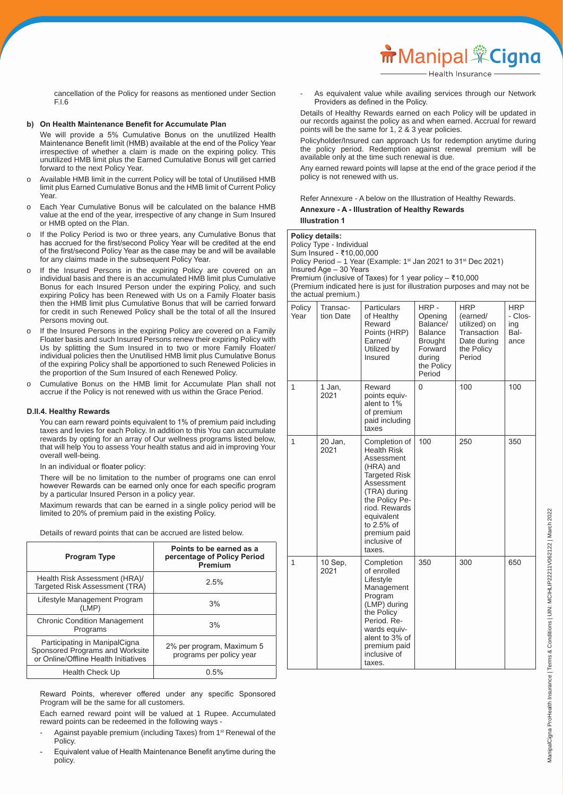cancellation of the Policy for reasons as mentioned under Section F.I.6

#### **b) On Health Maintenance Benefit for Accumulate Plan**

 We will provide a 5% Cumulative Bonus on the unutilized Health Maintenance Benefit limit (HMB) available at the end of the Policy Year irrespective of whether a claim is made on the expiring policy. This unutilized HMB limit plus the Earned Cumulative Bonus will get carried forward to the next Policy Year.

- o Available HMB limit in the current Policy will be total of Unutilised HMB limit plus Earned Cumulative Bonus and the HMB limit of Current Policy Year
- o Each Year Cumulative Bonus will be calculated on the balance HMB value at the end of the year, irrespective of any change in Sum Insured or HMB opted on the Plan.
- o If the Policy Period is two or three years, any Cumulative Bonus that has accrued for the first/second Policy Year will be credited at the end of the first/second Policy Year as the case may be and will be available for any claims made in the subsequent Policy Year.
- o If the Insured Persons in the expiring Policy are covered on an individual basis and there is an accumulated HMB limit plus Cumulative Bonus for each Insured Person under the expiring Policy, and such expiring Policy has been Renewed with Us on a Family Floater basis then the HMB limit plus Cumulative Bonus that will be carried forward for credit in such Renewed Policy shall be the total of all the Insured Persons moving out.
- o If the Insured Persons in the expiring Policy are covered on a Family Floater basis and such Insured Persons renew their expiring Policy with Us by splitting the Sum Insured in to two or more Family Floater/ individual policies then the Unutilised HMB limit plus Cumulative Bonus of the expiring Policy shall be apportioned to such Renewed Policies in the proportion of the Sum Insured of each Renewed Policy.
- o Cumulative Bonus on the HMB limit for Accumulate Plan shall not accrue if the Policy is not renewed with us within the Grace Period.

#### **D.II.4. Healthy Rewards**

 You can earn reward points equivalent to 1% of premium paid including taxes and levies for each Policy. In addition to this You can accumulate rewards by opting for an array of Our wellness programs listed below, that will help You to assess Your health status and aid in improving Your overall well-being.

 In an individual or floater policy:

 There will be no limitation to the number of programs one can enrol however Rewards can be earned only once for each specific program by a particular Insured Person in a policy year.

 Maximum rewards that can be earned in a single policy period will be limited to 20% of premium paid in the existing Policy.

Details of reward points that can be accrued are listed below.

| <b>Program Type</b>                                                                                      | Points to be earned as a<br>percentage of Policy Period<br>Premium |
|----------------------------------------------------------------------------------------------------------|--------------------------------------------------------------------|
| Health Risk Assessment (HRA)/<br><b>Targeted Risk Assessment (TRA)</b>                                   | 2.5%                                                               |
| Lifestyle Management Program<br>(LMP)                                                                    | 3%                                                                 |
| <b>Chronic Condition Management</b><br>Programs                                                          | 3%                                                                 |
| Participating in ManipalCigna<br>Sponsored Programs and Worksite<br>or Online/Offline Health Initiatives | 2% per program, Maximum 5<br>programs per policy year              |
| Health Check Up                                                                                          | 0.5%                                                               |

 Reward Points, wherever offered under any specific Sponsored Program will be the same for all customers.

 Each earned reward point will be valued at 1 Rupee. Accumulated reward points can be redeemed in the following ways -

- Against payable premium (including Taxes) from 1<sup>st</sup> Renewal of the **Policy**
- Equivalent value of Health Maintenance Benefit anytime during the policy.

As equivalent value while availing services through our Network Providers as defined in the Policy.

 Details of Healthy Rewards earned on each Policy will be updated in our records against the policy as and when earned. Accrual for reward points will be the same for 1, 2 & 3 year policies.

 Policyholder/Insured can approach Us for redemption anytime during the policy period. Redemption against renewal premium will be available only at the time such renewal is due.

 Any earned reward points will lapse at the end of the grace period if the policy is not renewed with us.

#### Refer Annexure - A below on the Illustration of Healthy Rewards.  **Annexure - A - Illustration of Healthy Rewards Illustration 1**

|                | <b>Policy details:</b><br>Policy Type - Individual<br>Sum Insured - ₹10,00,000<br>Policy Period – 1 Year (Example: 1 <sup>st</sup> Jan 2021 to 31 <sup>st</sup> Dec 2021) |                                                                                                                                      |                 |                        |                       |  |  |
|----------------|---------------------------------------------------------------------------------------------------------------------------------------------------------------------------|--------------------------------------------------------------------------------------------------------------------------------------|-----------------|------------------------|-----------------------|--|--|
|                | Insured Age - 30 Years                                                                                                                                                    |                                                                                                                                      |                 |                        |                       |  |  |
|                | the actual premium.)                                                                                                                                                      | Premium (inclusive of Taxes) for 1 year policy – ₹10,000<br>(Premium indicated here is just for illustration purposes and may not be |                 |                        |                       |  |  |
| Policy<br>Year | Transac-<br>tion Date                                                                                                                                                     | Particulars<br>of Healthy                                                                                                            | HRP-<br>Opening | <b>HRP</b><br>(earned/ | <b>HRP</b><br>- Clos- |  |  |

| Year         | tion Date       | of Healthy<br>Reward<br>Points (HRP)<br>Earned/<br>Utilized by<br>Insured                                                                                                                                              | Opening<br>Balance/<br><b>Balance</b><br><b>Brought</b><br>Forward<br>during<br>the Policy<br>Period | (earned/<br>utilized) on<br>Transaction<br>Date during<br>the Policy<br>Period | - Clos-<br>ing<br>Bal-<br>ance |
|--------------|-----------------|------------------------------------------------------------------------------------------------------------------------------------------------------------------------------------------------------------------------|------------------------------------------------------------------------------------------------------|--------------------------------------------------------------------------------|--------------------------------|
| 1            | 1 Jan,<br>2021  | Reward<br>points equiv-<br>alent to 1%<br>of premium<br>paid including<br>taxes                                                                                                                                        | 0                                                                                                    | 100                                                                            | 100                            |
| $\mathbf{1}$ | 20 Jan,<br>2021 | Completion of<br><b>Health Risk</b><br>Assessment<br>(HRA) and<br>Targeted Risk<br>Assessment<br>(TRA) during<br>the Policy Pe-<br>riod. Rewards<br>equivalent<br>to 2.5% of<br>premium paid<br>inclusive of<br>taxes. | 100                                                                                                  | 250                                                                            | 350                            |
| 1            | 10 Sep,<br>2021 | Completion<br>of enrolled<br>Lifestyle<br>Management<br>Program<br>(LMP) during<br>the Policy<br>Period. Re-<br>wards equiv-<br>alent to 3% of<br>premium paid<br>inclusive of<br>taxes.                               | 350                                                                                                  | 300                                                                            | 650                            |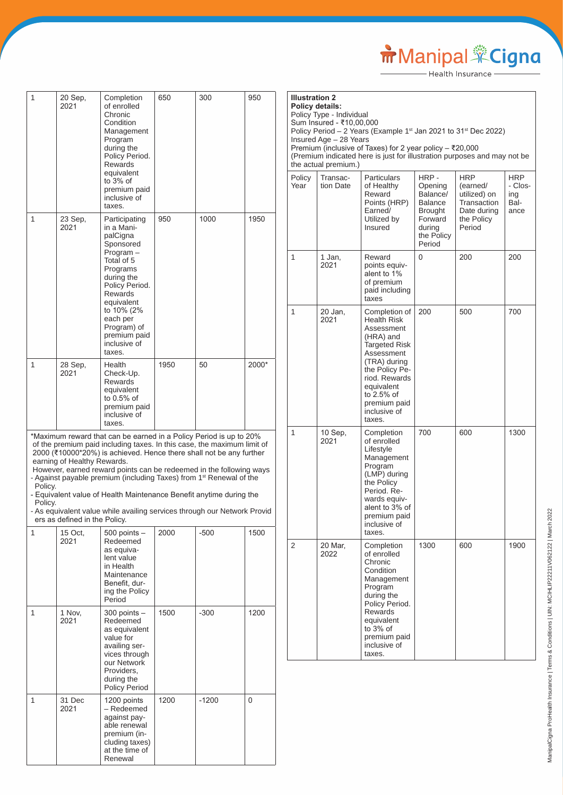Manipal Cigna

h

| 1                  | 20 Sep,<br>2021                                              | Completion<br>of enrolled<br>Chronic<br>Condition<br>Management<br>Program<br>during the<br>Policy Period.<br>Rewards<br>equivalent<br>to $3%$ of<br>premium paid<br>inclusive of<br>taxes.                                                                                                                                                                                                                                                                                                                                       | 650  | 300     | 950   |
|--------------------|--------------------------------------------------------------|-----------------------------------------------------------------------------------------------------------------------------------------------------------------------------------------------------------------------------------------------------------------------------------------------------------------------------------------------------------------------------------------------------------------------------------------------------------------------------------------------------------------------------------|------|---------|-------|
| 1                  | 23 Sep,<br>2021                                              | Participating<br>in a Mani-<br>palCigna<br>Sponsored<br>Program-<br>Total of 5<br>Programs<br>during the<br>Policy Period.<br><b>Rewards</b><br>equivalent<br>to 10% (2%<br>each per<br>Program) of<br>premium paid<br>inclusive of<br>taxes.                                                                                                                                                                                                                                                                                     | 950  | 1000    | 1950  |
| 1                  | 28 Sep,<br>2021                                              | Health<br>Check-Up.<br>Rewards<br>equivalent<br>to $0.5%$ of<br>premium paid<br>inclusive of<br>taxes.                                                                                                                                                                                                                                                                                                                                                                                                                            | 1950 | 50      | 2000* |
| Policy.<br>Policy. | earning of Healthy Rewards.<br>ers as defined in the Policy. | *Maximum reward that can be earned in a Policy Period is up to 20%<br>of the premium paid including taxes. In this case, the maximum limit of<br>2000 (₹10000*20%) is achieved. Hence there shall not be any further<br>However, earned reward points can be redeemed in the following ways<br>- Against payable premium (including Taxes) from 1 <sup>st</sup> Renewal of the<br>- Equivalent value of Health Maintenance Benefit anytime during the<br>- As equivalent value while availing services through our Network Provid |      |         |       |
| 1                  | 15 Oct.<br>2021                                              | $500$ points $-$<br>Redeemed<br>as equiva-<br>lent value<br>in Health<br>Maintenance<br>Benefit, dur-<br>ing the Policy<br>Period                                                                                                                                                                                                                                                                                                                                                                                                 | 2000 | -500    | 1500  |
| 1                  | 1 Nov,<br>2021                                               | $300$ points $-$<br>Redeemed<br>as equivalent<br>value for<br>availing ser-<br>vices through<br>our Network<br>Providers,<br>during the<br>Policy Period                                                                                                                                                                                                                                                                                                                                                                          | 1500 | $-300$  | 1200  |
| 1                  | 31 Dec<br>2021                                               | 1200 points<br>- Redeemed<br>against pay-<br>able renewal<br>premium (in-<br>cluding taxes)<br>at the time of<br>Renewal                                                                                                                                                                                                                                                                                                                                                                                                          | 1200 | $-1200$ | 0     |

| <b>Illustration 2</b><br><b>Policy details:</b> | Policy Type - Individual<br>Sum Insured - ₹10,00,000<br>Insured Age - 28 Years<br>the actual premium.) | Policy Period - 2 Years (Example 1st Jan 2021 to 31st Dec 2022)<br>Premium (inclusive of Taxes) for 2 year policy - ₹20,000<br>(Premium indicated here is just for illustration purposes and may not be                |                                                                                                 |                                                                                       |                                       |
|-------------------------------------------------|--------------------------------------------------------------------------------------------------------|------------------------------------------------------------------------------------------------------------------------------------------------------------------------------------------------------------------------|-------------------------------------------------------------------------------------------------|---------------------------------------------------------------------------------------|---------------------------------------|
| Policy<br>Year                                  | Transac-<br>tion Date                                                                                  | Particulars<br>of Healthy<br>Reward<br>Points (HRP)<br>Earned/<br>Utilized by<br>Insured                                                                                                                               | HRP -<br>Opening<br>Balance/<br>Balance<br>Brought<br>Forward<br>during<br>the Policy<br>Period | HRP<br>(earned/<br>utilized) on<br>Transaction<br>Date during<br>the Policy<br>Period | HRP<br>- Clos-<br>ing<br>Bal-<br>ance |
| 1                                               | 1 Jan,<br>2021                                                                                         | Reward<br>points equiv-<br>alent to 1%<br>of premium<br>paid including<br>taxes                                                                                                                                        | 0                                                                                               | 200                                                                                   | 200                                   |
| 1                                               | 20 Jan,<br>2021                                                                                        | Completion of<br><b>Health Risk</b><br>Assessment<br>(HRA) and<br>Targeted Risk<br>Assessment<br>(TRA) during<br>the Policy Pe-<br>riod. Rewards<br>equivalent<br>to 2.5% of<br>premium paid<br>inclusive of<br>taxes. | 200                                                                                             | 500                                                                                   | 700                                   |
| 1                                               | 10 Sep,<br>2021                                                                                        | Completion<br>of enrolled<br>Lifestyle<br>Management<br>Program<br>(LMP) during<br>the Policy<br>Period. Re-<br>wards equiv-<br>alent to 3% of<br>premium paid<br>inclusive of<br>taxes.                               | 700                                                                                             | 600                                                                                   | 1300                                  |
| 2                                               | 20 Mar,<br>2022                                                                                        | Completion<br>of enrolled<br>Chronic<br>Condition<br>Management<br>Program<br>during the<br>Policy Period.<br><b>Rewards</b><br>equivalent<br>to 3% of<br>premium paid<br>inclusive of<br>taxes.                       | 1300                                                                                            | 600                                                                                   | 1900                                  |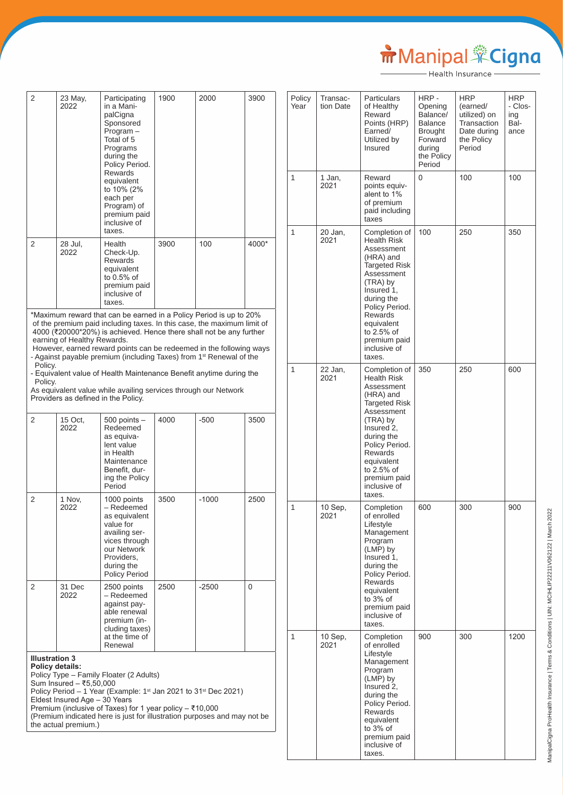# Manipal Cigna

| 2                                                                                                                                                                                                                                                                                                                                                                                                            | 23 May,<br>2022             | Participating<br>in a Mani-<br>palCigna<br>Sponsored<br>$Program -$<br>Total of 5<br>Programs<br>during the<br>Policy Period.<br>Rewards<br>equivalent<br>to 10% (2%<br>each per<br>Program) of<br>premium paid<br>inclusive of<br>taxes.                                                                                                                                                                                                                                                                                                                       | 1900 | 2000    | 3900  |
|--------------------------------------------------------------------------------------------------------------------------------------------------------------------------------------------------------------------------------------------------------------------------------------------------------------------------------------------------------------------------------------------------------------|-----------------------------|-----------------------------------------------------------------------------------------------------------------------------------------------------------------------------------------------------------------------------------------------------------------------------------------------------------------------------------------------------------------------------------------------------------------------------------------------------------------------------------------------------------------------------------------------------------------|------|---------|-------|
| 2                                                                                                                                                                                                                                                                                                                                                                                                            | 28 Jul,<br>2022             | Health<br>Check-Up.<br><b>Rewards</b><br>equivalent<br>to 0.5% of<br>premium paid<br>inclusive of<br>taxes.                                                                                                                                                                                                                                                                                                                                                                                                                                                     | 3900 | 100     | 4000* |
| Policy.<br>Policy.                                                                                                                                                                                                                                                                                                                                                                                           | earning of Healthy Rewards. | *Maximum reward that can be earned in a Policy Period is up to 20%<br>of the premium paid including taxes. In this case, the maximum limit of<br>4000 (₹20000*20%) is achieved. Hence there shall not be any further<br>However, earned reward points can be redeemed in the following ways<br>- Against payable premium (including Taxes) from 1 <sup>st</sup> Renewal of the<br>- Equivalent value of Health Maintenance Benefit anytime during the<br>As equivalent value while availing services through our Network<br>Providers as defined in the Policy. |      |         |       |
| 2                                                                                                                                                                                                                                                                                                                                                                                                            | 15 Oct,<br>2022             | $500$ points $-$<br>Redeemed<br>as equiva-<br>lent value<br>in Health<br>Maintenance<br>Benefit, dur-<br>ing the Policy<br>Period                                                                                                                                                                                                                                                                                                                                                                                                                               | 4000 | -500    | 3500  |
| 2                                                                                                                                                                                                                                                                                                                                                                                                            | 1 Nov,<br>2022              | 1000 points<br>- Redeemed<br>as equivalent<br>value for<br>availing ser-<br>vices through<br>our Network<br>Providers,<br>during the<br><b>Policy Period</b>                                                                                                                                                                                                                                                                                                                                                                                                    | 3500 | $-1000$ | 2500  |
| 2                                                                                                                                                                                                                                                                                                                                                                                                            | 31 Dec<br>2022              | 2500 points<br>- Redeemed<br>against pay-<br>able renewal<br>premium (in-<br>cluding taxes)<br>at the time of<br>Renewal                                                                                                                                                                                                                                                                                                                                                                                                                                        | 2500 | -2500   | 0     |
| <b>Illustration 3</b><br>Policy details:<br>Policy Type - Family Floater (2 Adults)<br>Sum Insured - ₹5,50,000<br>Policy Period - 1 Year (Example: 1 <sup>st</sup> Jan 2021 to 31 <sup>st</sup> Dec 2021)<br>Eldest Insured Age - 30 Years<br>Premium (inclusive of Taxes) for 1 year policy $-$ ₹10,000<br>(Premium indicated here is just for illustration purposes and may not be<br>the actual premium.) |                             |                                                                                                                                                                                                                                                                                                                                                                                                                                                                                                                                                                 |      |         |       |

| Policy<br>Year | Transac-<br>tion Date | Particulars<br>of Healthy<br>Reward<br>Points (HRP)<br>Earned/<br>Utilized by<br>Insured                                                                                                                                                               | HRP -<br>Opening<br>Balance/<br>Balance<br>Brought<br>Forward<br>during<br>the Policy<br>Period | HRP<br>(earned/<br>utilized) on<br>Transaction<br>Date during<br>the Policy<br>Period | HRP<br>- Clos-<br>ing<br>Bal-<br>ance |
|----------------|-----------------------|--------------------------------------------------------------------------------------------------------------------------------------------------------------------------------------------------------------------------------------------------------|-------------------------------------------------------------------------------------------------|---------------------------------------------------------------------------------------|---------------------------------------|
| 1              | 1 Jan,<br>2021        | Reward<br>points equiv-<br>alent to 1%<br>of premium<br>paid including<br>taxes                                                                                                                                                                        | 0                                                                                               | 100                                                                                   | 100                                   |
| 1              | 20 Jan,<br>2021       | Completion of<br><b>Health Risk</b><br>Assessment<br>(HRA) and<br>Targeted Risk<br>Assessment<br>(TRA) by<br>Insured 1,<br>during the<br>Policy Period.<br><b>Rewards</b><br>equivalent<br>to 2.5% of<br>premium paid<br>inclusive of<br>taxes.        | 100                                                                                             | 250                                                                                   | 350                                   |
| 1              | 22 Jan,<br>2021       | Completion of<br><b>Health Risk</b><br>Assessment<br>(HRA) and<br><b>Targeted Risk</b><br>Assessment<br>(TRA) by<br>Insured 2,<br>during the<br>Policy Period.<br><b>Rewards</b><br>equivalent<br>to 2.5% of<br>premium paid<br>inclusive of<br>taxes. | 350                                                                                             | 250                                                                                   | 600                                   |
| 1              | 10 Sep,<br>2021       | Completion<br>of enrolled<br>Lifestyle<br>Management<br>Program<br>(LMP) by<br>Insured 1,<br>during the<br>Policy Period.<br><b>Rewards</b><br>equivalent<br>to $3%$ of<br>premium paid<br>inclusive of<br>taxes.                                      | 600                                                                                             | 300                                                                                   | 900                                   |
| 1              | $10$ Sep,<br>2021     | Completion<br>of enrolled<br>Lifestyle<br>Management<br>Program<br>(LMP) by<br>Insured 2,<br>during the<br>Policy Period.<br>Rewards<br>equivalent<br>to 3% of<br>premium paid<br>inclusive of<br>taxes.                                               | 900                                                                                             | 300                                                                                   | 1200                                  |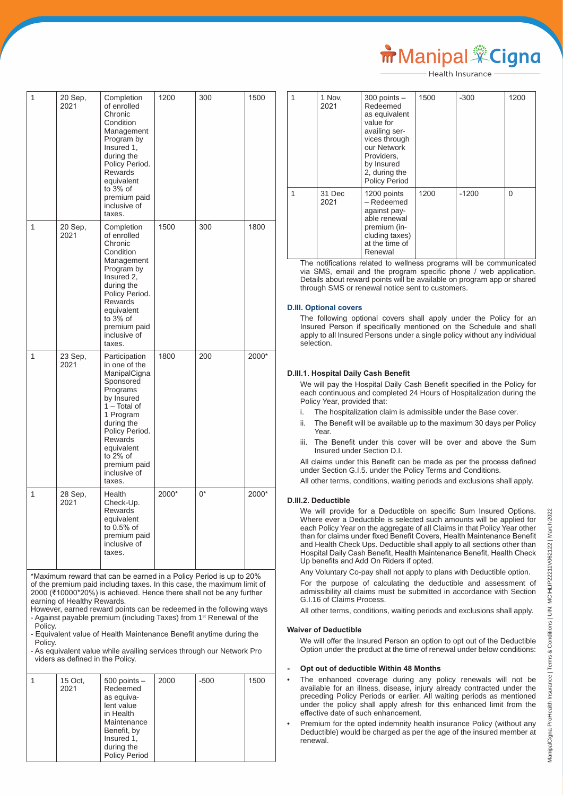| 1            | 20 Sep,<br>2021 | Completion<br>of enrolled<br>Chronic<br>Condition<br>Management<br>Program by<br>Insured 1,<br>during the<br>Policy Period.<br><b>Rewards</b><br>equivalent<br>to 3% of<br>premium paid<br>inclusive of<br>taxes.                             | 1200  | 300 | 1500  |
|--------------|-----------------|-----------------------------------------------------------------------------------------------------------------------------------------------------------------------------------------------------------------------------------------------|-------|-----|-------|
| $\mathbf{1}$ | 20 Sep,<br>2021 | Completion<br>of enrolled<br>Chronic<br>Condition<br>Management<br>Program by<br>Insured 2,<br>during the<br>Policy Period.<br><b>Rewards</b><br>equivalent<br>to 3% of<br>premium paid<br>inclusive of<br>taxes.                             | 1500  | 300 | 1800  |
| $\mathbf{1}$ | 23 Sep,<br>2021 | Participation<br>in one of the<br>ManipalCigna<br>Sponsored<br>Programs<br>by Insured<br>$1 - Total of$<br>1 Program<br>during the<br>Policy Period.<br><b>Rewards</b><br>equivalent<br>to $2\%$ of<br>premium paid<br>inclusive of<br>taxes. | 1800  | 200 | 2000* |
| $\mathbf{1}$ | 28 Sep,<br>2021 | Health<br>Check-Up.<br>Rewards<br>equivalent<br>to 0.5% of<br>premium paid<br>inclusive of<br>taxes.                                                                                                                                          | 2000* | 0*  | 2000* |

\*Maximum reward that can be earned in a Policy Period is up to 20% of the premium paid including taxes. In this case, the maximum limit of 2000 (₹10000\*20%) is achieved. Hence there shall not be any further earning of Healthy Rewards.

However, earned reward points can be redeemed in the following ways - Against payable premium (including Taxes) from 1<sup>st</sup> Renewal of the Policy.

- Equivalent value of Health Maintenance Benefit anytime during the **Policy** 

- As equivalent value while availing services through our Network Pro viders as defined in the Policy.

| 15 Oct,<br>2021 | $500$ points $-$<br>Redeemed<br>as equiva-<br>lent value<br>in Health<br>Maintenance<br>Benefit, by<br>Insured 1,<br>during the<br><b>Policy Period</b> | 2000 | $-500$ | 1500 |
|-----------------|---------------------------------------------------------------------------------------------------------------------------------------------------------|------|--------|------|

1 Nov, 2021 300 points – Redeemed as equivalent value for availing services through our Network Providers, by Insured 2. during the Policy Period  $1500$   $-300$   $1200$ 1 31 Dec 2021 1200 points – Redeemed against payable renewal premium (including taxes) at the time of Renewal 1200 0

Health Insurance

 The notifications related to wellness programs will be communicated via SMS, email and the program specific phone / web application. Details about reward points will be available on program app or shared through SMS or renewal notice sent to customers.

## **D.III. Optional covers**

 The following optional covers shall apply under the Policy for an Insured Person if specifically mentioned on the Schedule and shall apply to all Insured Persons under a single policy without any individual selection.

# **D.III.1. Hospital Daily Cash Benefit**

 We will pay the Hospital Daily Cash Benefit specified in the Policy for each continuous and completed 24 Hours of Hospitalization during the Policy Year, provided that:

- i. The hospitalization claim is admissible under the Base cover.
- ii. The Benefit will be available up to the maximum 30 days per Policy Year.
- iii. The Benefit under this cover will be over and above the Sum Insured under Section D.I.

 All claims under this Benefit can be made as per the process defined under Section G.I.5. under the Policy Terms and Conditions.

All other terms, conditions, waiting periods and exclusions shall apply.

#### **D.III.2. Deductible**

 We will provide for a Deductible on specific Sum Insured Options. Where ever a Deductible is selected such amounts will be applied for each Policy Year on the aggregate of all Claims in that Policy Year other than for claims under fixed Benefit Covers, Health Maintenance Benefit and Health Check Ups. Deductible shall apply to all sections other than Hospital Daily Cash Benefit, Health Maintenance Benefit, Health Check Up benefits and Add On Riders if opted.

Any Voluntary Co-pay shall not apply to plans with Deductible option.

 For the purpose of calculating the deductible and assessment of admissibility all claims must be submitted in accordance with Section G.I.16 of Claims Process.

All other terms, conditions, waiting periods and exclusions shall apply.

#### **Waiver of Deductible**

 We will offer the Insured Person an option to opt out of the Deductible Option under the product at the time of renewal under below conditions:

#### **- Opt out of deductible Within 48 Months**

The enhanced coverage during any policy renewals will not be available for an illness, disease, injury already contracted under the preceding Policy Periods or earlier. All waiting periods as mentioned under the policy shall apply afresh for this enhanced limit from the effective date of such enhancement.

• Premium for the opted indemnity health insurance Policy (without any Deductible) would be charged as per the age of the insured member at renewal.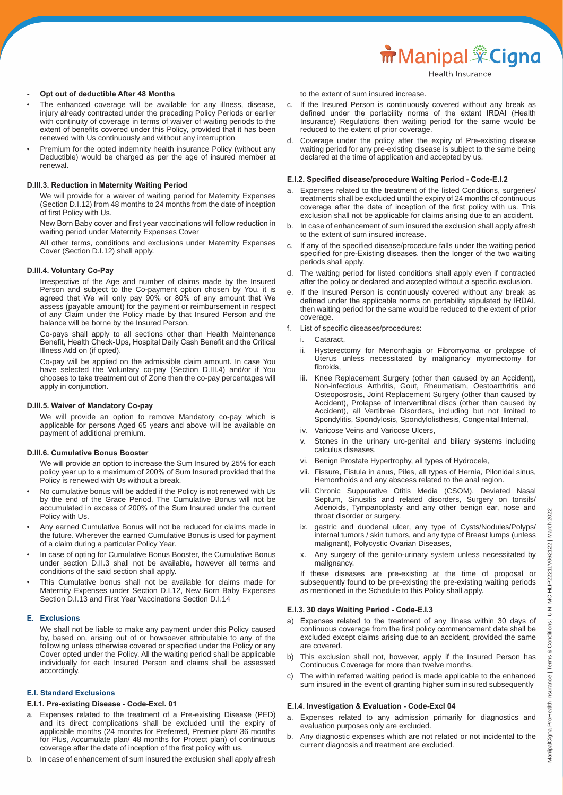- **- Opt out of deductible After 48 Months**
- The enhanced coverage will be available for any illness, disease, injury already contracted under the preceding Policy Periods or earlier with continuity of coverage in terms of waiver of waiting periods to the extent of benefits covered under this Policy, provided that it has been renewed with Us continuously and without any interruption
- Premium for the opted indemnity health insurance Policy (without any Deductible) would be charged as per the age of insured member at renewal.

#### **D.III.3. Reduction in Maternity Waiting Period**

 We will provide for a waiver of waiting period for Maternity Expenses (Section D.I.12) from 48 months to 24 months from the date of inception of first Policy with Us.

 New Born Baby cover and first year vaccinations will follow reduction in waiting period under Maternity Expenses Cover

 All other terms, conditions and exclusions under Maternity Expenses Cover (Section D.I.12) shall apply.

#### **D.III.4. Voluntary Co-Pay**

 Irrespective of the Age and number of claims made by the Insured Person and subject to the Co-payment option chosen by You, it is agreed that We will only pay 90% or 80% of any amount that We assess (payable amount) for the payment or reimbursement in respect of any Claim under the Policy made by that Insured Person and the balance will be borne by the Insured Person.

 Co-pays shall apply to all sections other than Health Maintenance Benefit, Health Check-Ups, Hospital Daily Cash Benefit and the Critical Illness Add on (if opted).

 Co-pay will be applied on the admissible claim amount. In case You have selected the Voluntary co-pay (Section D.III.4) and/or if You chooses to take treatment out of Zone then the co-pay percentages will apply in conjunction.

#### **D.III.5. Waiver of Mandatory Co-pay**

 We will provide an option to remove Mandatory co-pay which is applicable for persons Aged 65 years and above will be available on payment of additional premium.

#### **D.III.6. Cumulative Bonus Booster**

 We will provide an option to increase the Sum Insured by 25% for each policy year up to a maximum of 200% of Sum Insured provided that the Policy is renewed with Us without a break.

- No cumulative bonus will be added if the Policy is not renewed with Us by the end of the Grace Period. The Cumulative Bonus will not be accumulated in excess of 200% of the Sum Insured under the current Policy with Us.
- Any earned Cumulative Bonus will not be reduced for claims made in the future. Wherever the earned Cumulative Bonus is used for payment of a claim during a particular Policy Year.
- In case of opting for Cumulative Bonus Booster, the Cumulative Bonus under section D.II.3 shall not be available, however all terms and conditions of the said section shall apply.
- This Cumulative bonus shall not be available for claims made for Maternity Expenses under Section D.I.12, New Born Baby Expenses Section D.I.13 and First Year Vaccinations Section D.I.14

#### **E. Exclusions**

 We shall not be liable to make any payment under this Policy caused by, based on, arising out of or howsoever attributable to any of the following unless otherwise covered or specified under the Policy or any Cover opted under the Policy. All the waiting period shall be applicable individually for each Insured Person and claims shall be assessed accordingly.

#### **E.I. Standard Exclusions**

#### **E.I.1. Pre-existing Disease - Code-Excl. 01**

- a. Expenses related to the treatment of a Pre-existing Disease (PED) and its direct complications shall be excluded until the expiry of applicable months (24 months for Preferred, Premier plan/ 36 months for Plus, Accumulate plan/ 48 months for Protect plan) of continuous coverage after the date of inception of the first policy with us.
- b. In case of enhancement of sum insured the exclusion shall apply afresh

to the extent of sum insured increase.

- c. If the Insured Person is continuously covered without any break as defined under the portability norms of the extant IRDAI (Health Insurance) Regulations then waiting period for the same would be reduced to the extent of prior coverage.
- d. Coverage under the policy after the expiry of Pre-existing disease waiting period for any pre-existing disease is subject to the same being declared at the time of application and accepted by us.

#### **E.I.2. Specified disease/procedure Waiting Period - Code-E.I.2**

- a. Expenses related to the treatment of the listed Conditions, surgeries/ treatments shall be excluded until the expiry of 24 months of continuous coverage after the date of inception of the first policy with us. This exclusion shall not be applicable for claims arising due to an accident.
- b. In case of enhancement of sum insured the exclusion shall apply afresh to the extent of sum insured increase.
- c. If any of the specified disease/procedure falls under the waiting period specified for pre-Existing diseases, then the longer of the two waiting periods shall apply.
- d. The waiting period for listed conditions shall apply even if contracted after the policy or declared and accepted without a specific exclusion.
- e. If the Insured Person is continuously covered without any break as defined under the applicable norms on portability stipulated by IRDAI, then waiting period for the same would be reduced to the extent of prior coverage.
- f. List of specific diseases/procedures:
	- i. Cataract,
	- ii. Hysterectomy for Menorrhagia or Fibromyoma or prolapse of Uterus unless necessitated by malignancy myomectomy for fibroids,
- Knee Replacement Surgery (other than caused by an Accident), Non-infectious Arthritis, Gout, Rheumatism, Oestoarthritis and Osteoposrosis, Joint Replacement Surgery (other than caused by Accident), Prolapse of Intervertibral discs (other than caused by Accident), all Vertibrae Disorders, including but not limited to Spondylitis, Spondylosis, Spondylolisthesis, Congenital Internal,
	- iv. Varicose Veins and Varicose Ulcers,
	- v. Stones in the urinary uro-genital and biliary systems including calculus diseases,
	- vi. Benign Prostate Hypertrophy, all types of Hydrocele,
	- vii. Fissure, Fistula in anus, Piles, all types of Hernia, Pilonidal sinus, Hemorrhoids and any abscess related to the anal region.
	- viii. Chronic Suppurative Otitis Media (CSOM), Deviated Nasal Septum, Sinusitis and related disorders, Surgery on tonsils/ Adenoids, Tympanoplasty and any other benign ear, nose and throat disorder or surgery.
	- gastric and duodenal ulcer, any type of Cysts/Nodules/Polyps/ internal tumors / skin tumors, and any type of Breast lumps (unless malignant), Polycystic Ovarian Diseases,
	- x. Any surgery of the genito-urinary system unless necessitated by malignancy.

 If these diseases are pre-existing at the time of proposal or subsequently found to be pre-existing the pre-existing waiting periods as mentioned in the Schedule to this Policy shall apply.

#### **E.I.3. 30 days Waiting Period - Code-E.I.3**

- a) Expenses related to the treatment of any illness within 30 days of continuous coverage from the first policy commencement date shall be excluded except claims arising due to an accident, provided the same are covered.
- b) This exclusion shall not, however, apply if the Insured Person has Continuous Coverage for more than twelve months.
- c) The within referred waiting period is made applicable to the enhanced sum insured in the event of granting higher sum insured subsequently

#### **E.I.4. Investigation & Evaluation - Code-Excl 04**

- a. Expenses related to any admission primarily for diagnostics and evaluation purposes only are excluded.
- b. Any diagnostic expenses which are not related or not incidental to the current diagnosis and treatment are excluded.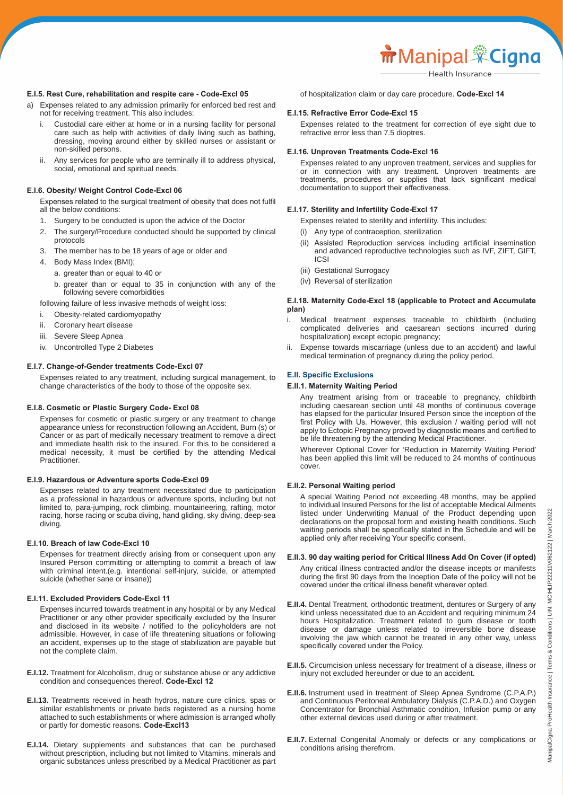#### **E.I.5. Rest Cure, rehabilitation and respite care - Code-Excl 05**

- a) Expenses related to any admission primarily for enforced bed rest and not for receiving treatment. This also includes:
	- Custodial care either at home or in a nursing facility for personal care such as help with activities of daily living such as bathing, dressing, moving around either by skilled nurses or assistant or non-skilled persons.
	- ii. Any services for people who are terminally ill to address physical, social, emotional and spiritual needs.

#### **E.I.6. Obesity/ Weight Control Code-Excl 06**

 Expenses related to the surgical treatment of obesity that does not fulfil all the below conditions:

- 1. Surgery to be conducted is upon the advice of the Doctor
- 2. The surgery/Procedure conducted should be supported by clinical protocols
- 3. The member has to be 18 years of age or older and
- 4. Body Mass Index (BMI);
	- a. greater than or equal to 40 or
	- b. greater than or equal to 35 in conjunction with any of the following severe comorbidities

following failure of less invasive methods of weight loss:

- i. Obesity-related cardiomyopathy
- ii. Coronary heart disease
- iii. Severe Sleep Apnea
- iv. Uncontrolled Type 2 Diabetes

#### **E.I.7. Change-of-Gender treatments Code-Excl 07**

 Expenses related to any treatment, including surgical management, to change characteristics of the body to those of the opposite sex.

#### **E.I.8. Cosmetic or Plastic Surgery Code- Excl 08**

 Expenses for cosmetic or plastic surgery or any treatment to change appearance unless for reconstruction following an Accident, Burn (s) or Cancer or as part of medically necessary treatment to remove a direct and immediate health risk to the insured. For this to be considered a medical necessity, it must be certified by the attending Medical Practitioner.

#### **E.I.9. Hazardous or Adventure sports Code-Excl 09**

 Expenses related to any treatment necessitated due to participation as a professional in hazardous or adventure sports, including but not limited to, para-jumping, rock climbing, mountaineering, rafting, motor racing, horse racing or scuba diving, hand gliding, sky diving, deep-sea diving.

#### **E.I.10. Breach of law Code-Excl 10**

 Expenses for treatment directly arising from or consequent upon any Insured Person committing or attempting to commit a breach of law with criminal intent.(e.g. intentional self-injury, suicide, or attempted suicide (whether sane or insane))

#### **E.I.11. Excluded Providers Code-Excl 11**

 Expenses incurred towards treatment in any hospital or by any Medical Practitioner or any other provider specifically excluded by the Insurer and disclosed in its website / notified to the policyholders are not admissible. However, in case of life threatening situations or following an accident, expenses up to the stage of stabilization are payable but not the complete claim.

- **E.I.12.** Treatment for Alcoholism, drug or substance abuse or any addictive condition and consequences thereof. **Code-Excl 12**
- **E.I.13.** Treatments received in heath hydros, nature cure clinics, spas or similar establishments or private beds registered as a nursing home attached to such establishments or where admission is arranged wholly or partly for domestic reasons. **Code-Excl13**
- **E.I.14.** Dietary supplements and substances that can be purchased without prescription, including but not limited to Vitamins, minerals and organic substances unless prescribed by a Medical Practitioner as part

of hospitalization claim or day care procedure. **Code-Excl 14**

#### **E.I.15. Refractive Error Code-Excl 15**

 Expenses related to the treatment for correction of eye sight due to refractive error less than 7.5 dioptres.

#### **E.I.16. Unproven Treatments Code-Excl 16**

 Expenses related to any unproven treatment, services and supplies for or in connection with any treatment. Unproven treatments are treatments, procedures or supplies that lack significant medical documentation to support their effectiveness.

#### **E.I.17. Sterility and Infertility Code-Excl 17**

Expenses related to sterility and infertility. This includes:

- (i) Any type of contraception, sterilization
- (ii) Assisted Reproduction services including artificial insemination and advanced reproductive technologies such as IVF, ZIFT, GIFT, ICSI
- (iii) Gestational Surrogacy
- (iv) Reversal of sterilization

#### **E.I.18. Maternity Code-Excl 18 (applicable to Protect and Accumulate plan)**

- i. Medical treatment expenses traceable to childbirth (including complicated deliveries and caesarean sections incurred during hospitalization) except ectopic pregnancy;
- ii. Expense towards miscarriage (unless due to an accident) and lawful medical termination of pregnancy during the policy period.

#### **E.II. Specific Exclusions**

#### **E.II.1. Maternity Waiting Period**

 Any treatment arising from or traceable to pregnancy, childbirth including caesarean section until 48 months of continuous coverage has elapsed for the particular Insured Person since the inception of the first Policy with Us. However, this exclusion / waiting period will not apply to Ectopic Pregnancy proved by diagnostic means and certified to be life threatening by the attending Medical Practitioner.

 Wherever Optional Cover for 'Reduction in Maternity Waiting Period' has been applied this limit will be reduced to 24 months of continuous cover.

#### **E.II.2. Personal Waiting period**

 A special Waiting Period not exceeding 48 months, may be applied to individual Insured Persons for the list of acceptable Medical Ailments listed under Underwriting Manual of the Product depending upon declarations on the proposal form and existing health conditions. Such waiting periods shall be specifically stated in the Schedule and will be applied only after receiving Your specific consent.

#### **E.II.3. 90 day waiting period for Critical Illness Add On Cover (if opted)**

 Any critical illness contracted and/or the disease incepts or manifests during the first 90 days from the Inception Date of the policy will not be covered under the critical illness benefit wherever opted.

- **E.II.4.** Dental Treatment, orthodontic treatment, dentures or Surgery of any kind unless necessitated due to an Accident and requiring minimum 24 hours Hospitalization. Treatment related to gum disease or tooth disease or damage unless related to irreversible bone disease involving the jaw which cannot be treated in any other way, unless specifically covered under the Policy.
- **E.II.5.** Circumcision unless necessary for treatment of a disease, illness or injury not excluded hereunder or due to an accident.
- **E.II.6.** Instrument used in treatment of Sleep Apnea Syndrome (C.P.A.P.) and Continuous Peritoneal Ambulatory Dialysis (C.P.A.D.) and Oxygen Concentrator for Bronchial Asthmatic condition, Infusion pump or any other external devices used during or after treatment.
- **E.II.7.** External Congenital Anomaly or defects or any complications or conditions arising therefrom.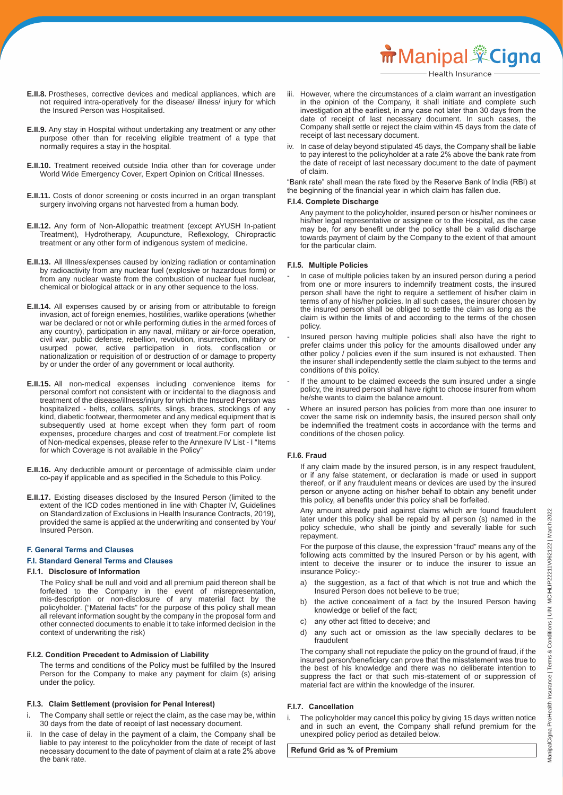- **E.II.8.** Prostheses, corrective devices and medical appliances, which are not required intra-operatively for the disease/ illness/ injury for which the Insured Person was Hospitalised.
- **E.II.9.** Any stay in Hospital without undertaking any treatment or any other purpose other than for receiving eligible treatment of a type that normally requires a stay in the hospital.
- **E.II.10.** Treatment received outside India other than for coverage under World Wide Emergency Cover, Expert Opinion on Critical Illnesses.
- **E.II.11.** Costs of donor screening or costs incurred in an organ transplant surgery involving organs not harvested from a human body.
- **E.II.12.** Any form of Non-Allopathic treatment (except AYUSH In-patient Treatment), Hydrotherapy, Acupuncture, Reflexology, Chiropractic treatment or any other form of indigenous system of medicine.
- **E.II.13.** All Illness/expenses caused by ionizing radiation or contamination by radioactivity from any nuclear fuel (explosive or hazardous form) or from any nuclear waste from the combustion of nuclear fuel nuclear, chemical or biological attack or in any other sequence to the loss.
- **E.II.14.** All expenses caused by or arising from or attributable to foreign invasion, act of foreign enemies, hostilities, warlike operations (whether war be declared or not or while performing duties in the armed forces of any country), participation in any naval, military or air-force operation, civil war, public defense, rebellion, revolution, insurrection, military or usurped power, active participation in riots, confiscation or nationalization or requisition of or destruction of or damage to property by or under the order of any government or local authority.
- **E.II.15.** All non-medical expenses including convenience items for personal comfort not consistent with or incidental to the diagnosis and treatment of the disease/illness/injury for which the Insured Person was hospitalized - belts, collars, splints, slings, braces, stockings of any kind, diabetic footwear, thermometer and any medical equipment that is subsequently used at home except when they form part of room expenses, procedure charges and cost of treatment.For complete list of Non-medical expenses, please refer to the Annexure IV List - I "Items for which Coverage is not available in the Policy"
- **E.II.16.** Any deductible amount or percentage of admissible claim under co-pay if applicable and as specified in the Schedule to this Policy.
- **E.II.17.** Existing diseases disclosed by the Insured Person (limited to the extent of the ICD codes mentioned in line with Chapter IV, Guidelines on Standardization of Exclusions in Health Insurance Contracts, 2019), provided the same is applied at the underwriting and consented by You/ Insured Person.

#### **F. General Terms and Clauses**

#### **F.I. Standard General Terms and Clauses**

#### **F.I.1. Disclosure of Information**

 The Policy shall be null and void and all premium paid thereon shall be forfeited to the Company in the event of misrepresentation, mis-description or non-disclosure of any material fact by the policyholder. ("Material facts" for the purpose of this policy shall mean all relevant information sought by the company in the proposal form and other connected documents to enable it to take informed decision in the context of underwriting the risk)

#### **F.I.2. Condition Precedent to Admission of Liability**

 The terms and conditions of the Policy must be fulfilled by the Insured Person for the Company to make any payment for claim (s) arising under the policy.

#### **F.I.3. Claim Settlement (provision for Penal Interest)**

- The Company shall settle or reject the claim, as the case may be, within 30 days from the date of receipt of last necessary document.
- In the case of delay in the payment of a claim, the Company shall be liable to pay interest to the policyholder from the date of receipt of last necessary document to the date of payment of claim at a rate 2% above the bank rate.
- iii. However, where the circumstances of a claim warrant an investigation in the opinion of the Company, it shall initiate and complete such investigation at the earliest, in any case not later than 30 days from the date of receipt of last necessary document. In such cases, the Company shall settle or reject the claim within 45 days from the date of receipt of last necessary document.
- iv. In case of delay beyond stipulated 45 days, the Company shall be liable to pay interest to the policyholder at a rate 2% above the bank rate from the date of receipt of last necessary document to the date of payment of claim.

"Bank rate" shall mean the rate fixed by the Reserve Bank of lndia (RBl) at the beginning of the financial year in which claim has fallen due.

# **F.I.4. Complete Discharge**

 Any payment to the policyholder, insured person or his/her nominees or his/her legal representative or assignee or to the Hospital, as the case may be, for any benefit under the policy shall be a valid discharge towards payment of claim by the Company to the extent of that amount for the particular claim.

#### **F.I.5. Multiple Policies**

- In case of multiple policies taken by an insured person during a period from one or more insurers to indemnify treatment costs, the insured person shall have the right to require a settlement of his/her claim in terms of any of his/her policies. In all such cases, the insurer chosen by the insured person shall be obliged to settle the claim as long as the claim is within the limits of and according to the terms of the chosen policy.
- Insured person having multiple policies shall also have the right to prefer claims under this policy for the amounts disallowed under any other policy / policies even if the sum insured is not exhausted. Then the insurer shall independently settle the claim subject to the terms and conditions of this policy.
- If the amount to be claimed exceeds the sum insured under a single policy, the insured person shall have right to choose insurer from whom he/she wants to claim the balance amount.
- Where an insured person has policies from more than one insurer to cover the same risk on indemnity basis, the insured person shall only be indemnified the treatment costs in accordance with the terms and conditions of the chosen policy.

#### **F.I.6. Fraud**

 If any claim made by the insured person, is in any respect fraudulent, or if any false statement, or declaration is made or used in support thereof, or if any fraudulent means or devices are used by the insured person or anyone acting on his/her behalf to obtain any benefit under this policy, all benefits under this policy shall be forfeited.

 Any amount already paid against claims which are found fraudulent later under this policy shall be repaid by all person (s) named in the policy schedule, who shall be jointly and severally liable for such repayment.

 For the purpose of this clause, the expression "fraud" means any of the following acts committed by the Insured Person or by his agent, with intent to deceive the insurer or to induce the insurer to issue an insurance Policy:-

- a) the suggestion, as a fact of that which is not true and which the Insured Person does not believe to be true;
- b) the active concealment of a fact by the Insured Person having knowledge or belief of the fact;
- c) any other act fitted to deceive; and
- d) any such act or omission as the law specially declares to be fraudulent

 The company shall not repudiate the policy on the ground of fraud, if the insured person/beneficiary can prove that the misstatement was true to the best of his knowledge and there was no deliberate intention to suppress the fact or that such mis-statement of or suppression of material fact are within the knowledge of the insurer.

#### **F.I.7. Cancellation**

The policyholder may cancel this policy by giving 15 days written notice and in such an event, the Company shall refund premium for the unexpired policy period as detailed below.

**Refund Grid as % of Premium**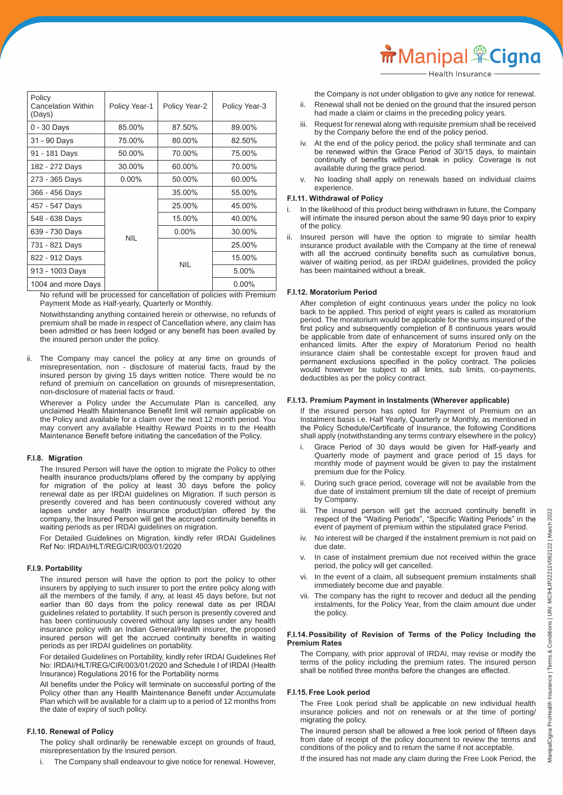| Policy<br><b>Cancelation Within</b><br>(Days) | Policy Year-1 | Policy Year-2 | Policy Year-3 |
|-----------------------------------------------|---------------|---------------|---------------|
| 0 - 30 Days                                   | 85.00%        | 87.50%        | 89.00%        |
| 31 - 90 Days                                  | 75.00%        | 80.00%        | 82.50%        |
| 91 - 181 Days                                 | 50.00%        | 70.00%        | 75.00%        |
| 182 - 272 Days                                | 30.00%        | 60.00%        | 70.00%        |
| 273 - 365 Days                                | $0.00\%$      | 50.00%        | 60.00%        |
| 366 - 456 Days                                |               | 35.00%        | 55.00%        |
| 457 - 547 Days                                |               | 25.00%        | 45.00%        |
| 548 - 638 Days                                |               | 15.00%        | 40.00%        |
| 639 - 730 Days                                | <b>NIL</b>    | $0.00\%$      | 30.00%        |
| 731 - 821 Days                                |               |               | 25.00%        |
| 822 - 912 Days                                |               |               | 15.00%        |
| 913 - 1003 Days                               |               | <b>NIL</b>    | 5.00%         |
| 1004 and more Days                            |               |               | $0.00\%$      |

 No refund will be processed for cancellation of policies with Premium Payment Mode as Half-yearly, Quarterly or Monthly.

 Notwithstanding anything contained herein or otherwise, no refunds of premium shall be made in respect of Cancellation where, any claim has been admitted or has been lodged or any benefit has been availed by the insured person under the policy.

ii. The Company may cancel the policy at any time on grounds of misrepresentation, non - disclosure of material facts, fraud by the insured person by giving 15 days written notice. There would be no refund of premium on cancellation on grounds of misrepresentation, non-disclosure of material facts or fraud.

 Wherever a Policy under the Accumulate Plan is cancelled, any unclaimed Health Maintenance Benefit limit will remain applicable on the Policy and available for a claim over the next 12 month period. You may convert any available Healthy Reward Points in to the Health Maintenance Benefit before initiating the cancellation of the Policy.

#### **F.I.8. Migration**

 The Insured Person will have the option to migrate the Policy to other health insurance products/plans offered by the company by applying for migration of the policy at least 30 days before the policy renewal date as per IRDAI guidelines on Migration. If such person is presently covered and has been continuously covered without any lapses under any health insurance product/plan offered by the company, the Insured Person will get the accrued continuity benefits in waiting periods as per IRDAI guidelines on migration.

 For Detailed Guidelines on Migration, kindly refer IRDAI Guidelines Ref No: IRDAI/HLT/REG/CIR/003/01/2020

## **F.I.9. Portability**

 The insured person will have the option to port the policy to other insurers by applying to such insurer to port the entire policy along with all the members of the family, if any, at least 45 days before, but not earlier than 60 days from the policy renewal date as per IRDAI guidelines related to portability. If such person is presently covered and has been continuously covered without any lapses under any health insurance policy with an Indian General/Health insurer, the proposed insured person will get the accrued continuity benefits in waiting periods as per IRDAI guidelines on portability.

 For detailed Guidelines on Portability, kindly refer IRDAI Guidelines Ref No: IRDAI/HLT/REG/CIR/003/01/2020 and Schedule I of IRDAI (Health Insurance) Regulations 2016 for the Portability norms

 All benefits under the Policy will terminate on successful porting of the Policy other than any Health Maintenance Benefit under Accumulate Plan which will be available for a claim up to a period of 12 months from the date of expiry of such policy.

#### **F.I.10. Renewal of Policy**

 The policy shall ordinarily be renewable except on grounds of fraud, misrepresentation by the insured person.

The Company shall endeavour to give notice for renewal. However,

**m** Manipal <sup>\*</sup>Cigna

the Company is not under obligation to give any notice for renewal.

- ii. Renewal shall not be denied on the ground that the insured person had made a claim or claims in the preceding policy years.
- iii. Request for renewal along with requisite premium shall be received by the Company before the end of the policy period.
- iv. At the end of the policy period, the policy shall terminate and can be renewed within the Grace Period of 30/15 days, to maintain continuity of benefits without break in policy. Coverage is not available during the grace period.
- No loading shall apply on renewals based on individual claims experience.

#### **F.I.11. Withdrawal of Policy**

- In the likelihood of this product being withdrawn in future, the Company will intimate the insured person about the same 90 days prior to expiry of the policy.
- ii. Insured person will have the option to migrate to similar health insurance product available with the Company at the time of renewal with all the accrued continuity benefits such as cumulative bonus, waiver of waiting period, as per IRDAI guidelines, provided the policy has been maintained without a break.

#### **F.I.12. Moratorium Period**

 After completion of eight continuous years under the policy no look back to be applied. This period of eight years is called as moratorium period. The moratorium would be applicable for the sums insured of the first policy and subsequently completion of 8 continuous years would be applicable from date of enhancement of sums insured only on the enhanced limits. After the expiry of Moratorium Period no health insurance claim shall be contestable except for proven fraud and permanent exclusions specified in the policy contract. The policies would however be subject to all limits, sub limits, co-payments, deductibles as per the policy contract.

#### **F.I.13. Premium Payment in Instalments (Wherever applicable)**

 If the insured person has opted for Payment of Premium on an Instalment basis i.e. Half Yearly, Quarterly or Monthly, as mentioned in the Policy Schedule/Certificate of Insurance, the following Conditions shall apply (notwithstanding any terms contrary elsewhere in the policy)

- i. Grace Period of 30 days would be given for Half-yearly and Quarterly mode of payment and grace period of 15 days for monthly mode of payment would be given to pay the instalment premium due for the Policy.
- ii. During such grace period, coverage will not be available from the due date of instalment premium till the date of receipt of premium by Company.
- iii. The insured person will get the accrued continuity benefit in respect of the "Waiting Periods", "Specific Waiting Periods" in the event of payment of premium within the stipulated grace Period.
	- No interest will be charged if the instalment premium is not paid on due date.
	- v. In case of instalment premium due not received within the grace period, the policy will get cancelled.
	- In the event of a claim, all subsequent premium instalments shall immediately become due and payable.
	- vii. The company has the right to recover and deduct all the pending instalments, for the Policy Year, from the claim amount due under the policy.

#### **F.I.14. Possibility of Revision of Terms of the Policy Including the Premium Rates**

 The Company, with prior approval of IRDAI, may revise or modify the terms of the policy including the premium rates. The insured person shall be notified three months before the changes are effected.

## **F.I.15. Free Look period**

 The Free Look period shall be applicable on new individual health insurance policies and not on renewals or at the time of porting/ migrating the policy.

 The insured person shall be allowed a free look period of fifteen days from date of receipt of the policy document to review the terms and conditions of the policy and to return the same if not acceptable.

If the insured has not made any claim during the Free Look Period, the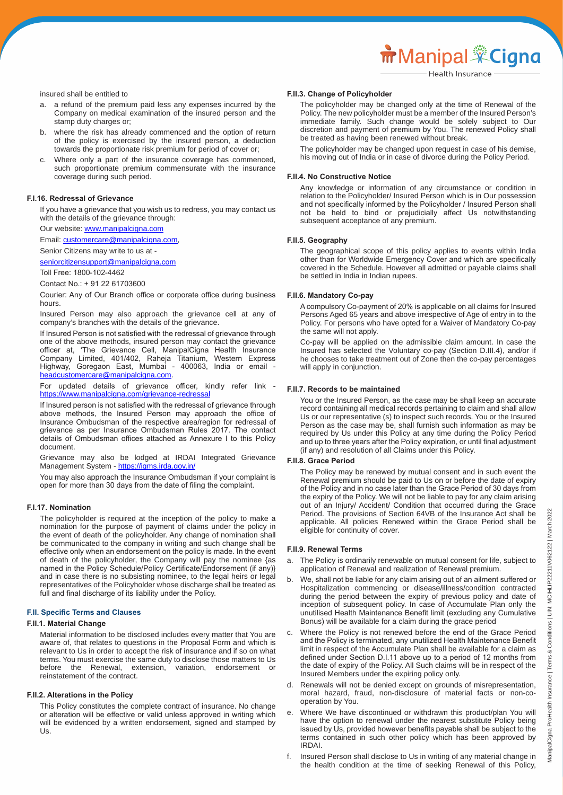insured shall be entitled to

- a. a refund of the premium paid less any expenses incurred by the Company on medical examination of the insured person and the stamp duty charges or;
- b. where the risk has already commenced and the option of return of the policy is exercised by the insured person, a deduction towards the proportionate risk premium for period of cover or;
- c. Where only a part of the insurance coverage has commenced, such proportionate premium commensurate with the insurance coverage during such period.

#### **F.I.16. Redressal of Grievance**

 If you have a grievance that you wish us to redress, you may contact us with the details of the grievance through:

Our website: www.manipalcigna.com

Email: customercare@manipalcigna.com,

Senior Citizens may write to us at -

seniorcitizensupport@manipalcigna.com

 Toll Free: 1800-102-4462

 Contact No.: + 91 22 61703600

 Courier: Any of Our Branch office or corporate office during business hours.

 Insured Person may also approach the grievance cell at any of company's branches with the details of the grievance.

 If Insured Person is not satisfied with the redressal of grievance through one of the above methods, insured person may contact the grievance officer at, 'The Grievance Cell, ManipalCigna Health Insurance Company Limited, 401/402, Raheja Titanium, Western Express Highway, Goregaon East, Mumbai - 400063, India or email headcustomercare@manipalcigna.com.

 For updated details of grievance officer, kindly refer link https://www.manipalcigna.com/grievance-redressa

 If Insured person is not satisfied with the redressal of grievance through above methods, the Insured Person may approach the office of Insurance Ombudsman of the respective area/region for redressal of grievance as per Insurance Ombudsman Rules 2017. The contact details of Ombudsman offices attached as Annexure I to this Policy document.

 Grievance may also be lodged at IRDAI Integrated Grievance Management System - https://igms.irda.gov.in/

 You may also approach the Insurance Ombudsman if your complaint is open for more than 30 days from the date of filing the complaint.

#### **F.I.17. Nomination**

 The policyholder is required at the inception of the policy to make a nomination for the purpose of payment of claims under the policy in the event of death of the policyholder. Any change of nomination shall be communicated to the company in writing and such change shall be effective only when an endorsement on the policy is made. In the event of death of the policyholder, the Company will pay the nominee {as named in the Policy Schedule/Policy Certificate/Endorsement (if any)} and in case there is no subsisting nominee, to the legal heirs or legal representatives of the Policyholder whose discharge shall be treated as full and final discharge of its liability under the Policy.

#### **F.II. Specific Terms and Clauses**

#### **F.II.1. Material Change**

 Material information to be disclosed includes every matter that You are aware of, that relates to questions in the Proposal Form and which is relevant to Us in order to accept the risk of insurance and if so on what terms. You must exercise the same duty to disclose those matters to Us before the Renewal, extension, variation, endorsement or reinstatement of the contract.

#### **F.II.2. Alterations in the Policy**

 This Policy constitutes the complete contract of insurance. No change or alteration will be effective or valid unless approved in writing which will be evidenced by a written endorsement, signed and stamped by Us.

#### **F.II.3. Change of Policyholder**

 The policyholder may be changed only at the time of Renewal of the Policy. The new policyholder must be a member of the Insured Person's immediate family. Such change would be solely subject to Our discretion and payment of premium by You. The renewed Policy shall be treated as having been renewed without break.

 The policyholder may be changed upon request in case of his demise, his moving out of India or in case of divorce during the Policy Period.

#### **F.II.4. No Constructive Notice**

 Any knowledge or information of any circumstance or condition in relation to the Policyholder/ Insured Person which is in Our possession and not specifically informed by the Policyholder / Insured Person shall not be held to bind or prejudicially affect Us notwithstanding subsequent acceptance of any premium.

#### **F.II.5. Geography**

 The geographical scope of this policy applies to events within India other than for Worldwide Emergency Cover and which are specifically covered in the Schedule. However all admitted or payable claims shall be settled in India in Indian rupees.

#### **F.II.6. Mandatory Co-pay**

 A compulsory Co-payment of 20% is applicable on all claims for Insured Persons Aged 65 years and above irrespective of Age of entry in to the Policy. For persons who have opted for a Waiver of Mandatory Co-pay the same will not apply.

 Co-pay will be applied on the admissible claim amount. In case the Insured has selected the Voluntary co-pay (Section D.III.4), and/or if he chooses to take treatment out of Zone then the co-pay percentages will apply in conjunction.

#### **F.II.7. Records to be maintained**

 You or the Insured Person, as the case may be shall keep an accurate record containing all medical records pertaining to claim and shall allow Us or our representative (s) to inspect such records. You or the Insured Person as the case may be, shall furnish such information as may be required by Us under this Policy at any time during the Policy Period and up to three years after the Policy expiration, or until final adjustment (if any) and resolution of all Claims under this Policy.

#### **F.II.8. Grace Period**

 The Policy may be renewed by mutual consent and in such event the Renewal premium should be paid to Us on or before the date of expiry of the Policy and in no case later than the Grace Period of 30 days from the expiry of the Policy. We will not be liable to pay for any claim arising out of an Injury/ Accident/ Condition that occurred during the Grace Period. The provisions of Section 64VB of the Insurance Act shall be applicable. All policies Renewed within the Grace Period shall be eligible for continuity of cover.

#### **F.II.9. Renewal Terms**

- a. The Policy is ordinarily renewable on mutual consent for life, subject to application of Renewal and realization of Renewal premium.
- We, shall not be liable for any claim arising out of an ailment suffered or Hospitalization commencing or disease/illness/condition contracted during the period between the expiry of previous policy and date of inception of subsequent policy. In case of Accumulate Plan only the unutilised Health Maintenance Benefit limit (excluding any Cumulative Bonus) will be available for a claim during the grace period
- Where the Policy is not renewed before the end of the Grace Period and the Policy is terminated, any unutilized Health Maintenance Benefit limit in respect of the Accumulate Plan shall be available for a claim as defined under Section D.I.11 above up to a period of 12 months from the date of expiry of the Policy. All Such claims will be in respect of the Insured Members under the expiring policy only.
- d. Renewals will not be denied except on grounds of misrepresentation, moral hazard, fraud, non-disclosure of material facts or non-co operation by You.
- Where We have discontinued or withdrawn this product/plan You will have the option to renewal under the nearest substitute Policy being issued by Us, provided however benefits payable shall be subject to the terms contained in such other policy which has been approved by IRDAI.
- f. Insured Person shall disclose to Us in writing of any material change in the health condition at the time of seeking Renewal of this Policy,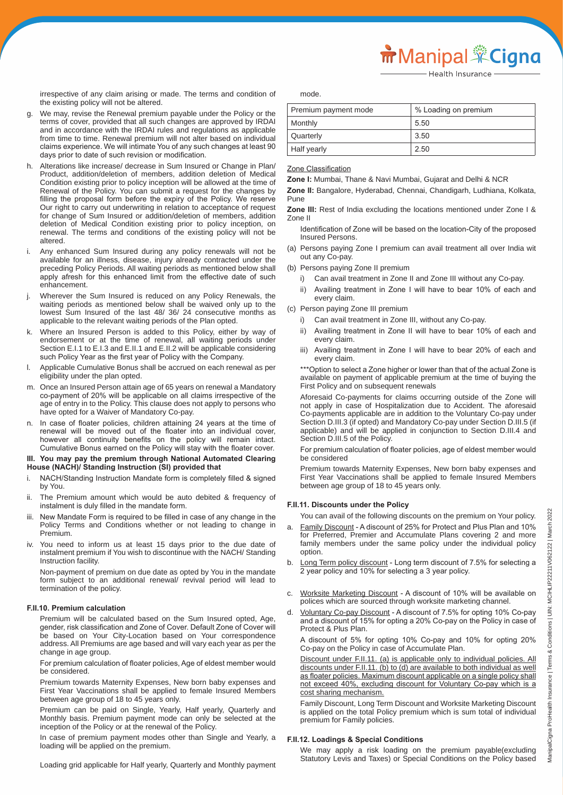irrespective of any claim arising or made. The terms and condition of the existing policy will not be altered.

- We may, revise the Renewal premium payable under the Policy or the terms of cover, provided that all such changes are approved by IRDAI and in accordance with the IRDAI rules and regulations as applicable from time to time. Renewal premium will not alter based on individual claims experience. We will intimate You of any such changes at least 90 days prior to date of such revision or modification.
- h. Alterations like increase/ decrease in Sum Insured or Change in Plan/ Product, addition/deletion of members, addition deletion of Medical Condition existing prior to policy inception will be allowed at the time of Renewal of the Policy. You can submit a request for the changes by filling the proposal form before the expiry of the Policy. We reserve Our right to carry out underwriting in relation to acceptance of request for change of Sum Insured or addition/deletion of members, addition deletion of Medical Condition existing prior to policy inception, on renewal. The terms and conditions of the existing policy will not be altered.
- i. Any enhanced Sum Insured during any policy renewals will not be available for an illness, disease, injury already contracted under the preceding Policy Periods. All waiting periods as mentioned below shall apply afresh for this enhanced limit from the effective date of such enhancement.
- j. Wherever the Sum Insured is reduced on any Policy Renewals, the waiting periods as mentioned below shall be waived only up to the lowest Sum Insured of the last 48/ 36/ 24 consecutive months as applicable to the relevant waiting periods of the Plan opted.
- k. Where an Insured Person is added to this Policy, either by way of endorsement or at the time of renewal, all waiting periods under Section E.I.1 to E.I.3 and E.II.1 and E.II.2 will be applicable considering such Policy Year as the first year of Policy with the Company.
- l. Applicable Cumulative Bonus shall be accrued on each renewal as per eligibility under the plan opted.
- m. Once an Insured Person attain age of 65 years on renewal a Mandatory co-payment of 20% will be applicable on all claims irrespective of the age of entry in to the Policy. This clause does not apply to persons who have opted for a Waiver of Mandatory Co-pay.
- n. In case of floater policies, children attaining 24 years at the time of renewal will be moved out of the floater into an individual cover, however all continuity benefits on the policy will remain intact. Cumulative Bonus earned on the Policy will stay with the floater cover.

#### **III. You may pay the premium through National Automated Clearing House (NACH)/ Standing Instruction (SI) provided that**

- i. NACH/Standing Instruction Mandate form is completely filled & signed by You.
- The Premium amount which would be auto debited & frequency of instalment is duly filled in the mandate form.
- New Mandate Form is required to be filled in case of any change in the Policy Terms and Conditions whether or not leading to change in Premium.
- iv. You need to inform us at least 15 days prior to the due date of instalment premium if You wish to discontinue with the NACH/ Standing Instruction facility.

 Non-payment of premium on due date as opted by You in the mandate form subject to an additional renewal/ revival period will lead to termination of the policy.

#### **F.II.10. Premium calculation**

 Premium will be calculated based on the Sum Insured opted, Age, gender, risk classification and Zone of Cover. Default Zone of Cover will be based on Your City-Location based on Your correspondence address. All Premiums are age based and will vary each year as per the change in age group.

 For premium calculation of floater policies, Age of eldest member would be considered.

 Premium towards Maternity Expenses, New born baby expenses and First Year Vaccinations shall be applied to female Insured Members between age group of 18 to 45 years only.

 Premium can be paid on Single, Yearly, Half yearly, Quarterly and Monthly basis. Premium payment mode can only be selected at the inception of the Policy or at the renewal of the Policy.

 In case of premium payment modes other than Single and Yearly, a loading will be applied on the premium.

Loading grid applicable for Half yearly, Quarterly and Monthly payment

mode.

| Premium payment mode | % Loading on premium |
|----------------------|----------------------|
| Monthly              | 5.50                 |
| Quarterly            | 3.50                 |
| Half yearly          | 2.50                 |

Zone Classification

**Zone I:** Mumbai, Thane & Navi Mumbai, Gujarat and Delhi & NCR

**Zone II:** Bangalore, Hyderabad, Chennai, Chandigarh, Ludhiana, Kolkata, Pune

**Zone III:** Rest of India excluding the locations mentioned under Zone I & Zone II

- Identification of Zone will be based on the location-City of the proposed Insured Persons.
- (a) Persons paying Zone I premium can avail treatment all over India wit out any Co-pay.
- (b) Persons paying Zone II premium
	- i) Can avail treatment in Zone II and Zone III without any Co-pay.
	- ii) Availing treatment in Zone I will have to bear 10% of each and every claim.
- (c) Person paying Zone III premium
	- Can avail treatment in Zone III, without any Co-pay.
	- ii) Availing treatment in Zone II will have to bear 10% of each and every claim.
	- iii) Availing treatment in Zone I will have to bear 20% of each and every claim.

\*\*\*Option to select a Zone higher or lower than that of the actual Zone is available on payment of applicable premium at the time of buying the First Policy and on subsequent renewals

 Aforesaid Co-payments for claims occurring outside of the Zone will not apply in case of Hospitalization due to Accident. The aforesaid Co-payments applicable are in addition to the Voluntary Co-pay under Section D.III.3 (if opted) and Mandatory Co-pay under Section D.III.5 (if applicable) and will be applied in conjunction to Section D.III.4 and Section D.III.5 of the Policy.

 For premium calculation of floater policies, age of eldest member would be considered

 Premium towards Maternity Expenses, New born baby expenses and First Year Vaccinations shall be applied to female Insured Members between age group of 18 to 45 years only.

#### **F.II.11. Discounts under the Policy**

You can avail of the following discounts on the premium on Your policy.

- Family Discount A discount of 25% for Protect and Plus Plan and 10% for Preferred, Premier and Accumulate Plans covering 2 and more family members under the same policy under the individual policy option.
- b. Long Term policy discount Long term discount of 7.5% for selecting a 2 year policy and 10% for selecting a 3 year policy.
- c. Worksite Marketing Discount A discount of 10% will be available on polices which are sourced through worksite marketing channel.
- d. Voluntary Co-pay Discount A discount of 7.5% for opting 10% Co-pay and a discount of 15% for opting a 20% Co-pay on the Policy in case of Protect & Plus Plan.

 A discount of 5% for opting 10% Co-pay and 10% for opting 20% Co-pay on the Policy in case of Accumulate Plan.

Discount under F.II.11. (a) is applicable only to individual policies. All discounts under F.II.11. (b) to (d) are available to both individual as well as floater policies. Maximum discount applicable on a single policy shall not exceed 40%, excluding discount for Voluntary Co-pay which is a cost sharing mechanism.

 Family Discount, Long Term Discount and Worksite Marketing Discount is applied on the total Policy premium which is sum total of individual premium for Family policies.

#### **F.II.12. Loadings & Special Conditions**

March 2022

 We may apply a risk loading on the premium payable(excluding Statutory Levis and Taxes) or Special Conditions on the Policy based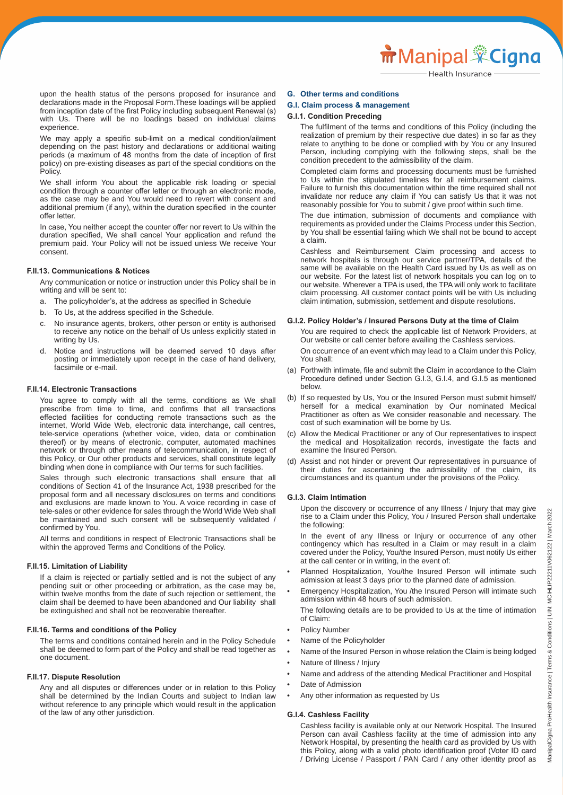upon the health status of the persons proposed for insurance and declarations made in the Proposal Form.These loadings will be applied from inception date of the first Policy including subsequent Renewal (s) with Us. There will be no loadings based on individual claims experience.

 We may apply a specific sub-limit on a medical condition/ailment depending on the past history and declarations or additional waiting periods (a maximum of 48 months from the date of inception of first policy) on pre-existing diseases as part of the special conditions on the Policy.

 We shall inform You about the applicable risk loading or special condition through a counter offer letter or through an electronic mode, as the case may be and You would need to revert with consent and additional premium (if any), within the duration specified in the counter offer letter.

 In case, You neither accept the counter offer nor revert to Us within the duration specified, We shall cancel Your application and refund the premium paid. Your Policy will not be issued unless We receive Your consent.

#### **F.II.13. Communications & Notices**

 Any communication or notice or instruction under this Policy shall be in writing and will be sent to:

- a. The policyholder's, at the address as specified in Schedule
- b. To Us, at the address specified in the Schedule.
- c. No insurance agents, brokers, other person or entity is authorised to receive any notice on the behalf of Us unless explicitly stated in writing by Us.
- d. Notice and instructions will be deemed served 10 days after posting or immediately upon receipt in the case of hand delivery, facsimile or e-mail.

#### **F.II.14. Electronic Transactions**

 You agree to comply with all the terms, conditions as We shall prescribe from time to time, and confirms that all transactions effected facilities for conducting remote transactions such as the internet, World Wide Web, electronic data interchange, call centres, tele-service operations (whether voice, video, data or combination thereof) or by means of electronic, computer, automated machines network or through other means of telecommunication, in respect of this Policy, or Our other products and services, shall constitute legally binding when done in compliance with Our terms for such facilities.

 Sales through such electronic transactions shall ensure that all conditions of Section 41 of the Insurance Act, 1938 prescribed for the proposal form and all necessary disclosures on terms and conditions and exclusions are made known to You. A voice recording in case of tele-sales or other evidence for sales through the World Wide Web shall be maintained and such consent will be subsequently validated / confirmed by You.

 All terms and conditions in respect of Electronic Transactions shall be within the approved Terms and Conditions of the Policy.

#### **F.II.15. Limitation of Liability**

 If a claim is rejected or partially settled and is not the subject of any pending suit or other proceeding or arbitration, as the case may be, within twelve months from the date of such rejection or settlement, the claim shall be deemed to have been abandoned and Our liability shall be extinguished and shall not be recoverable thereafter.

#### **F.II.16. Terms and conditions of the Policy**

 The terms and conditions contained herein and in the Policy Schedule shall be deemed to form part of the Policy and shall be read together as one document.

#### **F.II.17. Dispute Resolution**

 Any and all disputes or differences under or in relation to this Policy shall be determined by the Indian Courts and subject to Indian law without reference to any principle which would result in the application of the law of any other jurisdiction.

#### **G. Other terms and conditions**

#### **G.I. Claim process & management**

#### **G.I.1. Condition Preceding**

 The fulfilment of the terms and conditions of this Policy (including the realization of premium by their respective due dates) in so far as they relate to anything to be done or complied with by You or any Insured Person, including complying with the following steps, shall be the condition precedent to the admissibility of the claim.

 Completed claim forms and processing documents must be furnished to Us within the stipulated timelines for all reimbursement claims. Failure to furnish this documentation within the time required shall not invalidate nor reduce any claim if You can satisfy Us that it was not reasonably possible for You to submit / give proof within such time.

 The due intimation, submission of documents and compliance with requirements as provided under the Claims Process under this Section, by You shall be essential failing which We shall not be bound to accept a claim.

 Cashless and Reimbursement Claim processing and access to network hospitals is through our service partner/TPA, details of the same will be available on the Health Card issued by Us as well as on our website. For the latest list of network hospitals you can log on to our website. Wherever a TPA is used, the TPA will only work to facilitate claim processing. All customer contact points will be with Us including claim intimation, submission, settlement and dispute resolutions.

#### **G.I.2. Policy Holder's / Insured Persons Duty at the time of Claim**

 You are required to check the applicable list of Network Providers, at Our website or call center before availing the Cashless services. On occurrence of an event which may lead to a Claim under this Policy, You shall:

- (a) Forthwith intimate, file and submit the Claim in accordance to the Claim Procedure defined under Section G.I.3, G.I.4, and G.I.5 as mentioned below.
- (b) If so requested by Us, You or the Insured Person must submit himself/ herself for a medical examination by Our nominated Medical Practitioner as often as We consider reasonable and necessary. The cost of such examination will be borne by Us.
- (c) Allow the Medical Practitioner or any of Our representatives to inspect the medical and Hospitalization records, investigate the facts and examine the Insured Person.
- (d) Assist and not hinder or prevent Our representatives in pursuance of their duties for ascertaining the admissibility of the claim, its circumstances and its quantum under the provisions of the Policy.

#### **G.I.3. Claim Intimation**

 Upon the discovery or occurrence of any Illness / Injury that may give rise to a Claim under this Policy, You / Insured Person shall undertake the following:

 In the event of any Illness or Injury or occurrence of any other contingency which has resulted in a Claim or may result in a claim covered under the Policy, You/the Insured Person, must notify Us either at the call center or in writing, in the event of:

- Planned Hospitalization, You/the Insured Person will intimate such admission at least 3 days prior to the planned date of admission.
- Emergency Hospitalization, You /the Insured Person will intimate such admission within 48 hours of such admission.

 The following details are to be provided to Us at the time of intimation of Claim:

- Policy Number
- Name of the Policyholder
- Name of the Insured Person in whose relation the Claim is being lodged
- Nature of Illness / Injury
- Name and address of the attending Medical Practitioner and Hospital
- Date of Admission
- Any other information as requested by Us

#### **G.I.4. Cashless Facility**

 Cashless facility is available only at our Network Hospital. The Insured Person can avail Cashless facility at the time of admission into any Network Hospital, by presenting the health card as provided by Us with this Policy, along with a valid photo identification proof (Voter ID card / Driving License / Passport / PAN Card / any other identity proof as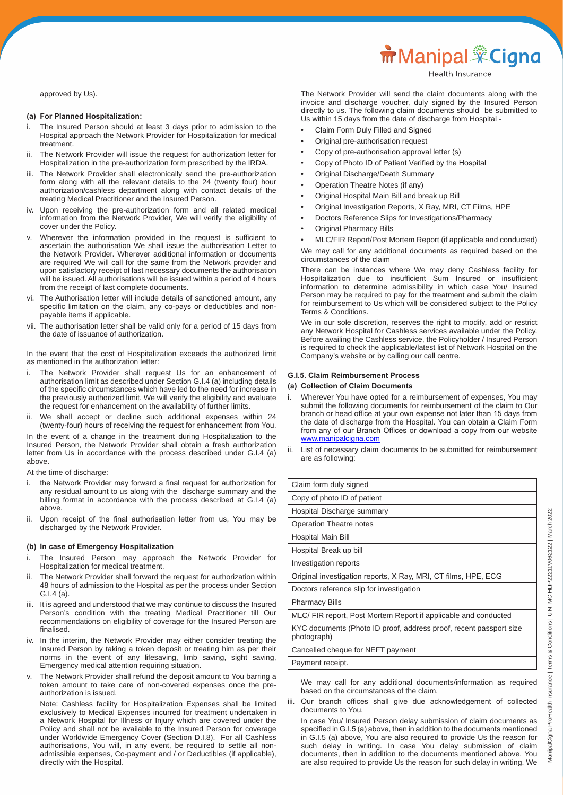approved by Us).

#### **(a) For Planned Hospitalization:**

- The Insured Person should at least 3 days prior to admission to the Hospital approach the Network Provider for Hospitalization for medical treatment.
- ii. The Network Provider will issue the request for authorization letter for Hospitalization in the pre-authorization form prescribed by the IRDA.
- iii. The Network Provider shall electronically send the pre-authorization form along with all the relevant details to the 24 (twenty four) hour authorization/cashless department along with contact details of the treating Medical Practitioner and the Insured Person.
- iv. Upon receiving the pre-authorization form and all related medical information from the Network Provider, We will verify the eligibility of cover under the Policy.
- Wherever the information provided in the request is sufficient to ascertain the authorisation We shall issue the authorisation Letter to the Network Provider. Wherever additional information or documents are required We will call for the same from the Network provider and upon satisfactory receipt of last necessary documents the authorisation will be issued. All authorisations will be issued within a period of 4 hours from the receipt of last complete documents.
- vi. The Authorisation letter will include details of sanctioned amount, any specific limitation on the claim, any co-pays or deductibles and non payable items if applicable.
- The authorisation letter shall be valid only for a period of 15 days from the date of issuance of authorization.

In the event that the cost of Hospitalization exceeds the authorized limit as mentioned in the authorization letter:

- i. The Network Provider shall request Us for an enhancement of authorisation limit as described under Section G.I.4 (a) including details of the specific circumstances which have led to the need for increase in the previously authorized limit. We will verify the eligibility and evaluate the request for enhancement on the availability of further limits.
- ii. We shall accept or decline such additional expenses within 24 (twenty-four) hours of receiving the request for enhancement from You. In the event of a change in the treatment during Hospitalization to the

Insured Person, the Network Provider shall obtain a fresh authorization letter from Us in accordance with the process described under G.I.4 (a) above.

At the time of discharge:

- i. the Network Provider may forward a final request for authorization for any residual amount to us along with the discharge summary and the billing format in accordance with the process described at G.I.4 (a) above.
- ii. Upon receipt of the final authorisation letter from us, You may be discharged by the Network Provider.

#### **(b) In case of Emergency Hospitalization**

- i. The Insured Person may approach the Network Provider for Hospitalization for medical treatment.
- ii. The Network Provider shall forward the request for authorization within 48 hours of admission to the Hospital as per the process under Section G.I.4 (a).
- iii. It is agreed and understood that we may continue to discuss the Insured Person's condition with the treating Medical Practitioner till Our recommendations on eligibility of coverage for the Insured Person are finalised.
- In the interim, the Network Provider may either consider treating the Insured Person by taking a token deposit or treating him as per their norms in the event of any lifesaving, limb saving, sight saving, Emergency medical attention requiring situation.
- v. The Network Provider shall refund the deposit amount to You barring a token amount to take care of non-covered expenses once the pre authorization is issued.

 Note: Cashless facility for Hospitalization Expenses shall be limited exclusively to Medical Expenses incurred for treatment undertaken in a Network Hospital for Illness or Injury which are covered under the Policy and shall not be available to the Insured Person for coverage under Worldwide Emergency Cover (Section D.I.8). For all Cashless authorisations, You will, in any event, be required to settle all non admissible expenses, Co-payment and / or Deductibles (if applicable), directly with the Hospital.

 The Network Provider will send the claim documents along with the invoice and discharge voucher, duly signed by the Insured Person directly to us. The following claim documents should be submitted to Us within 15 days from the date of discharge from Hospital -

- Claim Form Duly Filled and Signed
- Original pre-authorisation request
- Copy of pre-authorisation approval letter (s)
- Copy of Photo ID of Patient Verified by the Hospital
- Original Discharge/Death Summary
- Operation Theatre Notes (if any)
- Original Hospital Main Bill and break up Bill
- Original Investigation Reports, X Ray, MRI, CT Films, HPE
- Doctors Reference Slips for Investigations/Pharmacy
- Original Pharmacy Bills

 • MLC/FIR Report/Post Mortem Report (if applicable and conducted) We may call for any additional documents as required based on the circumstances of the claim

 There can be instances where We may deny Cashless facility for Hospitalization due to insufficient Sum Insured or insufficient information to determine admissibility in which case You/ Insured Person may be required to pay for the treatment and submit the claim for reimbursement to Us which will be considered subject to the Policy Terms & Conditions.

 We in our sole discretion, reserves the right to modify, add or restrict any Network Hospital for Cashless services available under the Policy. Before availing the Cashless service, the Policyholder / Insured Person is required to check the applicable/latest list of Network Hospital on the Company's website or by calling our call centre.

#### **G.I.5. Claim Reimbursement Process**

#### **(a) Collection of Claim Documents**

- i. Wherever You have opted for a reimbursement of expenses, You may submit the following documents for reimbursement of the claim to Our branch or head office at your own expense not later than 15 days from the date of discharge from the Hospital. You can obtain a Claim Form from any of our Branch Offices or download a copy from our website www.manipalcigna.com
- ii. List of necessary claim documents to be submitted for reimbursement are as following:

| Claim form duly signed                                                            |
|-----------------------------------------------------------------------------------|
| Copy of photo ID of patient                                                       |
| Hospital Discharge summary                                                        |
| Operation Theatre notes                                                           |
| Hospital Main Bill                                                                |
| Hospital Break up bill                                                            |
| Investigation reports                                                             |
| Original investigation reports, X Ray, MRI, CT films, HPE, ECG                    |
| Doctors reference slip for investigation                                          |
| <b>Pharmacy Bills</b>                                                             |
| MLC/ FIR report, Post Mortem Report if applicable and conducted                   |
| KYC documents (Photo ID proof, address proof, recent passport size<br>photograph) |
| Cancelled cheque for NEFT payment                                                 |
| Payment receipt.                                                                  |
|                                                                                   |

 We may call for any additional documents/information as required based on the circumstances of the claim.

iii. Our branch offices shall give due acknowledgement of collected documents to You.

 In case You/ Insured Person delay submission of claim documents as specified in G.I.5 (a) above, then in addition to the documents mentioned in G.I.5 (a) above, You are also required to provide Us the reason for such delay in writing. In case You delay submission of claim documents, then in addition to the documents mentioned above, You are also required to provide Us the reason for such delay in writing. We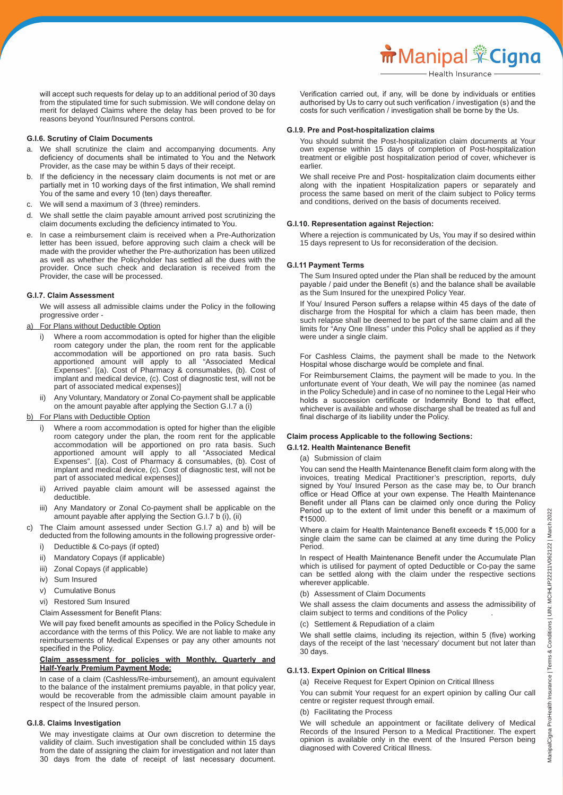**m** Manipal <sup>\*</sup>Cigna

 will accept such requests for delay up to an additional period of 30 days from the stipulated time for such submission. We will condone delay on merit for delayed Claims where the delay has been proved to be for reasons beyond Your/Insured Persons control.

#### **G.I.6. Scrutiny of Claim Documents**

- a. We shall scrutinize the claim and accompanying documents. Any deficiency of documents shall be intimated to You and the Network Provider, as the case may be within 5 days of their receipt.
- b. If the deficiency in the necessary claim documents is not met or are partially met in 10 working days of the first intimation, We shall remind You of the same and every 10 (ten) days thereafter.
- c. We will send a maximum of 3 (three) reminders.
- d. We shall settle the claim payable amount arrived post scrutinizing the claim documents excluding the deficiency intimated to You.
- e. In case a reimbursement claim is received when a Pre-Authorization letter has been issued, before approving such claim a check will be made with the provider whether the Pre-authorization has been utilized as well as whether the Policyholder has settled all the dues with the provider. Once such check and declaration is received from the Provider, the case will be processed.

#### **G.I.7. Claim Assessment**

 We will assess all admissible claims under the Policy in the following progressive order -

#### a) For Plans without Deductible Option

- i) Where a room accommodation is opted for higher than the eligible room category under the plan, the room rent for the applicable accommodation will be apportioned on pro rata basis. Such apportioned amount will apply to all "Associated Medical Expenses". [(a). Cost of Pharmacy & consumables, (b). Cost of implant and medical device, (c). Cost of diagnostic test, will not be part of associated medical expenses)]
- ii) Any Voluntary, Mandatory or Zonal Co-payment shall be applicable on the amount payable after applying the Section G.I.7 a (i)

#### b) For Plans with Deductible Option

- i) Where a room accommodation is opted for higher than the eligible room category under the plan, the room rent for the applicable accommodation will be apportioned on pro rata basis. Such apportioned amount will apply to all "Associated Medical Expenses". [(a). Cost of Pharmacy & consumables, (b). Cost of implant and medical device, (c). Cost of diagnostic test, will not be part of associated medical expenses)]
- ii) Arrived payable claim amount will be assessed against the deductible.
- iii) Any Mandatory or Zonal Co-payment shall be applicable on the amount payable after applying the Section G.I.7 b (i), (ii)
- c) The Claim amount assessed under Section G.I.7 a) and b) will be deducted from the following amounts in the following progressive order
	- i) Deductible & Co-pays (if opted)
	- ii) Mandatory Copays (if applicable)
	- iii) Zonal Copays (if applicable)
	- iv) Sum Insured
	- v) Cumulative Bonus
	- vi) Restored Sum Insured
	- Claim Assessment for Benefit Plans:

 We will pay fixed benefit amounts as specified in the Policy Schedule in accordance with the terms of this Policy. We are not liable to make any reimbursements of Medical Expenses or pay any other amounts not specified in the Policy.

#### **Claim assessment for policies with Monthly, Quarterly and Half-Yearly Premium Payment Mode:**

 In case of a claim (Cashless/Re-imbursement), an amount equivalent to the balance of the instalment premiums payable, in that policy year, would be recoverable from the admissible claim amount payable in respect of the Insured person.

## **G.I.8. Claims Investigation**

 We may investigate claims at Our own discretion to determine the validity of claim. Such investigation shall be concluded within 15 days from the date of assigning the claim for investigation and not later than 30 days from the date of receipt of last necessary document.

 Verification carried out, if any, will be done by individuals or entities authorised by Us to carry out such verification / investigation (s) and the costs for such verification / investigation shall be borne by the Us.

#### **G.I.9. Pre and Post-hospitalization claims**

 You should submit the Post-hospitalization claim documents at Your own expense within 15 days of completion of Post-hospitalization treatment or eligible post hospitalization period of cover, whichever is earlier.

 We shall receive Pre and Post- hospitalization claim documents either along with the inpatient Hospitalization papers or separately and process the same based on merit of the claim subject to Policy terms and conditions, derived on the basis of documents received.

#### **G.I.10. Representation against Rejection:**

 Where a rejection is communicated by Us, You may if so desired within 15 days represent to Us for reconsideration of the decision.

## **G.I.11 Payment Terms**

 The Sum Insured opted under the Plan shall be reduced by the amount payable / paid under the Benefit (s) and the balance shall be available as the Sum Insured for the unexpired Policy Year.

 If You/ Insured Person suffers a relapse within 45 days of the date of discharge from the Hospital for which a claim has been made, then such relapse shall be deemed to be part of the same claim and all the limits for "Any One Illness" under this Policy shall be applied as if they were under a single claim.

 For Cashless Claims, the payment shall be made to the Network Hospital whose discharge would be complete and final.

 For Reimbursement Claims, the payment will be made to you. In the unfortunate event of Your death, We will pay the nominee (as named in the Policy Schedule) and in case of no nominee to the Legal Heir who holds a succession certificate or Indemnity Bond to that effect, whichever is available and whose discharge shall be treated as full and final discharge of its liability under the Policy.

## **Claim process Applicable to the following Sections:**

#### **G.I.12. Health Maintenance Benefit**

#### (a) Submission of claim

 You can send the Health Maintenance Benefit claim form along with the invoices, treating Medical Practitioner's prescription, reports, duly signed by You/ Insured Person as the case may be, to Our branch office or Head Office at your own expense. The Health Maintenance Benefit under all Plans can be claimed only once during the Policy Period up to the extent of limit under this benefit or a maximum of ₹15000.

Where a claim for Health Maintenance Benefit exceeds  $\bar{\tau}$  15,000 for a single claim the same can be claimed at any time during the Policy Period.

 In respect of Health Maintenance Benefit under the Accumulate Plan which is utilised for payment of opted Deductible or Co-pay the same can be settled along with the claim under the respective sections wherever applicable.

(b) Assessment of Claim Documents

 We shall assess the claim documents and assess the admissibility of claim subject to terms and conditions of the Policy .

(c) Settlement & Repudiation of a claim

 We shall settle claims, including its rejection, within 5 (five) working days of the receipt of the last 'necessary' document but not later than 30 days.

## **G.I.13. Expert Opinion on Critical Illness**

(a) Receive Request for Expert Opinion on Critical Illness

 You can submit Your request for an expert opinion by calling Our call centre or register request through email.

## (b) Facilitating the Process

 We will schedule an appointment or facilitate delivery of Medical Records of the Insured Person to a Medical Practitioner. The expert opinion is available only in the event of the Insured Person being diagnosed with Covered Critical Illness.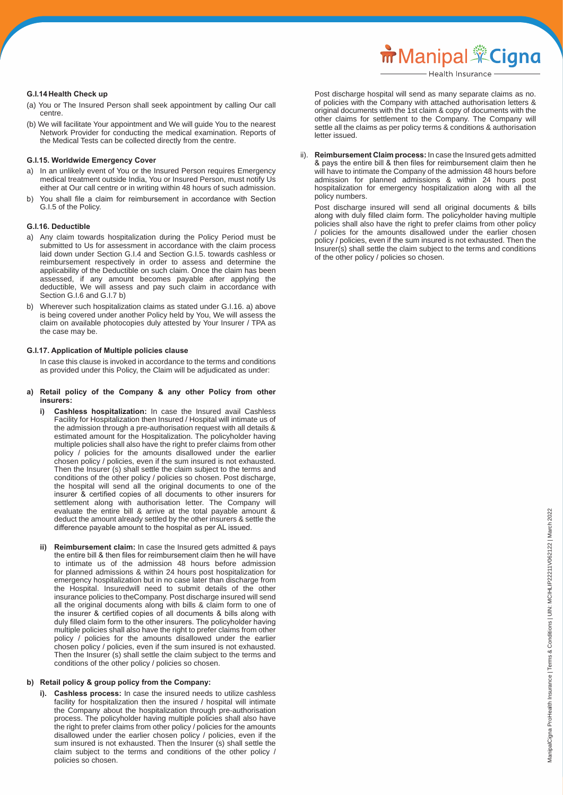Health Insurance

#### **G.I.14 Health Check up**

- (a) You or The Insured Person shall seek appointment by calling Our call centre.
- (b) We will facilitate Your appointment and We will guide You to the nearest Network Provider for conducting the medical examination. Reports of the Medical Tests can be collected directly from the centre.

#### **G.I.15. Worldwide Emergency Cover**

- a) In an unlikely event of You or the Insured Person requires Emergency medical treatment outside India, You or Insured Person, must notify Us either at Our call centre or in writing within 48 hours of such admission.
- b) You shall file a claim for reimbursement in accordance with Section G.I.5 of the Policy.

#### **G.I.16. Deductible**

- a) Any claim towards hospitalization during the Policy Period must be submitted to Us for assessment in accordance with the claim process laid down under Section G.I.4 and Section G.I.5. towards cashless or reimbursement respectively in order to assess and determine the applicability of the Deductible on such claim. Once the claim has been assessed, if any amount becomes payable after applying the deductible, We will assess and pay such claim in accordance with Section G.I.6 and G.I.7 b)
- b) Wherever such hospitalization claims as stated under G.I.16. a) above is being covered under another Policy held by You, We will assess the claim on available photocopies duly attested by Your Insurer / TPA as the case may be.

#### **G.I.17. Application of Multiple policies clause**

 In case this clause is invoked in accordance to the terms and conditions as provided under this Policy, the Claim will be adjudicated as under:

- **a) Retail policy of the Company & any other Policy from other insurers:**
	- **i)** Cashless hospitalization: In case the Insured avail Cashless Facility for Hospitalization then Insured / Hospital will intimate us of the admission through a pre-authorisation request with all details & estimated amount for the Hospitalization. The policyholder having multiple policies shall also have the right to prefer claims from other policy / policies for the amounts disallowed under the earlier chosen policy / policies, even if the sum insured is not exhausted. Then the Insurer (s) shall settle the claim subject to the terms and conditions of the other policy / policies so chosen. Post discharge, the hospital will send all the original documents to one of the insurer & certified copies of all documents to other insurers for settlement along with authorisation letter. The Company will evaluate the entire bill & arrive at the total payable amount & deduct the amount already settled by the other insurers & settle the difference payable amount to the hospital as per AL issued.
- **ii) Reimbursement claim:** In case the Insured gets admitted & pays the entire bill & then files for reimbursement claim then he will have to intimate us of the admission 48 hours before admission for planned admissions & within 24 hours post hospitalization for emergency hospitalization but in no case later than discharge from the Hospital. Insuredwill need to submit details of the other insurance policies to theCompany. Post discharge insured will send all the original documents along with bills & claim form to one of the insurer & certified copies of all documents & bills along with duly filled claim form to the other insurers. The policyholder having multiple policies shall also have the right to prefer claims from other policy / policies for the amounts disallowed under the earlier chosen policy / policies, even if the sum insured is not exhausted. Then the Insurer (s) shall settle the claim subject to the terms and conditions of the other policy / policies so chosen.

#### **b) Retail policy & group policy from the Company:**

**Cashless process:** In case the insured needs to utilize cashless facility for hospitalization then the insured / hospital will intimate the Company about the hospitalization through pre-authorisation process. The policyholder having multiple policies shall also have the right to prefer claims from other policy / policies for the amounts disallowed under the earlier chosen policy / policies, even if the sum insured is not exhausted. Then the Insurer (s) shall settle the claim subject to the terms and conditions of the other policy / policies so chosen.

 Post discharge hospital will send as many separate claims as no. of policies with the Company with attached authorisation letters & original documents with the 1st claim & copy of documents with the other claims for settlement to the Company. The Company will settle all the claims as per policy terms & conditions & authorisation letter issued.

 ii). **Reimbursement Claim process:** In case the Insured gets admitted & pays the entire bill & then files for reimbursement claim then he will have to intimate the Company of the admission 48 hours before admission for planned admissions & within 24 hours post hospitalization for emergency hospitalization along with all the policy numbers.

 Post discharge insured will send all original documents & bills along with duly filled claim form. The policyholder having multiple policies shall also have the right to prefer claims from other policy / policies for the amounts disallowed under the earlier chosen policy / policies, even if the sum insured is not exhausted. Then the Insurer(s) shall settle the claim subject to the terms and conditions of the other policy / policies so chosen.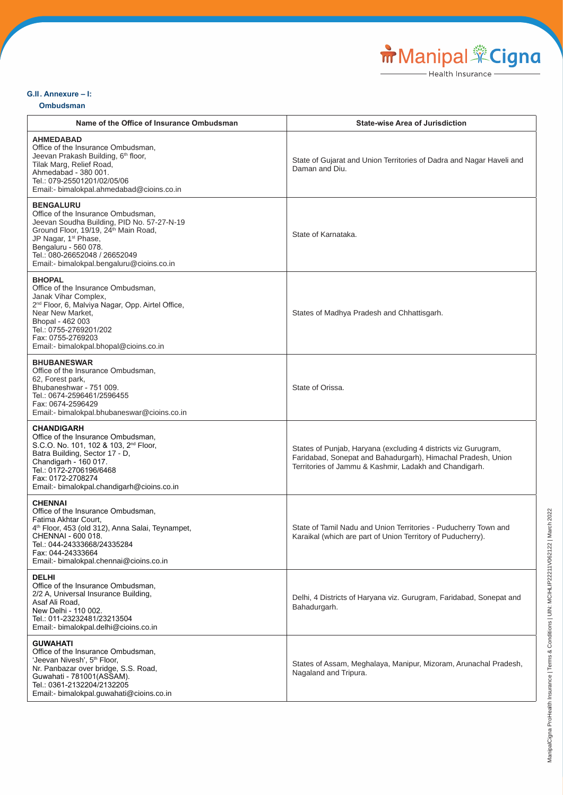# **G.II . Annexure – I:**

## **Ombudsman**

| Name of the Office of Insurance Ombudsman                                                                                                                                                                                                                                                          | <b>State-wise Area of Jurisdiction</b>                                                                                                                                                   |
|----------------------------------------------------------------------------------------------------------------------------------------------------------------------------------------------------------------------------------------------------------------------------------------------------|------------------------------------------------------------------------------------------------------------------------------------------------------------------------------------------|
| <b>AHMEDABAD</b><br>Office of the Insurance Ombudsman,<br>Jeevan Prakash Building, 6th floor,<br>Tilak Marg, Relief Road,<br>Ahmedabad - 380 001.<br>Tel.: 079-25501201/02/05/06<br>Email:- bimalokpal.ahmedabad@cioins.co.in                                                                      | State of Gujarat and Union Territories of Dadra and Nagar Haveli and<br>Daman and Diu.                                                                                                   |
| <b>BENGALURU</b><br>Office of the Insurance Ombudsman,<br>Jeevan Soudha Building, PID No. 57-27-N-19<br>Ground Floor, 19/19, 24 <sup>th</sup> Main Road,<br>JP Nagar, 1 <sup>st</sup> Phase,<br>Bengaluru - 560 078.<br>Tel.: 080-26652048 / 26652049<br>Email:- bimalokpal.bengaluru@cioins.co.in | State of Karnataka.                                                                                                                                                                      |
| <b>BHOPAL</b><br>Office of the Insurance Ombudsman,<br>Janak Vihar Complex,<br>2 <sup>nd</sup> Floor, 6, Malviya Nagar, Opp. Airtel Office,<br>Near New Market,<br>Bhopal - 462 003<br>Tel.: 0755-2769201/202<br>Fax: 0755-2769203<br>Email:- bimalokpal.bhopal@cioins.co.in                       | States of Madhya Pradesh and Chhattisgarh.                                                                                                                                               |
| <b>BHUBANESWAR</b><br>Office of the Insurance Ombudsman,<br>62, Forest park,<br>Bhubaneshwar - 751 009.<br>Tel.: 0674-2596461/2596455<br>Fax: 0674-2596429<br>Email:- bimalokpal.bhubaneswar@cioins.co.in                                                                                          | State of Orissa.                                                                                                                                                                         |
| <b>CHANDIGARH</b><br>Office of the Insurance Ombudsman,<br>S.C.O. No. 101, 102 & 103, 2 <sup>nd</sup> Floor,<br>Batra Building, Sector 17 - D,<br>Chandigarh - 160 017.<br>Tel.: 0172-2706196/6468<br>Fax: 0172-2708274<br>Email:- bimalokpal.chandigarh@cioins.co.in                              | States of Punjab, Haryana (excluding 4 districts viz Gurugram,<br>Faridabad, Sonepat and Bahadurgarh), Himachal Pradesh, Union<br>Territories of Jammu & Kashmir, Ladakh and Chandigarh. |
| <b>CHENNAI</b><br>Office of the Insurance Ombudsman,<br>Fatima Akhtar Court,<br>4 <sup>th</sup> Floor, 453 (old 312), Anna Salai, Teynampet,<br>CHENNAI - 600 018.<br>Tel.: 044-24333668/24335284<br>Fax: 044-24333664<br>Email:- bimalokpal.chennai@cioins.co.in                                  | State of Tamil Nadu and Union Territories - Puducherry Town and<br>Karaikal (which are part of Union Territory of Puducherry).                                                           |
| <b>DELHI</b><br>Office of the Insurance Ombudsman,<br>2/2 A, Universal Insurance Building,<br>Asaf Ali Road,<br>New Delhi - 110 002.<br>Tel.: 011-23232481/23213504<br>Email:- bimalokpal.delhi@cioins.co.in                                                                                       | Delhi, 4 Districts of Haryana viz. Gurugram, Faridabad, Sonepat and<br>Bahadurgarh.                                                                                                      |
| <b>GUWAHATI</b><br>Office of the Insurance Ombudsman,<br>'Jeevan Nivesh', 5 <sup>th</sup> Floor,<br>Nr. Panbazar over bridge, S.S. Road,<br>Guwahati - 781001(ASSAM).<br>Tel.: 0361-2132204/2132205<br>Email:- bimalokpal.guwahati@cioins.co.in                                                    | States of Assam, Meghalaya, Manipur, Mizoram, Arunachal Pradesh,<br>Nagaland and Tripura.                                                                                                |

Manipal Cigna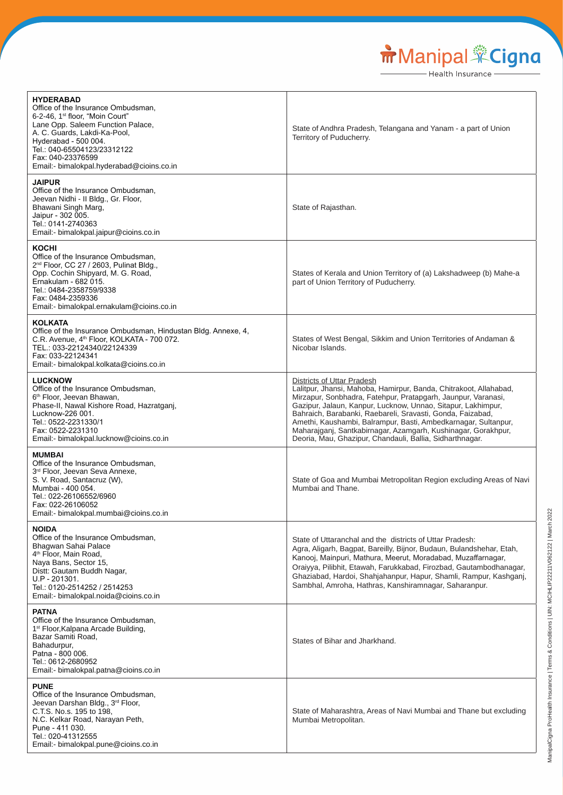Manipal Cigna

| <b>HYDERABAD</b><br>Office of the Insurance Ombudsman,<br>6-2-46, 1 <sup>st</sup> floor, "Moin Court"<br>Lane Opp. Saleem Function Palace,<br>A. C. Guards, Lakdi-Ka-Pool,<br>Hyderabad - 500 004.<br>Tel.: 040-65504123/23312122<br>Fax: 040-23376599<br>Email:- bimalokpal.hyderabad@cioins.co.in | State of Andhra Pradesh, Telangana and Yanam - a part of Union<br>Territory of Puducherry.                                                                                                                                                                                                                                                                                                                                                                                                    |
|-----------------------------------------------------------------------------------------------------------------------------------------------------------------------------------------------------------------------------------------------------------------------------------------------------|-----------------------------------------------------------------------------------------------------------------------------------------------------------------------------------------------------------------------------------------------------------------------------------------------------------------------------------------------------------------------------------------------------------------------------------------------------------------------------------------------|
| <b>JAIPUR</b><br>Office of the Insurance Ombudsman,<br>Jeevan Nidhi - Il Bldg., Gr. Floor,<br>Bhawani Singh Marg,<br>Jaipur - 302 005.<br>Tel.: 0141-2740363<br>Email:- bimalokpal.jaipur@cioins.co.in                                                                                              | State of Rajasthan.                                                                                                                                                                                                                                                                                                                                                                                                                                                                           |
| <b>KOCHI</b><br>Office of the Insurance Ombudsman,<br>2 <sup>nd</sup> Floor, CC 27 / 2603, Pulinat Bldg.,<br>Opp. Cochin Shipyard, M. G. Road,<br>Ernakulam - 682 015.<br>Tel.: 0484-2358759/9338<br>Fax: 0484-2359336<br>Email:- bimalokpal.ernakulam@cioins.co.in                                 | States of Kerala and Union Territory of (a) Lakshadweep (b) Mahe-a<br>part of Union Territory of Puducherry.                                                                                                                                                                                                                                                                                                                                                                                  |
| <b>KOLKATA</b><br>Office of the Insurance Ombudsman, Hindustan Bldg. Annexe, 4,<br>C.R. Avenue, 4 <sup>th</sup> Floor, KOLKATA - 700 072.<br>TEL.: 033-22124340/22124339<br>Fax: 033-22124341<br>Email:- bimalokpal.kolkata@cioins.co.in                                                            | States of West Bengal, Sikkim and Union Territories of Andaman &<br>Nicobar Islands.                                                                                                                                                                                                                                                                                                                                                                                                          |
| <b>LUCKNOW</b><br>Office of the Insurance Ombudsman,<br>6 <sup>th</sup> Floor, Jeevan Bhawan,<br>Phase-II, Nawal Kishore Road, Hazratganj,<br>Lucknow-226 001.<br>Tel.: 0522-2231330/1<br>Fax: 0522-2231310<br>Email:- bimalokpal.lucknow@cioins.co.in                                              | Districts of Uttar Pradesh<br>Lalitpur, Jhansi, Mahoba, Hamirpur, Banda, Chitrakoot, Allahabad,<br>Mirzapur, Sonbhadra, Fatehpur, Pratapgarh, Jaunpur, Varanasi,<br>Gazipur, Jalaun, Kanpur, Lucknow, Unnao, Sitapur, Lakhimpur,<br>Bahraich, Barabanki, Raebareli, Sravasti, Gonda, Faizabad,<br>Amethi, Kaushambi, Balrampur, Basti, Ambedkarnagar, Sultanpur,<br>Maharajganj, Santkabirnagar, Azamgarh, Kushinagar, Gorakhpur,<br>Deoria, Mau, Ghazipur, Chandauli, Ballia, Sidharthnagar. |
| <b>MUMBAI</b><br>Office of the Insurance Ombudsman,<br>3 <sup>rd</sup> Floor, Jeevan Seva Annexe.<br>S. V. Road, Santacruz (W),<br>Mumbai - 400 054.<br>Tel.: 022-26106552/6960<br>Fax: 022-26106052<br>Email:- bimalokpal.mumbai@cioins.co.in                                                      | State of Goa and Mumbai Metropolitan Region excluding Areas of Navi<br>Mumbai and Thane.                                                                                                                                                                                                                                                                                                                                                                                                      |
| <b>NOIDA</b><br>Office of the Insurance Ombudsman,<br>Bhagwan Sahai Palace<br>4 <sup>th</sup> Floor, Main Road,<br>Naya Bans, Sector 15,<br>Distt: Gautam Buddh Nagar,<br>U.P - 201301.<br>Tel.: 0120-2514252 / 2514253<br>Email:- bimalokpal.noida@cioins.co.in                                    | State of Uttaranchal and the districts of Uttar Pradesh:<br>Agra, Aligarh, Bagpat, Bareilly, Bijnor, Budaun, Bulandshehar, Etah,<br>Kanooj, Mainpuri, Mathura, Meerut, Moradabad, Muzaffarnagar,<br>Oraiyya, Pilibhit, Etawah, Farukkabad, Firozbad, Gautambodhanagar,<br>Ghaziabad, Hardoi, Shahjahanpur, Hapur, Shamli, Rampur, Kashganj,<br>Sambhal, Amroha, Hathras, Kanshiramnagar, Saharanpur.                                                                                          |
| <b>PATNA</b><br>Office of the Insurance Ombudsman,<br>1 <sup>st</sup> Floor, Kalpana Arcade Building,<br>Bazar Samiti Road,<br>Bahadurpur,<br>Patna - 800 006.<br>Tel.: 0612-2680952<br>Email:- bimalokpal.patna@cioins.co.in                                                                       | States of Bihar and Jharkhand.                                                                                                                                                                                                                                                                                                                                                                                                                                                                |
| <b>PUNE</b><br>Office of the Insurance Ombudsman,<br>Jeevan Darshan Bldg., 3rd Floor,<br>C.T.S. No.s. 195 to 198,<br>N.C. Kelkar Road, Narayan Peth,<br>Pune - 411 030.<br>Tel.: 020-41312555<br>Email:- bimalokpal.pune@cioins.co.in                                                               | State of Maharashtra, Areas of Navi Mumbai and Thane but excluding<br>Mumbai Metropolitan.                                                                                                                                                                                                                                                                                                                                                                                                    |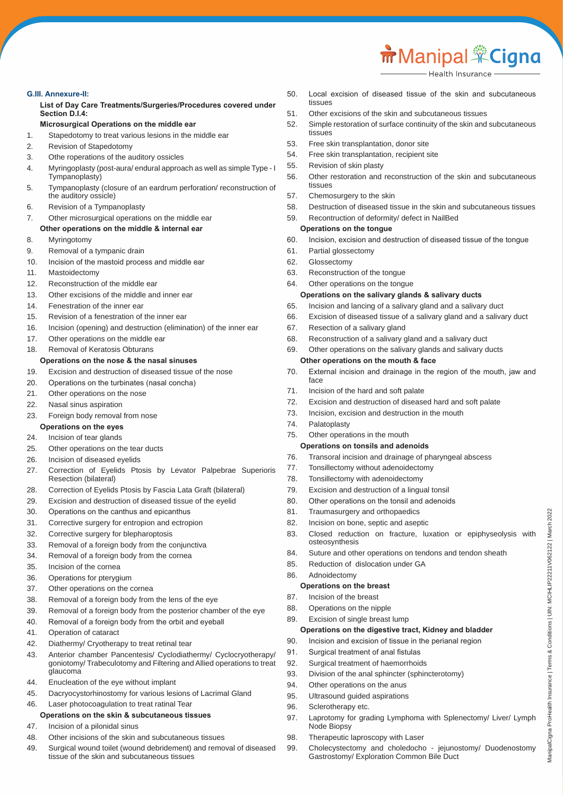# **G.III. Annexure-II:**

 **List of Day Care Treatments/Surgeries/Procedures covered under Section D.I.4:**

# **Microsurgical Operations on the middle ear**

- 1. Stapedotomy to treat various lesions in the middle ear
- 2. Revision of Stapedotomy
- 3. Othe roperations of the auditory ossicles
- 4. Myringoplasty (post-aura/ endural approach as well as simple Type I Tympanoplasty)
- 5. Tympanoplasty (closure of an eardrum perforation/ reconstruction of the auditory ossicle)
- 6. Revision of a Tympanoplasty
- 7. Other microsurgical operations on the middle ear **Other operations on the middle & internal ear**
- 8. Myringotomy
- 9. Removal of a tympanic drain
- 10. Incision of the mastoid process and middle ear
- 11. Mastoidectomy
- 12. Reconstruction of the middle ear
- 13. Other excisions of the middle and inner ear
- 14. Fenestration of the inner ear
- 15. Revision of a fenestration of the inner ear
- 16. Incision (opening) and destruction (elimination) of the inner ear
- 17. Other operations on the middle ear
- 18. Removal of Keratosis Obturans

# **Operations on the nose & the nasal sinuses**

- 19. Excision and destruction of diseased tissue of the nose
- 20. Operations on the turbinates (nasal concha)
- 21. Other operations on the nose
- 22. Nasal sinus aspiration
- 23. Foreign body removal from nose
- **Operations on the eyes**
- 24. Incision of tear glands
- 25. Other operations on the tear ducts
- 26. Incision of diseased eyelids
- 27. Correction of Eyelids Ptosis by Levator Palpebrae Superioris Resection (bilateral)
- 28. Correction of Eyelids Ptosis by Fascia Lata Graft (bilateral)
- 29. Excision and destruction of diseased tissue of the eyelid
- 30. Operations on the canthus and epicanthus
- 31. Corrective surgery for entropion and ectropion
- 32. Corrective surgery for blepharoptosis
- 33. Removal of a foreign body from the conjunctiva
- 34. Removal of a foreign body from the cornea
- 35. Incision of the cornea
- 36. Operations for pterygium
- 37. Other operations on the cornea
- 38. Removal of a foreign body from the lens of the eye
- 39. Removal of a foreign body from the posterior chamber of the eye
- 40. Removal of a foreign body from the orbit and eyeball
- 41. Operation of cataract
- 42. Diathermy/ Cryotherapy to treat retinal tear
- 43. Anterior chamber Pancentesis/ Cyclodiathermy/ Cyclocryotherapy/ goniotomy/ Trabeculotomy and Filtering and Allied operations to treat glaucoma
- 44. Enucleation of the eye without implant
- 45. Dacryocystorhinostomy for various lesions of Lacrimal Gland
- 46. Laser photocoagulation to treat ratinal Tear

# **Operations on the skin & subcutaneous tissues**

- 47. Incision of a pilonidal sinus
- 48. Other incisions of the skin and subcutaneous tissues
- 49. Surgical wound toilet (wound debridement) and removal of diseased tissue of the skin and subcutaneous tissues
- 50. Local excision of diseased tissue of the skin and subcutaneous tissues
- 51. Other excisions of the skin and subcutaneous tissues
- 52. Simple restoration of surface continuity of the skin and subcutaneous tissues
- 53. Free skin transplantation, donor site
- 54. Free skin transplantation, recipient site
- 55. Revision of skin plasty
- 56. Other restoration and reconstruction of the skin and subcutaneous tissues
- 57. Chemosurgery to the skin
- 58. Destruction of diseased tissue in the skin and subcutaneous tissues
- 59. Recontruction of deformity/ defect in NailBed

# **Operations on the tongue**

- 60. Incision, excision and destruction of diseased tissue of the tongue
- 61. Partial glossectomy
- 62. Glossectomy
- 63. Reconstruction of the tongue
- 64. Other operations on the tongue

# **Operations on the salivary glands & salivary ducts**

- 65. Incision and lancing of a salivary gland and a salivary duct
- 66. Excision of diseased tissue of a salivary gland and a salivary duct
- 67. Resection of a salivary gland
- 68. Reconstruction of a salivary gland and a salivary duct
- 69. Other operations on the salivary glands and salivary ducts **Other operations on the mouth & face**
- 70. External incision and drainage in the region of the mouth, jaw and face
- 71. Incision of the hard and soft palate
- 72. Excision and destruction of diseased hard and soft palate
- 73. Incision, excision and destruction in the mouth
- 74. Palatoplasty
- 75. Other operations in the mouth

# **Operations on tonsils and adenoids**

- 76. Transoral incision and drainage of pharyngeal abscess
- 77. Tonsillectomy without adenoidectomy
- 78. Tonsillectomy with adenoidectomy
- 79. Excision and destruction of a lingual tonsil
- 80. Other operations on the tonsil and adenoids
- 81. Traumasurgery and orthopaedics
- 82. Incision on bone, septic and aseptic
- 83. Closed reduction on fracture, luxation or epiphyseolysis with osteosynthesis

ManipalCigna ProHealth Insurance | Terms & Conditions | UIN: MCIHLIP22211V062122 | March 2022

ManipalCigna ProHealth Insurance | Terms & Conditions | UIN: MCIHLIP22211V062122 | March 2022

84. Suture and other operations on tendons and tendon sheath

**Operations on the digestive tract, Kidney and bladder** 90. Incision and excision of tissue in the perianal region

97. Laprotomy for grading Lymphoma with Splenectomy/ Liver/ Lymph

99. Cholecystectomy and choledocho - jejunostomy/ Duodenostomy

85. Reduction of dislocation under GA 86. Adnoidectomy

## **Operations on the breast**

- 87. Incision of the breast
- 88. Operations on the nipple
- 89. Excision of single breast lump

91. Surgical treatment of anal fistulas 92. Surgical treatment of haemorrhoids

98. Therapeutic laproscopy with Laser

94. Other operations on the anus 95. Ultrasound guided aspirations

96. Sclerotherapy etc.

Node Biopsy

93. Division of the anal sphincter (sphincterotomy)

Gastrostomy/ Exploration Common Bile Duct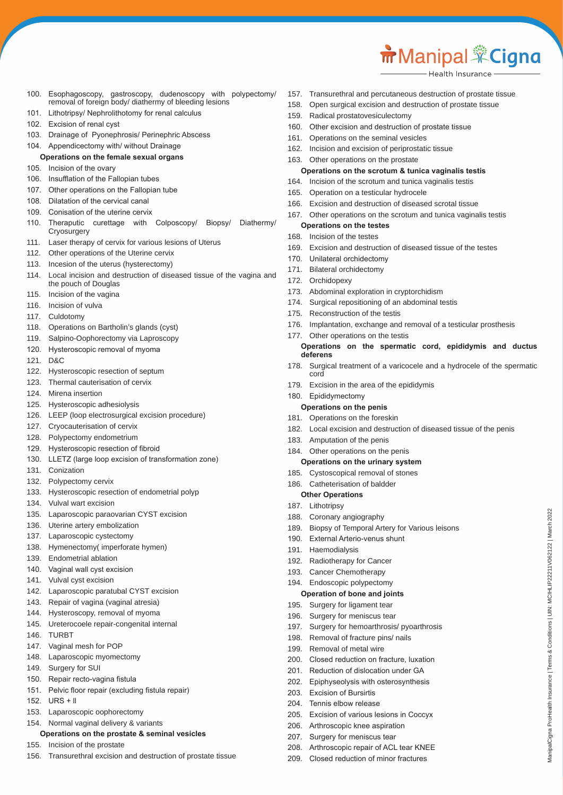- 100. Esophagoscopy, gastroscopy, dudenoscopy with polypectomy/ removal of foreign body/ diathermy of bleeding lesions
- 101. Lithotripsy/ Nephrolithotomy for renal calculus
- 102. Excision of renal cyst
- 103. Drainage of Pyonephrosis/ Perinephric Abscess

#### 104. Appendicectomy with/ without Drainage **Operations on the female sexual organs**

- 105. Incision of the ovary
- 106. Insufflation of the Fallopian tubes
- 107. Other operations on the Fallopian tube
- 108. Dilatation of the cervical canal
- 109. Conisation of the uterine cervix
- 110. Theraputic curettage with Colposcopy/ Biopsy/ Diathermy/ **Cryosurgery**
- 111. Laser therapy of cervix for various lesions of Uterus
- 112. Other operations of the Uterine cervix
- 113. Incesion of the uterus (hysterectomy)
- 114. Local incision and destruction of diseased tissue of the vagina and the pouch of Douglas
- 115. Incision of the vagina
- 116. Incision of vulva
- 117. Culdotomy
- 118. Operations on Bartholin's glands (cyst)
- 119. Salpino-Oophorectomy via Laproscopy
- 120. Hysteroscopic removal of myoma
- 121. D&C
- 122. Hysteroscopic resection of septum
- 123. Thermal cauterisation of cervix
- 124. Mirena insertion
- 125. Hysteroscopic adhesiolysis
- 126. LEEP (loop electrosurgical excision procedure)
- 127. Cryocauterisation of cervix
- 128. Polypectomy endometrium
- 129. Hysteroscopic resection of fibroid
- 130. LLETZ (large loop excision of transformation zone)
- 131. Conization
- 132. Polypectomy cervix
- 133. Hysteroscopic resection of endometrial polyp
- 134. Vulval wart excision
- 135. Laparoscopic paraovarian CYST excision
- 136. Uterine artery embolization
- 137. Laparoscopic cystectomy
- 138. Hymenectomy( imperforate hymen)
- 139. Endometrial ablation
- 140. Vaginal wall cyst excision
- 141. Vulval cyst excision
- 142. Laparoscopic paratubal CYST excision
- 143. Repair of vagina (vaginal atresia)
- 144. Hysteroscopy, removal of myoma
- 145. Ureterocoele repair-congenital internal
- 146. TURBT
- 147. Vaginal mesh for POP
- 148. Laparoscopic myomectomy
- 149. Surgery for SUI
- 150. Repair recto-vagina fistula
- 151. Pelvic floor repair (excluding fistula repair)
- $152$  URS + II
- 153. Laparoscopic oophorectomy
- 154. Normal vaginal delivery & variants

## **Operations on the prostate & seminal vesicles**

- 155. Incision of the prostate
- 156. Transurethral excision and destruction of prostate tissue
- 157. Transurethral and percutaneous destruction of prostate tissue
- 158. Open surgical excision and destruction of prostate tissue
- 159. Radical prostatovesiculectomy
- 160. Other excision and destruction of prostate tissue
- 161. Operations on the seminal vesicles
- 162. Incision and excision of periprostatic tissue
- 163. Other operations on the prostate

# **Operations on the scrotum & tunica vaginalis testis**

- 164. Incision of the scrotum and tunica vaginalis testis
- 165. Operation on a testicular hydrocele
- 166. Excision and destruction of diseased scrotal tissue
- 167. Other operations on the scrotum and tunica vaginalis testis

# **Operations on the testes**

- 168. Incision of the testes
- 169. Excision and destruction of diseased tissue of the testes
- 170. Unilateral orchidectomy
- 171. Bilateral orchidectomy
- 172. Orchidopexy
- 173. Abdominal exploration in cryptorchidism
- 174. Surgical repositioning of an abdominal testis
- 175. Reconstruction of the testis
- 176. Implantation, exchange and removal of a testicular prosthesis
- 177. Other operations on the testis

#### **Operations on the spermatic cord, epididymis and ductus deferens**

178. Surgical treatment of a varicocele and a hydrocele of the spermatic cord

ManipalCigna ProHealth Insurance | Terms & Conditions | UIN: MCIHLIP22211V062122 | March 2022

/lanipalCigna ProHealth Insurance | Terms & Conditions | UIN: MCIHLIP22211V062122 | March 2022

- 179. Excision in the area of the epididymis
- 180. Epididymectomy

# **Operations on the penis**

- 181. Operations on the foreskin
- 182. Local excision and destruction of diseased tissue of the penis
- 183. Amputation of the penis

## 184. Other operations on the penis

- **Operations on the urinary system**
- 185. Cystoscopical removal of stones
- 186. Catheterisation of baldder
- **Other Operations**
- 187. Lithotripsy
- 188. Coronary angiography

192. Radiotherapy for Cancer 193. Cancer Chemotherapy 194. Endoscopic polypectomy **Operation of bone and joints** 195. Surgery for ligament tear 196. Surgery for meniscus tear

203. Excision of Bursirtis 204 Tennis elbow release

189. Biopsy of Temporal Artery for Various leisons

197. Surgery for hemoarthrosis/ pyoarthrosis 198. Removal of fracture pins/ nails 199. Removal of metal wire

200. Closed reduction on fracture, luxation 201. Reduction of dislocation under GA 202. Epiphyseolysis with osterosynthesis

205. Excision of various lesions in Coccyx 206. Arthroscopic knee aspiration 207. Surgery for meniscus tear

208. Arthroscopic repair of ACL tear KNEE 209. Closed reduction of minor fractures

190. External Arterio-venus shunt 191. Haemodialysis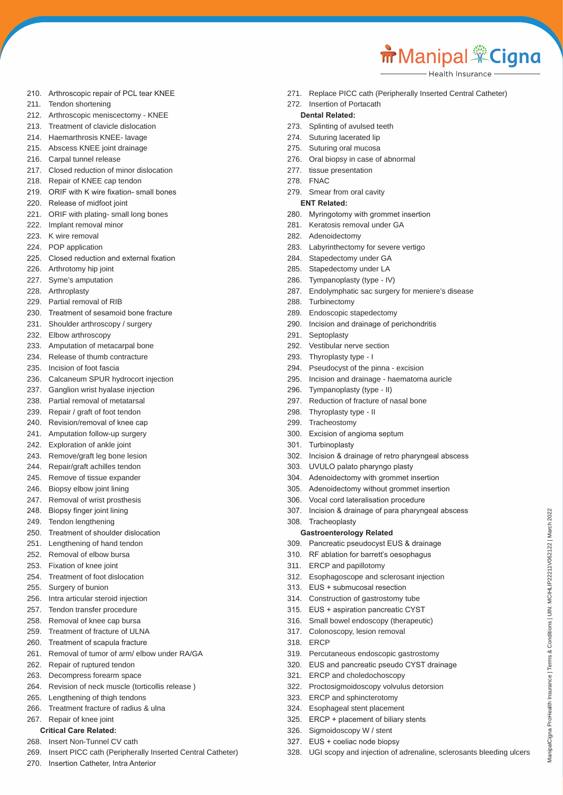ManipalCigna ProHealth Insurance | Terms & Conditions | UIN: MCIHLIP22211V062122 | March 2022

AanipalCigna ProHealth Insurance | Terms & Conditions | UIN: MCIHLIP22211V062122 | March 2022

Health Insurance

- 210. Arthroscopic repair of PCL tear KNEE
- 211. Tendon shortening
- 212. Arthroscopic meniscectomy KNEE
- 213. Treatment of clavicle dislocation
- 214. Haemarthrosis KNEE- lavage
- 215. Abscess KNEE joint drainage
- 216. Carpal tunnel release
- 217. Closed reduction of minor dislocation
- 218. Repair of KNEE cap tendon
- 219. ORIF with K wire fixation- small bones
- 220. Release of midfoot joint
- 221. ORIF with plating- small long bones
- 222. Implant removal minor
- 223. K wire removal
- 224. POP application
- 225. Closed reduction and external fixation
- 226. Arthrotomy hip joint
- 227. Syme's amputation
- 228. Arthroplasty
- 229. Partial removal of RIB
- 230. Treatment of sesamoid bone fracture
- 231. Shoulder arthroscopy / surgery
- 232. Elbow arthroscopy
- 233. Amputation of metacarpal bone
- 234. Release of thumb contracture
- 235. Incision of foot fascia
- 236. Calcaneum SPUR hydrocort injection
- 237. Ganglion wrist hyalase injection
- 238. Partial removal of metatarsal
- 239. Repair / graft of foot tendon
- 240. Revision/removal of knee cap
- 241. Amputation follow-up surgery
- 242. Exploration of ankle joint
- 243. Remove/graft leg bone lesion
- 244. Repair/graft achilles tendon
- 245. Remove of tissue expander
- 246. Biopsy elbow joint lining
- 247. Removal of wrist prosthesis
- 248. Biopsy finger joint lining
- 249. Tendon lengthening
- 250. Treatment of shoulder dislocation
- 251. Lengthening of hand tendon
- 252. Removal of elbow bursa
- 253. Fixation of knee joint
- 254. Treatment of foot dislocation
- 255. Surgery of bunion
- 256. Intra articular steroid injection
- 257. Tendon transfer procedure
- 258. Removal of knee cap bursa
- 259. Treatment of fracture of ULNA
- 260. Treatment of scapula fracture
- 261. Removal of tumor of arm/ elbow under RA/GA
- 262. Repair of ruptured tendon
- 263. Decompress forearm space
- 264. Revision of neck muscle (torticollis release )
- 265. Lengthening of thigh tendons
- 266. Treatment fracture of radius & ulna
- 267. Repair of knee joint
	- **Critical Care Related:**
- 268. Insert Non-Tunnel CV cath
- 269. Insert PICC cath (Peripherally Inserted Central Catheter)
- 270. Insertion Catheter, Intra Anterior

271. Replace PICC cath (Peripherally Inserted Central Catheter)

# 272. Insertion of Portacath

# **Dental Related:**

- 273. Splinting of avulsed teeth
- 274. Suturing lacerated lip
- 275. Suturing oral mucosa
- 276. Oral biopsy in case of abnormal
- 277. tissue presentation
- 278. FNAC
- 279. Smear from oral cavity

# **ENT Related:**

- 280. Myringotomy with grommet insertion
- 281. Keratosis removal under GA
- 282. Adenoidectomy
- 283. Labyrinthectomy for severe vertigo
- 284. Stapedectomy under GA
- 285. Stapedectomy under LA
- 286. Tympanoplasty (type IV)
- 287. Endolymphatic sac surgery for meniere's disease
- 288. Turbinectomy
- 289. Endoscopic stapedectomy
- 290. Incision and drainage of perichondritis
- 291. Septoplasty
- 292. Vestibular nerve section
- 293. Thyroplasty type I
- 294. Pseudocyst of the pinna excision
- 295. Incision and drainage haematoma auricle
- 296. Tympanoplasty (type II)
- 297. Reduction of fracture of nasal bone
- 298. Thyroplasty type II
- 299. Tracheostomy
- 300. Excision of angioma septum
- 301. Turbinoplasty

308. Tracheoplasty

318. ERCP

302. Incision & drainage of retro pharyngeal abscess

307. Incision & drainage of para pharyngeal abscess

303. UVULO palato pharyngo plasty

**Gastroenterology Related**

313. EUS + submucosal resection 314. Construction of gastrostomy tube 315. EUS + aspiration pancreatic CYST 316. Small bowel endoscopy (therapeutic) 317. Colonoscopy, lesion removal

321. ERCP and choledochoscopy

323. ERCP and sphincterotomy 324. Esophageal stent placement 325. ERCP + placement of biliary stents

326. Sigmoidoscopy W / stent 327. EUS + coeliac node biopsy

311. ERCP and papillotomy

306. Vocal cord lateralisation procedure

304. Adenoidectomy with grommet insertion 305. Adenoidectomy without grommet insertion

309. Pancreatic pseudocyst EUS & drainage 310. RF ablation for barrett's oesophagus

312. Esophagoscope and sclerosant injection

319. Percutaneous endoscopic gastrostomy 320. EUS and pancreatic pseudo CYST drainage

322. Proctosigmoidoscopy volvulus detorsion

328. UGI scopy and injection of adrenaline, sclerosants bleeding ulcers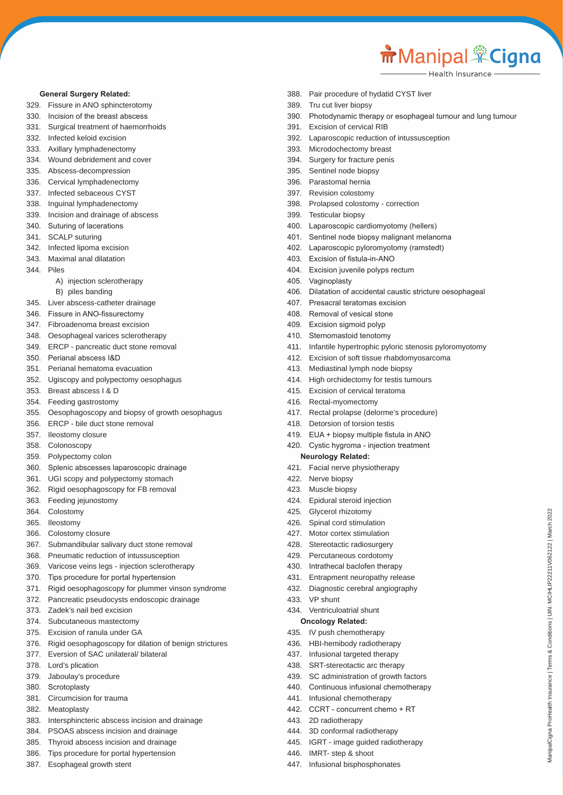ManipalCigna ProHealth Insurance | Terms & Conditions | UIN: MCIHLIP22211V062122 | March 2022

/lanipalCigna ProHealth Insurance | Terms & Conditions | UIN: MCIHLIP22211V062122 | March 2022

#### **General Surgery Related:**

- 329. Fissure in ANO sphincterotomy
- 330. Incision of the breast abscess
- 331. Surgical treatment of haemorrhoids
- 332. Infected keloid excision
- 333. Axillary lymphadenectomy
- 334. Wound debridement and cover
- 335. Abscess-decompression
- 336. Cervical lymphadenectomy
- 337. Infected sebaceous CYST
- 338. Inguinal lymphadenectomy
- 339. Incision and drainage of abscess
- 340. Suturing of lacerations
- 341. SCALP suturing
- 342. Infected lipoma excision
- 343. Maximal anal dilatation
- 344. Piles
	- A) injection sclerotherapy
	- B) piles banding
- 345. Liver abscess-catheter drainage
- 346. Fissure in ANO-fissurectomy
- 347. Fibroadenoma breast excision
- 348. Oesophageal varices sclerotherapy
- 349. ERCP pancreatic duct stone removal
- 350. Perianal abscess I&D
- 351. Perianal hematoma evacuation
- 352. Ugiscopy and polypectomy oesophagus
- 353. Breast abscess I & D
- 354. Feeding gastrostomy
- 355. Oesophagoscopy and biopsy of growth oesophagus
- 356. ERCP bile duct stone removal
- 357. Ileostomy closure
- 358. Colonoscopy
- 359. Polypectomy colon
- 360. Splenic abscesses laparoscopic drainage
- 361. UGI scopy and polypectomy stomach
- 362. Rigid oesophagoscopy for FB removal
- 363. Feeding jejunostomy
- 364. Colostomy
- 365. Ileostomy
- 366. Colostomy closure
- 367. Submandibular salivary duct stone removal
- 368. Pneumatic reduction of intussusception
- 369. Varicose veins legs injection sclerotherapy
- 370. Tips procedure for portal hypertension
- 371. Rigid oesophagoscopy for plummer vinson syndrome
- 372. Pancreatic pseudocysts endoscopic drainage
- 373. Zadek's nail bed excision
- 374. Subcutaneous mastectomy
- 375. Excision of ranula under GA
- 376. Rigid oesophagoscopy for dilation of benign strictures
- 377. Eversion of SAC unilateral/ bilateral
- 378. Lord's plication
- 379. Jaboulay's procedure
- 380. Scrotoplasty
- 381. Circumcision for trauma
- 382. Meatoplasty
- 383. Intersphincteric abscess incision and drainage
- 384. PSOAS abscess incision and drainage
- 385. Thyroid abscess incision and drainage
- 386. Tips procedure for portal hypertension
- 387. Esophageal growth stent
- 388. Pair procedure of hydatid CYST liver
- 389. Tru cut liver biopsy
- 390. Photodynamic therapy or esophageal tumour and lung tumour
- 391. Excision of cervical RIB
- 392. Laparoscopic reduction of intussusception
- 393. Microdochectomy breast
- 394. Surgery for fracture penis
- 395. Sentinel node biopsy
- 396. Parastomal hernia
- 397. Revision colostomy
- 398. Prolapsed colostomy correction
- 399. Testicular biopsy
- 400. Laparoscopic cardiomyotomy (hellers)
- 401. Sentinel node biopsy malignant melanoma
- 402. Laparoscopic pyloromyotomy (ramstedt)
- 403. Excision of fistula-in-ANO
- 404. Excision juvenile polyps rectum
	- 405. Vaginoplasty
	- 406. Dilatation of accidental caustic stricture oesophageal
	- 407. Presacral teratomas excision
	- 408. Removal of vesical stone
	- 409. Excision sigmoid polyp
	- 410. Sternomastoid tenotomy
	- 411. Infantile hypertrophic pyloric stenosis pyloromyotomy
	- 412. Excision of soft tissue rhabdomyosarcoma
	- 413. Mediastinal lymph node biopsy
	- 414. High orchidectomy for testis tumours
	- 415. Excision of cervical teratoma
	- 416. Rectal-myomectomy
	- 417. Rectal prolapse (delorme's procedure)
	- 418. Detorsion of torsion testis
	- 419. EUA + biopsy multiple fistula in ANO
	- 420. Cystic hygroma injection treatment

#### **Neurology Related:**

421. Facial nerve physiotherapy

424. Epidural steroid injection 425. Glycerol rhizotomy 426. Spinal cord stimulation 427. Motor cortex stimulation 428. Stereotactic radiosurgery 429. Percutaneous cordotomy 430. Intrathecal baclofen therapy 431. Entrapment neuropathy release 432. Diagnostic cerebral angiography

422. Nerve biopsy 423. Muscle biopsy

433. VP shunt

434. Ventriculoatrial shunt **Oncology Related:** 435. IV push chemotherapy 436. HBI-hemibody radiotherapy 437. Infusional targeted therapy 438. SRT-stereotactic arc therapy 439. SC administration of growth factors 440. Continuous infusional chemotherapy

441. Infusional chemotherapy 442. CCRT - concurrent chemo + RT

444. 3D conformal radiotherapy 445. IGRT - image guided radiotherapy

443. 2D radiotherapy

446. IMRT- step & shoot 447. Infusional bisphosphonates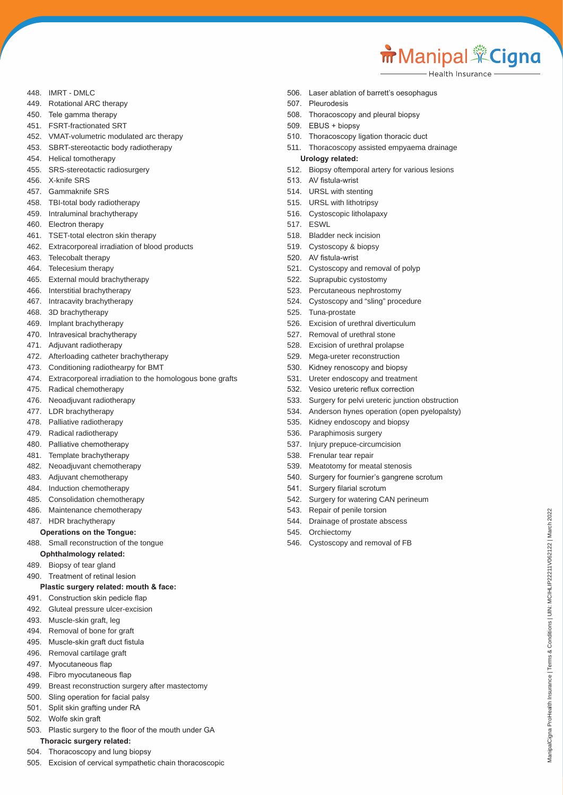```
m Manipal <sup>*</sup>Cigna
```
ManipalCigna ProHealth Insurance | Terms & Conditions | UIN: MCIHLIP22211V062122 | March 2022

danipalCigna ProHealth Insurance | Terms & Conditions | UIN: MCIHLIP22211V062122 | March 2022

Health Insurance

- 448. IMRT DMLC
- 449. Rotational ARC therapy
- 450. Tele gamma therapy
- 451. FSRT-fractionated SRT
- 452. VMAT-volumetric modulated arc therapy
- 453. SBRT-stereotactic body radiotherapy
- 454. Helical tomotherapy
- 455. SRS-stereotactic radiosurgery
- 456. X-knife SRS
- 457. Gammaknife SRS
- 458. TBI-total body radiotherapy
- 459. Intraluminal brachytherapy
- 460. Electron therapy
- 461. TSET-total electron skin therapy
- 462. Extracorporeal irradiation of blood products
- 463. Telecobalt therapy
- 464. Telecesium therapy
- 465. External mould brachytherapy
- 466. Interstitial brachytherapy
- 467. Intracavity brachytherapy
- 468. 3D brachytherapy
- 469. Implant brachytherapy
- 470. Intravesical brachytherapy
- 471. Adjuvant radiotherapy
- 472. Afterloading catheter brachytherapy
- 473. Conditioning radiothearpy for BMT
- 474. Extracorporeal irradiation to the homologous bone grafts
- 475. Radical chemotherapy
- 476. Neoadjuvant radiotherapy
- 477. LDR brachytherapy
- 478. Palliative radiotherapy
- 479. Radical radiotherapy
- 480. Palliative chemotherapy
- 481. Template brachytherapy
- 482. Neoadjuvant chemotherapy
- 483. Adjuvant chemotherapy
- 484. Induction chemotherapy
- 485. Consolidation chemotherapy
- 486. Maintenance chemotherapy
- 487. HDR brachytherapy

#### **Operations on the Tongue:**

488. Small reconstruction of the tongue

- **Ophthalmology related:**
- 489. Biopsy of tear gland
- 490. Treatment of retinal lesion

#### **Plastic surgery related: mouth & face:**

- 491. Construction skin pedicle flap
- 492. Gluteal pressure ulcer-excision
- 493. Muscle-skin graft, leg
- 494. Removal of bone for graft
- 495. Muscle-skin graft duct fistula
- 496. Removal cartilage graft
- 497. Myocutaneous flap
- 498. Fibro myocutaneous flap
- 499. Breast reconstruction surgery after mastectomy
- 500. Sling operation for facial palsy
- 501. Split skin grafting under RA
- 502. Wolfe skin graft
- 503. Plastic surgery to the floor of the mouth under GA **Thoracic surgery related:**
- 504. Thoracoscopy and lung biopsy
- 505. Excision of cervical sympathetic chain thoracoscopic
- 506. Laser ablation of barrett's oesophagus
- 507. Pleurodesis
- 508. Thoracoscopy and pleural biopsy
- 509. EBUS + biopsy
- 510. Thoracoscopy ligation thoracic duct
- 511. Thoracoscopy assisted empyaema drainage
- **Urology related:**
- 512. Biopsy oftemporal artery for various lesions
- 513. AV fistula-wrist
- 514. URSL with stenting
- 515. URSL with lithotripsy
- 516. Cystoscopic litholapaxy
- 517. ESWL
- 518. Bladder neck incision
- 519. Cystoscopy & biopsy
- 520. AV fistula-wrist
- 521. Cystoscopy and removal of polyp
- 522. Suprapubic cystostomy
- 523. Percutaneous nephrostomy
- 524. Cystoscopy and "sling" procedure
- 525. Tuna-prostate
- 526. Excision of urethral diverticulum
- 527. Removal of urethral stone
- 528. Excision of urethral prolapse
- 529. Mega-ureter reconstruction
- 530. Kidney renoscopy and biopsy
- 531. Ureter endoscopy and treatment
- 532. Vesico ureteric reflux correction
- 533. Surgery for pelvi ureteric junction obstruction
- 534. Anderson hynes operation (open pyelopalsty)
- 535. Kidney endoscopy and biopsy
- 536. Paraphimosis surgery
- 537. Injury prepuce-circumcision
- 538. Frenular tear repair
- 539. Meatotomy for meatal stenosis

546. Cystoscopy and removal of FB

540. Surgery for fournier's gangrene scrotum

542. Surgery for watering CAN perineum

541. Surgery filarial scrotum

543. Repair of penile torsion 544. Drainage of prostate abscess

545. Orchiectomy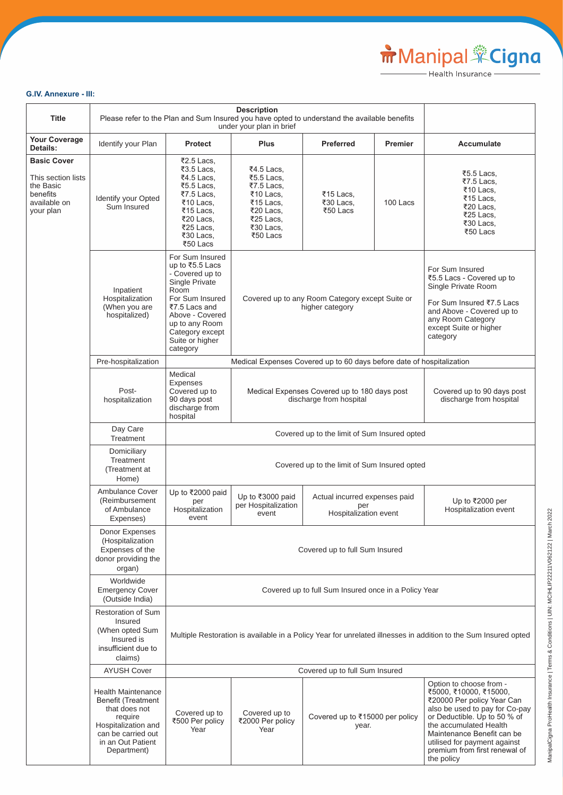# **G.IV. Annexure - III:**

| <b>Title</b>                                                                                   |                                                                                                                                                                     | <b>Description</b><br>Please refer to the Plan and Sum Insured you have opted to understand the available benefits<br>under your plan in brief                                                             |                                                                                                                     |                                                                                                                                                                                          |                |                                                                                                                                                                                                                                                                                          |
|------------------------------------------------------------------------------------------------|---------------------------------------------------------------------------------------------------------------------------------------------------------------------|------------------------------------------------------------------------------------------------------------------------------------------------------------------------------------------------------------|---------------------------------------------------------------------------------------------------------------------|------------------------------------------------------------------------------------------------------------------------------------------------------------------------------------------|----------------|------------------------------------------------------------------------------------------------------------------------------------------------------------------------------------------------------------------------------------------------------------------------------------------|
| <b>Your Coverage</b><br>Details:                                                               | Identify your Plan                                                                                                                                                  | <b>Protect</b>                                                                                                                                                                                             | <b>Plus</b>                                                                                                         | <b>Preferred</b>                                                                                                                                                                         | <b>Premier</b> | Accumulate                                                                                                                                                                                                                                                                               |
| <b>Basic Cover</b><br>This section lists<br>the Basic<br>benefits<br>available on<br>your plan | Identify your Opted<br>Sum Insured                                                                                                                                  | ₹2.5 Lacs,<br>₹3.5 Lacs,<br>₹4.5 Lacs,<br>₹5.5 Lacs,<br>₹7.5 Lacs,<br>₹10 Lacs,<br>₹15 Lacs,<br>₹20 Lacs,<br>₹25 Lacs,<br>₹30 Lacs,<br>₹50 Lacs                                                            | ₹4.5 Lacs,<br>₹5.5 Lacs,<br>₹7.5 Lacs,<br>₹10 Lacs,<br>₹15 Lacs,<br>₹20 Lacs,<br>₹25 Lacs,<br>₹30 Lacs,<br>₹50 Lacs | $\overline{5}$ 15 Lacs,<br>₹30 Lacs,<br>₹50 Lacs                                                                                                                                         | 100 Lacs       | ₹5.5 Lacs,<br>₹7.5 Lacs,<br>₹10 Lacs,<br>₹15 Lacs,<br>₹20 Lacs,<br>₹25 Lacs,<br>₹30 Lacs,<br>₹50 Lacs                                                                                                                                                                                    |
|                                                                                                | Inpatient<br>Hospitalization<br>(When you are<br>hospitalized)                                                                                                      | For Sum Insured<br>up to ₹5.5 Lacs<br>- Covered up to<br>Single Private<br>Room<br>For Sum Insured<br>₹7.5 Lacs and<br>Above - Covered<br>up to any Room<br>Category except<br>Suite or higher<br>category | Covered up to any Room Category except Suite or<br>higher category                                                  | For Sum Insured<br>₹5.5 Lacs - Covered up to<br>Single Private Room<br>For Sum Insured ₹7.5 Lacs<br>and Above - Covered up to<br>any Room Category<br>except Suite or higher<br>category |                |                                                                                                                                                                                                                                                                                          |
|                                                                                                | Pre-hospitalization                                                                                                                                                 |                                                                                                                                                                                                            |                                                                                                                     | Medical Expenses Covered up to 60 days before date of hospitalization                                                                                                                    |                |                                                                                                                                                                                                                                                                                          |
|                                                                                                | Post-<br>hospitalization                                                                                                                                            | Medical<br>Expenses<br>Covered up to<br>90 days post<br>discharge from<br>hospital                                                                                                                         | Medical Expenses Covered up to 180 days post<br>discharge from hospital                                             |                                                                                                                                                                                          |                | Covered up to 90 days post<br>discharge from hospital                                                                                                                                                                                                                                    |
|                                                                                                | Day Care<br>Treatment                                                                                                                                               | Covered up to the limit of Sum Insured opted                                                                                                                                                               |                                                                                                                     |                                                                                                                                                                                          |                |                                                                                                                                                                                                                                                                                          |
|                                                                                                | Domiciliary<br>Treatment<br>(Treatment at<br>Home)                                                                                                                  | Covered up to the limit of Sum Insured opted                                                                                                                                                               |                                                                                                                     |                                                                                                                                                                                          |                |                                                                                                                                                                                                                                                                                          |
|                                                                                                | <b>Ambulance Cover</b><br>(Reimbursement<br>of Ambulance<br>Expenses)                                                                                               | Up to ₹2000 paid<br>per<br>Hospitalization<br>event                                                                                                                                                        | Up to ₹3000 paid<br>per Hospitalization<br>event                                                                    | Actual incurred expenses paid<br>per<br>Hospitalization event                                                                                                                            |                | Up to ₹2000 per<br>Hospitalization event                                                                                                                                                                                                                                                 |
|                                                                                                | Donor Expenses<br>(Hospitalization<br>Expenses of the<br>donor providing the<br>organ)                                                                              | Covered up to full Sum Insured                                                                                                                                                                             |                                                                                                                     |                                                                                                                                                                                          |                |                                                                                                                                                                                                                                                                                          |
|                                                                                                | Worldwide<br><b>Emergency Cover</b><br>(Outside India)                                                                                                              | Covered up to full Sum Insured once in a Policy Year                                                                                                                                                       |                                                                                                                     |                                                                                                                                                                                          |                |                                                                                                                                                                                                                                                                                          |
|                                                                                                | <b>Restoration of Sum</b><br>Insured<br>(When opted Sum<br>Insured is<br>insufficient due to<br>claims)                                                             | Multiple Restoration is available in a Policy Year for unrelated illnesses in addition to the Sum Insured opted                                                                                            |                                                                                                                     |                                                                                                                                                                                          |                |                                                                                                                                                                                                                                                                                          |
|                                                                                                | <b>AYUSH Cover</b>                                                                                                                                                  |                                                                                                                                                                                                            |                                                                                                                     | Covered up to full Sum Insured                                                                                                                                                           |                |                                                                                                                                                                                                                                                                                          |
|                                                                                                | <b>Health Maintenance</b><br><b>Benefit (Treatment</b><br>that does not<br>require<br>Hospitalization and<br>can be carried out<br>in an Out Patient<br>Department) | Covered up to<br>₹500 Per policy<br>Year                                                                                                                                                                   | Covered up to<br>₹2000 Per policy<br>Year                                                                           | Covered up to ₹15000 per policy<br>year.                                                                                                                                                 |                | Option to choose from -<br>₹5000, ₹10000, ₹15000,<br>₹20000 Per policy Year Can<br>also be used to pay for Co-pay<br>or Deductible. Up to 50 % of<br>the accumulated Health<br>Maintenance Benefit can be<br>utilised for payment against<br>premium from first renewal of<br>the policy |

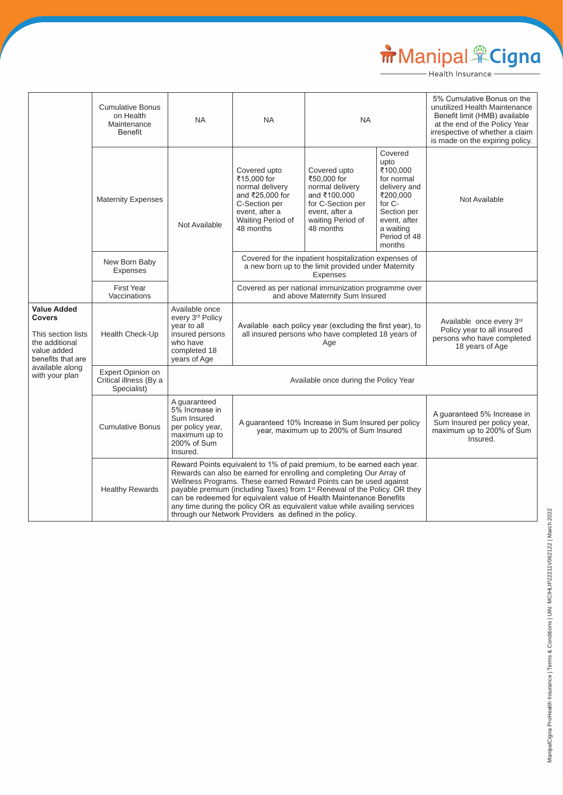# Manipal Cigna

|                                                                                                                 | <b>Cumulative Bonus</b><br>on Health<br>Maintenance<br><b>Benefit</b> | <b>NA</b>                                                                                                        | <b>NA</b>                                                                                                                                                                                                                                                                                                                                                                                                                                                                                                                    | <b>NA</b>                                                                                                                               |                                                                                                                                                       | 5% Cumulative Bonus on the<br>unutilized Health Maintenance<br>Benefit limit (HMB) available<br>at the end of the Policy Year<br>irrespective of whether a claim<br>is made on the expiring policy. |
|-----------------------------------------------------------------------------------------------------------------|-----------------------------------------------------------------------|------------------------------------------------------------------------------------------------------------------|------------------------------------------------------------------------------------------------------------------------------------------------------------------------------------------------------------------------------------------------------------------------------------------------------------------------------------------------------------------------------------------------------------------------------------------------------------------------------------------------------------------------------|-----------------------------------------------------------------------------------------------------------------------------------------|-------------------------------------------------------------------------------------------------------------------------------------------------------|-----------------------------------------------------------------------------------------------------------------------------------------------------------------------------------------------------|
|                                                                                                                 | <b>Maternity Expenses</b>                                             | Not Available                                                                                                    | Covered upto<br>₹15,000 for<br>normal delivery<br>and ₹25,000 for<br>C-Section per<br>event, after a<br>Waiting Period of<br>48 months                                                                                                                                                                                                                                                                                                                                                                                       | Covered upto<br>₹50,000 for<br>normal delivery<br>and ₹100,000<br>for C-Section per<br>event, after a<br>waiting Period of<br>48 months | Covered<br>upto<br>₹100,000<br>for normal<br>delivery and<br>₹200,000<br>for C-<br>Section per<br>event, after<br>a waiting<br>Period of 48<br>months | Not Available                                                                                                                                                                                       |
|                                                                                                                 | New Born Baby<br>Expenses                                             |                                                                                                                  | Covered for the inpatient hospitalization expenses of<br>a new born up to the limit provided under Maternity<br><b>Expenses</b>                                                                                                                                                                                                                                                                                                                                                                                              |                                                                                                                                         |                                                                                                                                                       |                                                                                                                                                                                                     |
|                                                                                                                 | <b>First Year</b><br>Vaccinations                                     |                                                                                                                  | Covered as per national immunization programme over<br>and above Maternity Sum Insured                                                                                                                                                                                                                                                                                                                                                                                                                                       |                                                                                                                                         |                                                                                                                                                       |                                                                                                                                                                                                     |
| <b>Value Added</b><br><b>Covers</b><br>This section lists<br>the additional<br>value added<br>benefits that are | Health Check-Up                                                       | Available once<br>every 3rd Policy<br>year to all<br>insured persons<br>who have<br>completed 18<br>years of Age | Available each policy year (excluding the first year), to<br>all insured persons who have completed 18 years of<br>Age                                                                                                                                                                                                                                                                                                                                                                                                       |                                                                                                                                         |                                                                                                                                                       | Available once every 3rd<br>Policy year to all insured<br>persons who have completed<br>18 years of Age                                                                                             |
| available along<br>with your plan                                                                               | Expert Opinion on<br>Critical illness (By a<br>Specialist)            | Available once during the Policy Year                                                                            |                                                                                                                                                                                                                                                                                                                                                                                                                                                                                                                              |                                                                                                                                         |                                                                                                                                                       |                                                                                                                                                                                                     |
|                                                                                                                 | <b>Cumulative Bonus</b>                                               | A guaranteed<br>5% Increase in<br>Sum Insured<br>per policy year,<br>maximum up to<br>200% of Sum<br>Insured.    | A guaranteed 10% Increase in Sum Insured per policy<br>year, maximum up to 200% of Sum Insured                                                                                                                                                                                                                                                                                                                                                                                                                               |                                                                                                                                         |                                                                                                                                                       | A guaranteed 5% Increase in<br>Sum Insured per policy year,<br>maximum up to 200% of Sum<br>Insured.                                                                                                |
|                                                                                                                 | <b>Healthy Rewards</b>                                                |                                                                                                                  | Reward Points equivalent to 1% of paid premium, to be earned each year.<br>Rewards can also be earned for enrolling and completing Our Array of<br>Wellness Programs. These earned Reward Points can be used against<br>payable premium (including Taxes) from 1 <sup>st</sup> Renewal of the Policy. OR they<br>can be redeemed for equivalent value of Health Maintenance Benefits<br>any time during the policy OR as equivalent value while availing services<br>through our Network Providers as defined in the policy. |                                                                                                                                         |                                                                                                                                                       |                                                                                                                                                                                                     |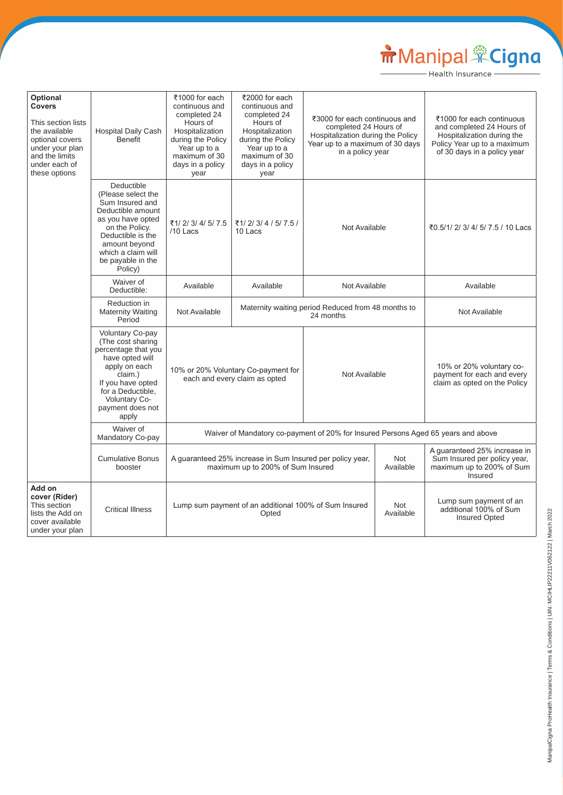# Manipal Cigna

| Optional<br><b>Covers</b><br>This section lists<br>the available<br>optional covers<br>under your plan<br>and the limits<br>under each of<br>these options | <b>Hospital Daily Cash</b><br><b>Benefit</b>                                                                                                                                                                | ₹1000 for each<br>continuous and<br>completed 24<br>Hours of<br>Hospitalization<br>during the Policy<br>Year up to a<br>maximum of 30<br>days in a policy<br>year | ₹2000 for each<br>continuous and<br>completed 24<br>Hours of<br>Hospitalization<br>during the Policy<br>Year up to a<br>maximum of 30<br>days in a policy<br>year | ₹3000 for each continuous and<br>completed 24 Hours of<br>Hospitalization during the Policy<br>Year up to a maximum of 30 days<br>in a policy year |                         | ₹1000 for each continuous<br>and completed 24 Hours of<br>Hospitalization during the<br>Policy Year up to a maximum<br>of 30 days in a policy year |
|------------------------------------------------------------------------------------------------------------------------------------------------------------|-------------------------------------------------------------------------------------------------------------------------------------------------------------------------------------------------------------|-------------------------------------------------------------------------------------------------------------------------------------------------------------------|-------------------------------------------------------------------------------------------------------------------------------------------------------------------|----------------------------------------------------------------------------------------------------------------------------------------------------|-------------------------|----------------------------------------------------------------------------------------------------------------------------------------------------|
|                                                                                                                                                            | Deductible<br>(Please select the<br>Sum Insured and<br>Deductible amount<br>as you have opted<br>on the Policy.<br>Deductible is the<br>amount beyond<br>which a claim will<br>be payable in the<br>Policy) | ₹1/2/3/4/5/7.5<br>/10 Lacs                                                                                                                                        | ₹1/2/3/4/5/7.5/<br>10 Lacs                                                                                                                                        | Not Available                                                                                                                                      |                         | ₹0.5/1/ 2/ 3/ 4/ 5/ 7.5 / 10 Lacs                                                                                                                  |
|                                                                                                                                                            | Waiver of<br>Deductible:                                                                                                                                                                                    | Available                                                                                                                                                         | Available                                                                                                                                                         | Not Available                                                                                                                                      |                         | Available                                                                                                                                          |
|                                                                                                                                                            | Reduction in<br><b>Maternity Waiting</b><br>Period                                                                                                                                                          | Not Available                                                                                                                                                     |                                                                                                                                                                   | Maternity waiting period Reduced from 48 months to<br>24 months                                                                                    |                         | Not Available                                                                                                                                      |
|                                                                                                                                                            | Voluntary Co-pay<br>(The cost sharing<br>percentage that you<br>have opted will<br>apply on each<br>claim.)<br>If you have opted<br>for a Deductible,<br>Voluntary Co-<br>payment does not<br>apply         | 10% or 20% Voluntary Co-payment for<br>Not Available<br>each and every claim as opted                                                                             |                                                                                                                                                                   |                                                                                                                                                    |                         | 10% or 20% voluntary co-<br>payment for each and every<br>claim as opted on the Policy                                                             |
|                                                                                                                                                            | Waiver of<br>Mandatory Co-pay                                                                                                                                                                               |                                                                                                                                                                   | Waiver of Mandatory co-payment of 20% for Insured Persons Aged 65 years and above                                                                                 |                                                                                                                                                    |                         |                                                                                                                                                    |
|                                                                                                                                                            | <b>Cumulative Bonus</b><br>booster                                                                                                                                                                          |                                                                                                                                                                   | A guaranteed 25% increase in Sum Insured per policy year,<br>maximum up to 200% of Sum Insured                                                                    |                                                                                                                                                    | <b>Not</b><br>Available | A guaranteed 25% increase in<br>Sum Insured per policy year,<br>maximum up to 200% of Sum<br>Insured                                               |
| Add on<br>cover (Rider)<br>This section<br>lists the Add on<br>cover available<br>under your plan                                                          | <b>Critical Illness</b>                                                                                                                                                                                     | <b>Not</b><br>Lump sum payment of an additional 100% of Sum Insured<br>Available<br>Opted                                                                         |                                                                                                                                                                   | Lump sum payment of an<br>additional 100% of Sum<br><b>Insured Opted</b>                                                                           |                         |                                                                                                                                                    |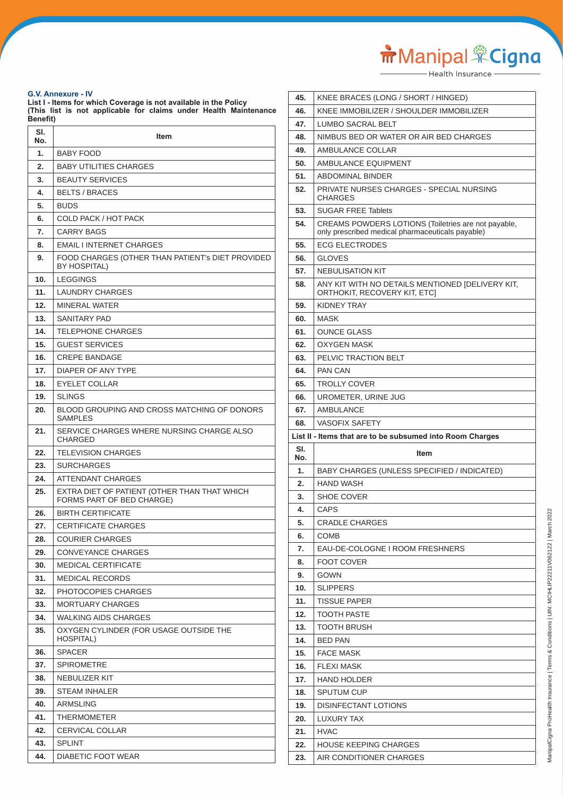Manipal <sup>Sof</sup>Cigna

#### **G.V. Annexure - IV**

**List I - Items for which Coverage is not available in the Policy (This list is not applicable for claims under Health Maintenance Benefit)**

| SI.<br>No. | Item                                                                      |
|------------|---------------------------------------------------------------------------|
| 1.         | <b>BABY FOOD</b>                                                          |
| 2.         | <b>BABY UTILITIES CHARGES</b>                                             |
| 3.         | <b>BEAUTY SERVICES</b>                                                    |
| 4.         | <b>BELTS / BRACES</b>                                                     |
| 5.         | <b>BUDS</b>                                                               |
| 6.         | <b>COLD PACK / HOT PACK</b>                                               |
| 7.         | <b>CARRY BAGS</b>                                                         |
| 8.         | <b>EMAIL I INTERNET CHARGES</b>                                           |
| 9.         | FOOD CHARGES (OTHER THAN PATIENT's DIET PROVIDED<br>BY HOSPITAL)          |
| 10.        | <b>LEGGINGS</b>                                                           |
| 11.        | <b>LAUNDRY CHARGES</b>                                                    |
| 12.        | <b>MINERAL WATER</b>                                                      |
| 13.        | SANITARY PAD                                                              |
| 14.        | TELEPHONE CHARGES                                                         |
| 15.        | <b>GUEST SERVICES</b>                                                     |
| 16.        | <b>CREPE BANDAGE</b>                                                      |
| 17.        | DIAPER OF ANY TYPE                                                        |
| 18.        | <b>EYELET COLLAR</b>                                                      |
| 19.        | <b>SLINGS</b>                                                             |
| 20.        | BLOOD GROUPING AND CROSS MATCHING OF DONORS<br><b>SAMPLES</b>             |
| 21.        | SERVICE CHARGES WHERE NURSING CHARGE ALSO<br>CHARGED                      |
| 22.        | <b>TELEVISION CHARGES</b>                                                 |
| 23.        | <b>SURCHARGES</b>                                                         |
| 24.        | ATTENDANT CHARGES                                                         |
| 25.        | EXTRA DIET OF PATIENT (OTHER THAN THAT WHICH<br>FORMS PART OF BED CHARGE) |
| 26.        | BIRTH CERTIFICATE                                                         |
| 27.        | <b>CERTIFICATE CHARGES</b>                                                |
| 28.        | <b>COURIER CHARGES</b>                                                    |
| 29.        | <b>CONVEYANCE CHARGES</b>                                                 |
| 30.        | MEDICAL CERTIFICATE                                                       |
| 31.        | <b>MEDICAL RECORDS</b>                                                    |
| 32.        | PHOTOCOPIES CHARGES                                                       |
| 33.        | <b>MORTUARY CHARGES</b>                                                   |
| 34.        | WALKING AIDS CHARGES                                                      |
| 35.        | OXYGEN CYLINDER (FOR USAGE OUTSIDE THE<br>HOSPITAL)                       |
| 36.        | <b>SPACER</b>                                                             |
| 37.        | SPIROMETRE                                                                |
| 38.        | NEBULIZER KIT                                                             |
| 39.        | STEAM INHALER                                                             |
| 40.        | ARMSLING                                                                  |
| 41.        | THERMOMETER                                                               |
| 42.        | CERVICAL COLLAR                                                           |
| 43.        | SPLINT                                                                    |
| 44.        | DIABETIC FOOT WEAR                                                        |

| 45.        | KNEE BRACES (LONG / SHORT / HINGED)                                                                     |
|------------|---------------------------------------------------------------------------------------------------------|
| 46.        | KNEE IMMOBILIZER / SHOULDER IMMOBILIZER                                                                 |
| 47.        | <b>LUMBO SACRAL BELT</b>                                                                                |
| 48.        | NIMBUS BED OR WATER OR AIR BED CHARGES                                                                  |
| 49.        | AMBULANCE COLLAR                                                                                        |
| 50.        | AMBULANCE EQUIPMENT                                                                                     |
| 51.        | <b>ABDOMINAL BINDER</b>                                                                                 |
| 52.        | PRIVATE NURSES CHARGES - SPECIAL NURSING<br><b>CHARGES</b>                                              |
| 53.        | <b>SUGAR FREE Tablets</b>                                                                               |
| 54.        | CREAMS POWDERS LOTIONS (Toiletries are not payable,<br>only prescribed medical pharmaceuticals payable) |
| 55.        | <b>ECG ELECTRODES</b>                                                                                   |
| 56.        | <b>GLOVES</b>                                                                                           |
| 57.        | <b>NEBULISATION KIT</b>                                                                                 |
| 58.        | ANY KIT WITH NO DETAILS MENTIONED [DELIVERY KIT,<br>ORTHOKIT, RECOVERY KIT, ETCI                        |
| 59.        | <b>KIDNEY TRAY</b>                                                                                      |
| 60.        | <b>MASK</b>                                                                                             |
| 61.        | <b>OUNCE GLASS</b>                                                                                      |
| 62.        | <b>OXYGEN MASK</b>                                                                                      |
| 63.        | PELVIC TRACTION BELT                                                                                    |
| 64.        | <b>PAN CAN</b>                                                                                          |
| 65.        | <b>TROLLY COVER</b>                                                                                     |
| 66.        | UROMETER, URINE JUG                                                                                     |
| 67.        | <b>AMBULANCE</b>                                                                                        |
| 68.        | <b>VASOFIX SAFETY</b>                                                                                   |
|            |                                                                                                         |
|            | List II - Items that are to be subsumed into Room Charges                                               |
| SI.<br>No. | <b>Item</b>                                                                                             |
| 1.         | BABY CHARGES (UNLESS SPECIFIED / INDICATED)                                                             |
| 2.         | <b>HAND WASH</b>                                                                                        |
| 3.         | <b>SHOE COVER</b>                                                                                       |
| 4.         | CAPS                                                                                                    |
| 5.         | <b>CRADLE CHARGES</b>                                                                                   |
| 6.         | <b>COMB</b>                                                                                             |
| 7.         | EAU-DE-COLOGNE I ROOM FRESHNERS                                                                         |
| 8.         | <b>FOOT COVER</b>                                                                                       |
| 9.         | GOWN                                                                                                    |
| 10.        | <b>SLIPPERS</b>                                                                                         |
| 11.        | <b>TISSUE PAPER</b>                                                                                     |
| 12.        | <b>TOOTH PASTE</b>                                                                                      |
| 13.        | <b>TOOTH BRUSH</b>                                                                                      |
| 14.        | <b>BED PAN</b>                                                                                          |
| 15.        | <b>FACE MASK</b>                                                                                        |
| 16.        | <b>FLEXI MASK</b>                                                                                       |
| 17.        | <b>HAND HOLDER</b>                                                                                      |
| 18.        | <b>SPUTUM CUP</b>                                                                                       |
| 19.        | <b>DISINFECTANT LOTIONS</b>                                                                             |
| 20.        | LUXURY TAX                                                                                              |
| 21.        | <b>HVAC</b>                                                                                             |
| 22.<br>23. | <b>HOUSE KEEPING CHARGES</b><br>AIR CONDITIONER CHARGES                                                 |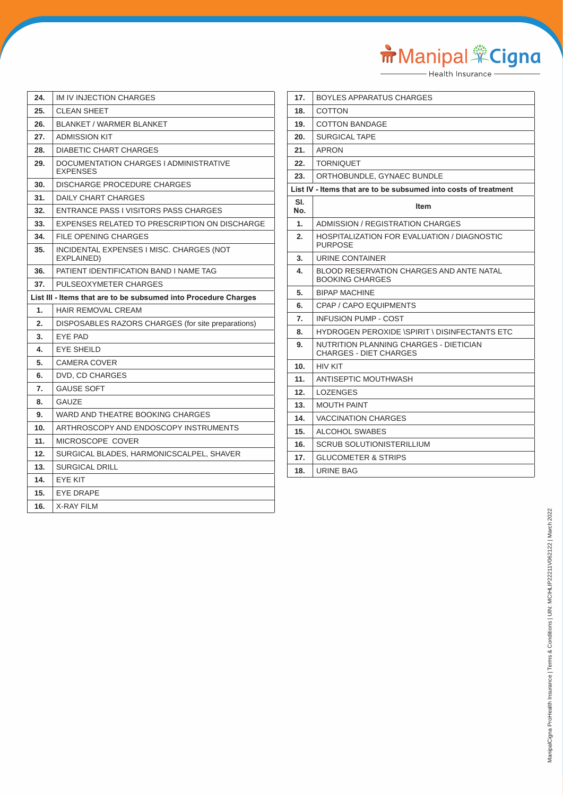Manipal Cigna

| 24. | IM IV INJECTION CHARGES                                         |
|-----|-----------------------------------------------------------------|
| 25. | <b>CLEAN SHEET</b>                                              |
| 26. | <b>BLANKET / WARMER BLANKET</b>                                 |
| 27. | <b>ADMISSION KIT</b>                                            |
| 28. | DIABETIC CHART CHARGES                                          |
| 29. | DOCUMENTATION CHARGES I ADMINISTRATIVE<br><b>EXPENSES</b>       |
| 30. | DISCHARGE PROCEDURE CHARGES                                     |
| 31. | DAILY CHART CHARGES                                             |
| 32. | ENTRANCE PASS I VISITORS PASS CHARGES                           |
| 33. | EXPENSES RELATED TO PRESCRIPTION ON DISCHARGE                   |
| 34. | FILE OPENING CHARGES                                            |
| 35. | INCIDENTAL EXPENSES I MISC. CHARGES (NOT<br>EXPLAINED)          |
| 36. | PATIENT IDENTIFICATION BAND I NAME TAG                          |
| 37. | PULSEOXYMETER CHARGES                                           |
|     | List III - Items that are to be subsumed into Procedure Charges |
| 1.  | <b>HAIR REMOVAL CREAM</b>                                       |
| 2.  | DISPOSABLES RAZORS CHARGES (for site preparations)              |
| 3.  | EYE PAD                                                         |
| 4.  | <b>EYE SHEILD</b>                                               |
| 5.  | CAMERA COVER                                                    |
| 6.  | DVD, CD CHARGES                                                 |
| 7.  | <b>GAUSE SOFT</b>                                               |
| 8.  | <b>GAUZE</b>                                                    |
| 9.  | WARD AND THEATRE BOOKING CHARGES                                |
| 10. | ARTHROSCOPY AND ENDOSCOPY INSTRUMENTS                           |
| 11. | MICROSCOPE COVER                                                |
| 12. | SURGICAL BLADES, HARMONICSCALPEL, SHAVER                        |
| 13. | <b>SURGICAL DRILL</b>                                           |
| 14. | <b>EYE KIT</b>                                                  |
| 15. | <b>EYE DRAPE</b>                                                |
| 16. | <b>X-RAY FILM</b>                                               |

| 17.        | BOYLES APPARATUS CHARGES                                                |
|------------|-------------------------------------------------------------------------|
| 18.        | COTTON                                                                  |
| 19.        | <b>COTTON BANDAGE</b>                                                   |
| 20.        | <b>SURGICAL TAPE</b>                                                    |
| 21.        | APRON                                                                   |
| 22.        | <b>TORNIQUET</b>                                                        |
| 23.        | ORTHOBUNDLE, GYNAEC BUNDLE                                              |
|            | List IV - Items that are to be subsumed into costs of treatment         |
| SI.<br>No. | ltem                                                                    |
| 1.         | ADMISSION / REGISTRATION CHARGES                                        |
| 2.         | HOSPITALIZATION FOR EVALUATION / DIAGNOSTIC<br><b>PURPOSE</b>           |
| 3.         | URINE CONTAINER                                                         |
| 4.         | BLOOD RESERVATION CHARGES AND ANTE NATAL<br><b>BOOKING CHARGES</b>      |
| 5.         | <b>BIPAP MACHINE</b>                                                    |
| 6.         | CPAP / CAPO EQUIPMENTS                                                  |
| 7.         | <b>INFUSION PUMP - COST</b>                                             |
| 8.         | HYDROGEN PEROXIDE \SPIRIT \ DISINFECTANTS ETC                           |
| 9.         | NUTRITION PLANNING CHARGES - DIETICIAN<br><b>CHARGES - DIET CHARGES</b> |
| 10.        | <b>HIV KIT</b>                                                          |
| 11.        | ANTISEPTIC MOUTHWASH                                                    |
| 12.        | <b>LOZENGES</b>                                                         |
| 13.        | <b>MOUTH PAINT</b>                                                      |
| 14.        | <b>VACCINATION CHARGES</b>                                              |
| 15.        | <b>ALCOHOL SWABES</b>                                                   |
| 16.        | SCRUB SOLUTIONISTERILLIUM                                               |
| 17.        | <b>GLUCOMETER &amp; STRIPS</b>                                          |
| 18.        | URINE BAG                                                               |
|            |                                                                         |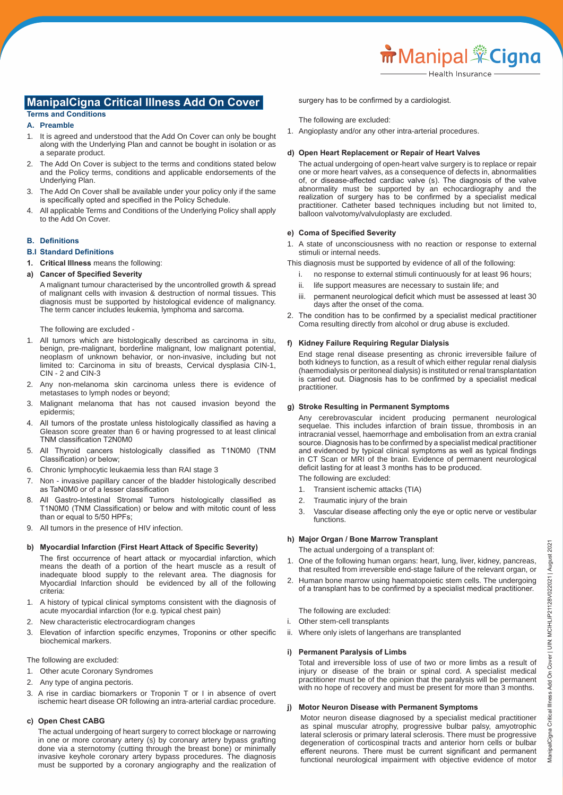# **ManipalCigna Critical Illness Add On Cover**

#### **Terms and Conditions A. Preamble**

- 1. It is agreed and understood that the Add On Cover can only be bought along with the Underlying Plan and cannot be bought in isolation or as a separate product.
- 2. The Add On Cover is subject to the terms and conditions stated below and the Policy terms, conditions and applicable endorsements of the Underlying Plan.
- 3. The Add On Cover shall be available under your policy only if the same is specifically opted and specified in the Policy Schedule.
- 4. All applicable Terms and Conditions of the Underlying Policy shall apply to the Add On Cover.

#### **B. Definitions**

## **B.I Standard Definitions**

**1. Critical Illness** means the following:

#### **a) Cancer of Specified Severity**

A malignant tumour characterised by the uncontrolled growth & spread of malignant cells with invasion & destruction of normal tissues. This diagnosis must be supported by histological evidence of malignancy. The term cancer includes leukemia, lymphoma and sarcoma.

The following are excluded -

- 1. All tumors which are histologically described as carcinoma in situ, benign, pre-malignant, borderline malignant, low malignant potential, neoplasm of unknown behavior, or non-invasive, including but not limited to: Carcinoma in situ of breasts, Cervical dysplasia CIN-1, CIN - 2 and CIN-3
- 2. Any non-melanoma skin carcinoma unless there is evidence of metastases to lymph nodes or beyond;
- 3. Malignant melanoma that has not caused invasion beyond the epidermis;
- 4. All tumors of the prostate unless histologically classified as having a Gleason score greater than 6 or having progressed to at least clinical TNM classification T2N0M0
- 5. All Thyroid cancers histologically classified as T1N0M0 (TNM Classification) or below;
- 6. Chronic lymphocytic leukaemia less than RAI stage 3
- 7. Non invasive papillary cancer of the bladder histologically described as TaN0M0 or of a lesser classification
- 8. All Gastro-Intestinal Stromal Tumors histologically classified as T1N0M0 (TNM Classification) or below and with mitotic count of less than or equal to 5/50 HPFs;
- 9. All tumors in the presence of HIV infection.

#### **b) Myocardial Infarction (First Heart Attack of Specific Severity)**

 The first occurrence of heart attack or myocardial infarction, which means the death of a portion of the heart muscle as a result of inadequate blood supply to the relevant area. The diagnosis for Myocardial Infarction should be evidenced by all of the following criteria:

- 1. A history of typical clinical symptoms consistent with the diagnosis of acute myocardial infarction (for e.g. typical chest pain)
- 2. New characteristic electrocardiogram changes
- 3. Elevation of infarction specific enzymes, Troponins or other specific biochemical markers.

The following are excluded:

- 1. Other acute Coronary Syndromes
- 2. Any type of angina pectoris.
- 3. A rise in cardiac biomarkers or Troponin T or I in absence of overt ischemic heart disease OR following an intra-arterial cardiac procedure.

#### **c) Open Chest CABG**

The actual undergoing of heart surgery to correct blockage or narrowing in one or more coronary artery (s) by coronary artery bypass grafting done via a sternotomy (cutting through the breast bone) or minimally invasive keyhole coronary artery bypass procedures. The diagnosis must be supported by a coronary angiography and the realization of

 surgery has to be confirmed by a cardiologist.

The following are excluded:

1. Angioplasty and/or any other intra-arterial procedures.

#### **d) Open Heart Replacement or Repair of Heart Valves**

The actual undergoing of open-heart valve surgery is to replace or repair one or more heart valves, as a consequence of defects in, abnormalities of, or disease-affected cardiac valve (s). The diagnosis of the valve abnormality must be supported by an echocardiography and the realization of surgery has to be confirmed by a specialist medical practitioner. Catheter based techniques including but not limited to, balloon valvotomy/valvuloplasty are excluded.

#### **e) Coma of Specified Severity**

1. A state of unconsciousness with no reaction or response to external stimuli or internal needs.

This diagnosis must be supported by evidence of all of the following:

- i. no response to external stimuli continuously for at least 96 hours;
- ii. life support measures are necessary to sustain life; and
- iii. permanent neurological deficit which must be assessed at least 30 days after the onset of the coma.
- 2. The condition has to be confirmed by a specialist medical practitioner Coma resulting directly from alcohol or drug abuse is excluded.

#### **f) Kidney Failure Requiring Regular Dialysis**

End stage renal disease presenting as chronic irreversible failure of both kidneys to function, as a result of which either regular renal dialysis (haemodialysis or peritoneal dialysis) is instituted or renal transplantation is carried out. Diagnosis has to be confirmed by a specialist medical practitioner.

#### **g) Stroke Resulting in Permanent Symptoms**

Any cerebrovascular incident producing permanent neurological sequelae. This includes infarction of brain tissue, thrombosis in an intracranial vessel, haemorrhage and embolisation from an extra cranial source. Diagnosis has to be confirmed by a specialist medical practitioner and evidenced by typical clinical symptoms as well as typical findings in CT Scan or MRI of the brain. Evidence of permanent neurological deficit lasting for at least 3 months has to be produced.

The following are excluded:

- 1. Transient ischemic attacks (TIA)
- 2. Traumatic injury of the brain
- 3. Vascular disease affecting only the eye or optic nerve or vestibular functions.

#### **h) Major Organ / Bone Marrow Transplant**

The actual undergoing of a transplant of:

- 1. One of the following human organs: heart, lung, liver, kidney, pancreas, that resulted from irreversible end-stage failure of the relevant organ, or
- 2. Human bone marrow using haematopoietic stem cells. The undergoing of a transplant has to be confirmed by a specialist medical practitioner.

The following are excluded:

- i. Other stem-cell transplants
- ii. Where only islets of langerhans are transplanted

#### **i) Permanent Paralysis of Limbs**

Total and irreversible loss of use of two or more limbs as a result of injury or disease of the brain or spinal cord. A specialist medical practitioner must be of the opinion that the paralysis will be permanent with no hope of recovery and must be present for more than 3 months.

# **j) Motor Neuron Disease with Permanent Symptoms**

Motor neuron disease diagnosed by a specialist medical practitioner as spinal muscular atrophy, progressive bulbar palsy, amyotrophic lateral sclerosis or primary lateral sclerosis. There must be progressive degeneration of corticospinal tracts and anterior horn cells or bulbar efferent neurons. There must be current significant and permanent functional neurological impairment with objective evidence of motor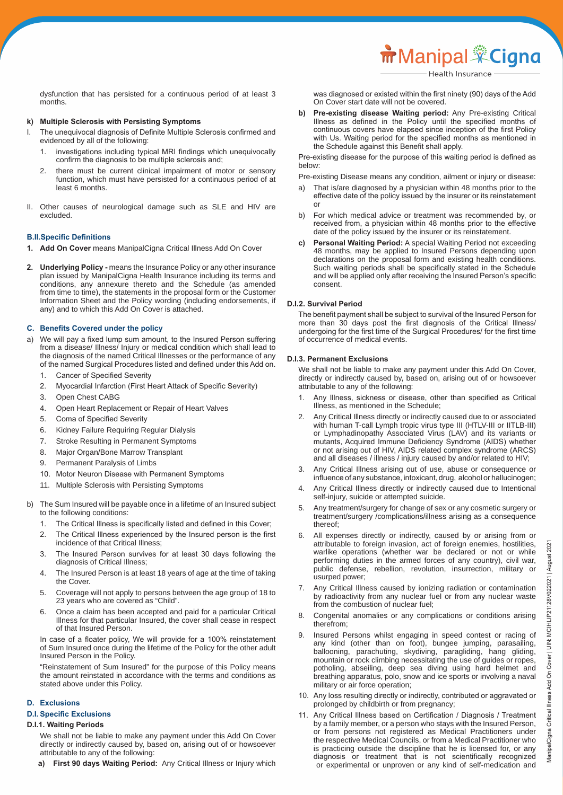dysfunction that has persisted for a continuous period of at least 3 months.

# **k) Multiple Sclerosis with Persisting Symptoms**

- I. The unequivocal diagnosis of Definite Multiple Sclerosis confirmed and evidenced by all of the following:
	- 1. investigations including typical MRI findings which unequivocally confirm the diagnosis to be multiple sclerosis and;
	- 2. there must be current clinical impairment of motor or sensory function, which must have persisted for a continuous period of at least 6 months.
- II. Other causes of neurological damage such as SLE and HIV are excluded.

# **B.II.Specific Definitions**

- **1. Add On Cover** means ManipalCigna Critical Illness Add On Cover
- **2. Underlying Policy -** means the Insurance Policy or any other insurance plan issued by ManipalCigna Health Insurance including its terms and conditions, any annexure thereto and the Schedule (as amended from time to time), the statements in the proposal form or the Customer Information Sheet and the Policy wording (including endorsements, if any) and to which this Add On Cover is attached.

# **C. Benefits Covered under the policy**

- a) We will pay a fixed lump sum amount, to the Insured Person suffering from a disease/ Illness/ Injury or medical condition which shall lead to the diagnosis of the named Critical Illnesses or the performance of any of the named Surgical Procedures listed and defined under this Add on.
	- 1. Cancer of Specified Severity
	- 2. Myocardial Infarction (First Heart Attack of Specific Severity)
	- 3. Open Chest CABG
	- 4. Open Heart Replacement or Repair of Heart Valves
	- 5. Coma of Specified Severity
	- 6. Kidney Failure Requiring Regular Dialysis
	- 7. Stroke Resulting in Permanent Symptoms
	- 8. Major Organ/Bone Marrow Transplant
	- 9. Permanent Paralysis of Limbs
	- 10. Motor Neuron Disease with Permanent Symptoms
	- 11. Multiple Sclerosis with Persisting Symptoms
- b) The Sum Insured will be payable once in a lifetime of an Insured subject to the following conditions:
	- The Critical Illness is specifically listed and defined in this Cover;
	- 2. The Critical Illness experienced by the Insured person is the first incidence of that Critical Illness;
	- 3. The Insured Person survives for at least 30 days following the diagnosis of Critical Illness;
	- 4. The Insured Person is at least 18 years of age at the time of taking the Cover.
	- 5. Coverage will not apply to persons between the age group of 18 to 23 years who are covered as "Child".
	- 6. Once a claim has been accepted and paid for a particular Critical Illness for that particular Insured, the cover shall cease in respect of that Insured Person.

 In case of a floater policy, We will provide for a 100% reinstatement of Sum Insured once during the lifetime of the Policy for the other adult Insured Person in the Policy.

"Reinstatement of Sum Insured" for the purpose of this Policy means the amount reinstated in accordance with the terms and conditions as stated above under this Policy.

# **D. Exclusions**

# **D.I. Specific Exclusions**

# **D.I.1. Waiting Periods**

We shall not be liable to make any payment under this Add On Cover directly or indirectly caused by, based on, arising out of or howsoever attributable to any of the following:

**a) First 90 days Waiting Period:** Any Critical Illness or Injury which

 was diagnosed or existed within the first ninety (90) days of the Add On Cover start date will not be covered.

**b) Pre-existing disease Waiting period:** Any Pre-existing Critical Illness as defined in the Policy until the specified months of continuous covers have elapsed since inception of the first Policy with Us. Waiting period for the specified months as mentioned in the Schedule against this Benefit shall apply.

 Pre-existing disease for the purpose of this waiting period is defined as below:

Pre-existing Disease means any condition, ailment or injury or disease:

- a) That is/are diagnosed by a physician within 48 months prior to the effective date of the policy issued by the insurer or its reinstatement or
	- b) For which medical advice or treatment was recommended by, or received from, a physician within 48 months prior to the effective date of the policy issued by the insurer or its reinstatement.
	- **c) Personal Waiting Period:** A special Waiting Period not exceeding 48 months, may be applied to Insured Persons depending upon declarations on the proposal form and existing health conditions. Such waiting periods shall be specifically stated in the Schedule and will be applied only after receiving the Insured Person's specific consent.

## **D.I.2. Survival Period**

 The benefit payment shall be subject to survival of the Insured Person for more than 30 days post the first diagnosis of the Critical Illness/ undergoing for the first time of the Surgical Procedures/ for the first time of occurrence of medical events.

## **D.I.3. Permanent Exclusions**

We shall not be liable to make any payment under this Add On Cover, directly or indirectly caused by, based on, arising out of or howsoever attributable to any of the following:

- Any Illness, sickness or disease, other than specified as Critical Illness, as mentioned in the Schedule;
- 2. Any Critical Illness directly or indirectly caused due to or associated with human T-call Lymph tropic virus type III (HTLV-III or IITLB-III) or Lymphadinopathy Associated Virus (LAV) and its variants or mutants, Acquired Immune Deficiency Syndrome (AIDS) whether or not arising out of HIV, AIDS related complex syndrome (ARCS) and all diseases / illness / injury caused by and/or related to HIV;
- 3. Any Critical Illness arising out of use, abuse or consequence or influence of any substance, intoxicant, drug, alcohol or hallucinogen;
- 4. Any Critical Illness directly or indirectly caused due to Intentional self-injury, suicide or attempted suicide.
- 5. Any treatment/surgery for change of sex or any cosmetic surgery or treatment/surgery /complications/illness arising as a consequence thereof;
- 6. All expenses directly or indirectly, caused by or arising from or attributable to foreign invasion, act of foreign enemies, hostilities, warlike operations (whether war be declared or not or while performing duties in the armed forces of any country), civil war, public defense, rebellion, revolution, insurrection, military or usurped power;
- 7. Any Critical Illness caused by ionizing radiation or contamination by radioactivity from any nuclear fuel or from any nuclear waste from the combustion of nuclear fuel;
- 8. Congenital anomalies or any complications or conditions arising therefrom;
- 9. Insured Persons whilst engaging in speed contest or racing of any kind (other than on foot), bungee jumping, parasailing, ballooning, parachuting, skydiving, paragliding, hang gliding, mountain or rock climbing necessitating the use of guides or ropes, potholing, abseiling, deep sea diving using hard helmet and breathing apparatus, polo, snow and ice sports or involving a naval military or air force operation;
	- 10. Any loss resulting directly or indirectly, contributed or aggravated or prolonged by childbirth or from pregnancy;
	- 11. Any Critical Illness based on Certification / Diagnosis / Treatment by a family member, or a person who stays with the Insured Person, or from persons not registered as Medical Practitioners under the respective Medical Councils, or from a Medical Practitioner who is practicing outside the discipline that he is licensed for, or any diagnosis or treatment that is not scientifically recognized or experimental or unproven or any kind of self-medication and